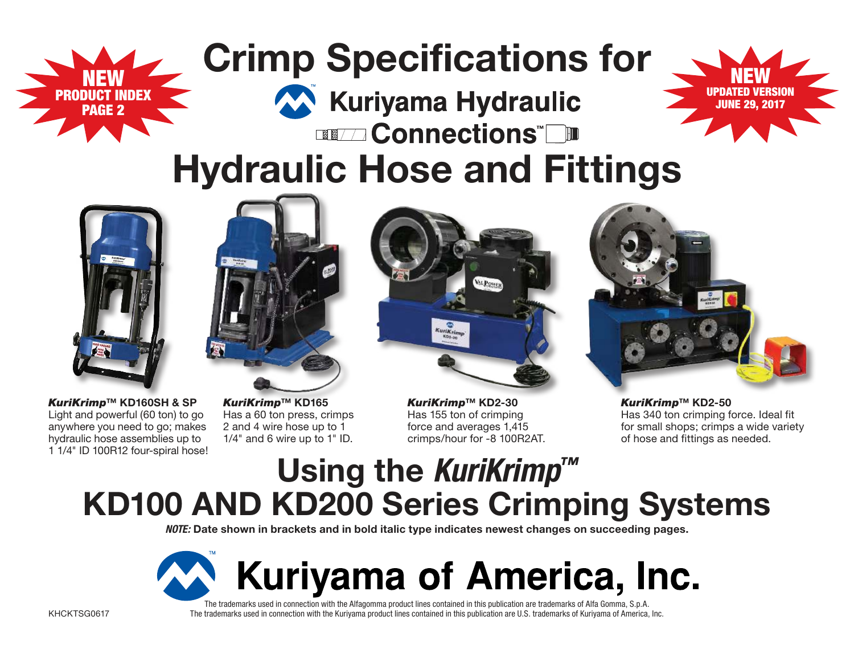# **Crimp Specifications for**



### **EXAMPLE Connections" Hydraulic Hose and Fittings**

Kuriyama Hydraulic



NEW PRODUCT INDEX PAGE 2



*KuriKrimp***™ KD160SH & SP**  Light and powerful (60 ton) to go anywhere you need to go; makes hydraulic hose assemblies up to 1 1/4" ID 100R12 four-spiral hose!

*KuriKrimp***™ KD165** Has a 60 ton press, crimps 2 and 4 wire hose up to 1 1/4" and 6 wire up to 1" ID.



*KuriKrimp***™ KD2-30**  Has 155 ton of crimping force and averages 1,415 crimps/hour for -8 100R2AT.



*KuriKrimp***™ KD2-50**  Has 340 ton crimping force. Ideal fit for small shops; crimps a wide variety of hose and fittings as needed.

### **Using the KuriKrimp™ KD100 AND KD200 Series Crimping Systems**

**NOTE: Date shown in brackets and in bold italic type indicates newest changes on succeeding pages.**



The trademarks used in connection with the Alfagomma product lines contained in this publication are trademarks of Alfa Gomma, S.p.A. The trademarks used in connection with the Kuriyama product lines contained in this publication are U.S. trademarks of Kuriyama of America, Inc.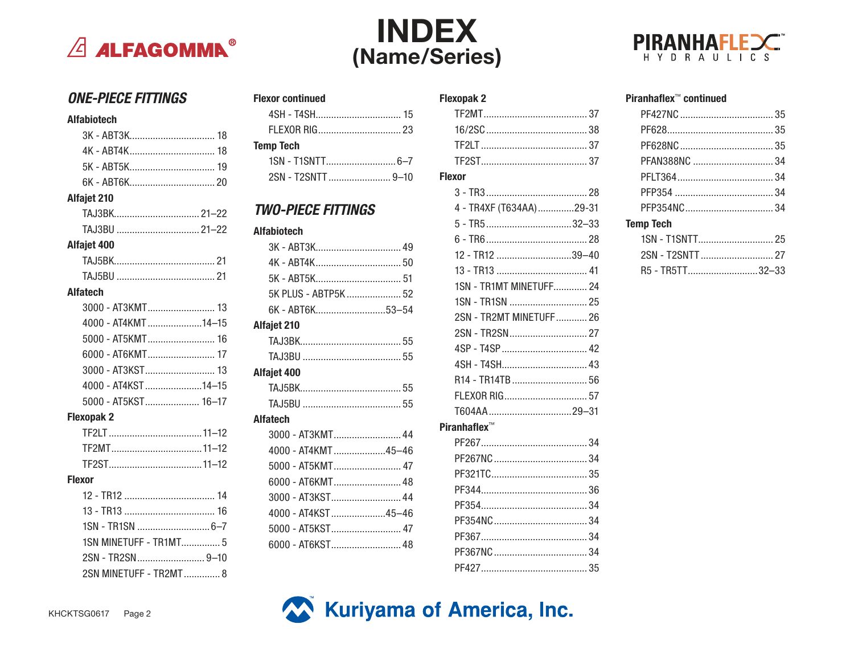

### **INDEX** (Name/Series)



#### **ONE-PIECE FITTINGS**

#### **Alfabiotech Alfajet 210 Alfajet 400 Alfatech** 4000 - AT4KMT.....................14-15 5000 - AT5KMT 16 6000 - AT6KMT........................... 17 3000 - AT3KST............................ 13 4000 - AT4KST ......................14-15 5000 - AT5KST...................... 16-17 **Flexopak 2 Flexor**

1SN MINETUFF - TR1MT............... 5

2SN - TR2SN.............................9-10

2SN MINETUFF - TR2MT.............. 8

#### **Flexor continued Temp Tech**

2SN - T2SNTT .................................9-10

#### **TWO-PIECE FITTINGS**

#### **Alfabiotech**

| 5K - ABT5K 51        |  |
|----------------------|--|
| 5K PLUS - ABTP5K  52 |  |
| 6K - ABT6K53-54      |  |
| Alfajet 210          |  |
|                      |  |
|                      |  |
| Alfajet 400          |  |
|                      |  |
|                      |  |
| Alfatech             |  |
| 3000 - AT3KMT 44     |  |
| 4000 - AT4KMT45-46   |  |
| 5000 - AT5KMT 47     |  |
| 6000 - AT6KMT 48     |  |
| 3000 - AT3KST 44     |  |
| 4000 - AT4KST45-46   |  |
| 5000 - AT5KST 47     |  |
|                      |  |

#### **Flexopak 2**  $16/250$  38  $TF21T$  37 **Flexor** 4 - TR4XF (T634AA) ..............29-31  $6 - TR6$  28 12 - TR12 .............................39-40 1SN - TR1MT MINFTUFF 24 2SN - TR2MT MINETUFF............ 26 R<sub>14</sub> - TR<sub>14</sub>TR 56 T604AA..................................29-31 Piranhaflex™

PF427 35

#### Piranhaflex<sup>™</sup> continued 35 **Temp Tech**  $2<sub>1</sub>$

| R5 - TR5TT32-33 |  |
|-----------------|--|

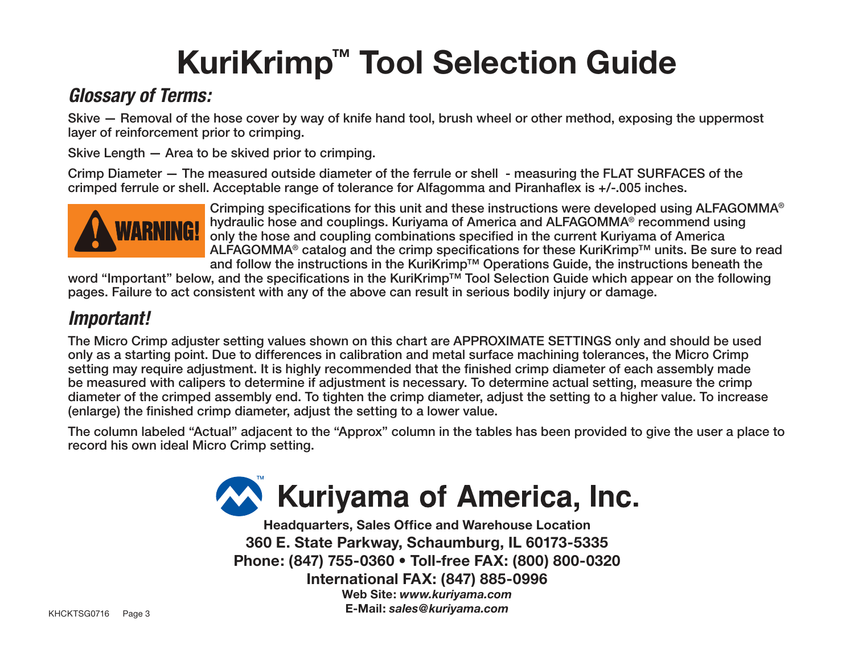# **KuriKrimp™ Tool Selection Guide**

### **Glossary of Terms:**

Skive — Removal of the hose cover by way of knife hand tool, brush wheel or other method, exposing the uppermost layer of reinforcement prior to crimping.

Skive Length — Area to be skived prior to crimping.

Crimp Diameter — The measured outside diameter of the ferrule or shell - measuring the FLAT SURFACES of the crimped ferrule or shell. Acceptable range of tolerance for Alfagomma and Piranhaflex is +/-.005 inches.



Crimping specifications for this unit and these instructions were developed using ALFAGOMMA<sup>®</sup><br>hydraulic hose and couplings. Kuriyama of America and ALFAGOMMA<sup>®</sup> recommend using hydraulic hose and couplings. Kuriyama of America and ALFAGOMMA® recommend using only the hose and coupling combinations specified in the current Kuriyama of America ALFAGOMMA® catalog and the crimp specifications for these KuriKrimp™ units. Be sure to read and follow the instructions in the KuriKrimp™ Operations Guide, the instructions beneath the

word "Important" below, and the specifications in the KuriKrimp™ Tool Selection Guide which appear on the following pages. Failure to act consistent with any of the above can result in serious bodily injury or damage.

### **Important!**

The Micro Crimp adjuster setting values shown on this chart are APPROXIMATE SETTINGS only and should be used only as a starting point. Due to differences in calibration and metal surface machining tolerances, the Micro Crimp setting may require adjustment. It is highly recommended that the finished crimp diameter of each assembly made be measured with calipers to determine if adjustment is necessary. To determine actual setting, measure the crimp diameter of the crimped assembly end. To tighten the crimp diameter, adjust the setting to a higher value. To increase (enlarge) the finished crimp diameter, adjust the setting to a lower value.

The column labeled "Actual" adjacent to the "Approx" column in the tables has been provided to give the user a place to record his own ideal Micro Crimp setting.



**Headquarters, Sales Office and Warehouse Location 360 E. State Parkway, Schaumburg, IL 60173-5335 Phone: (847) 755-0360 • Toll-free FAX: (800) 800-0320 International FAX: (847) 885-0996 Web Site:** *www.kuriyama.com* KHCKTSG0716 Page 3 **E-Mail:** *sales@kuriyama.com*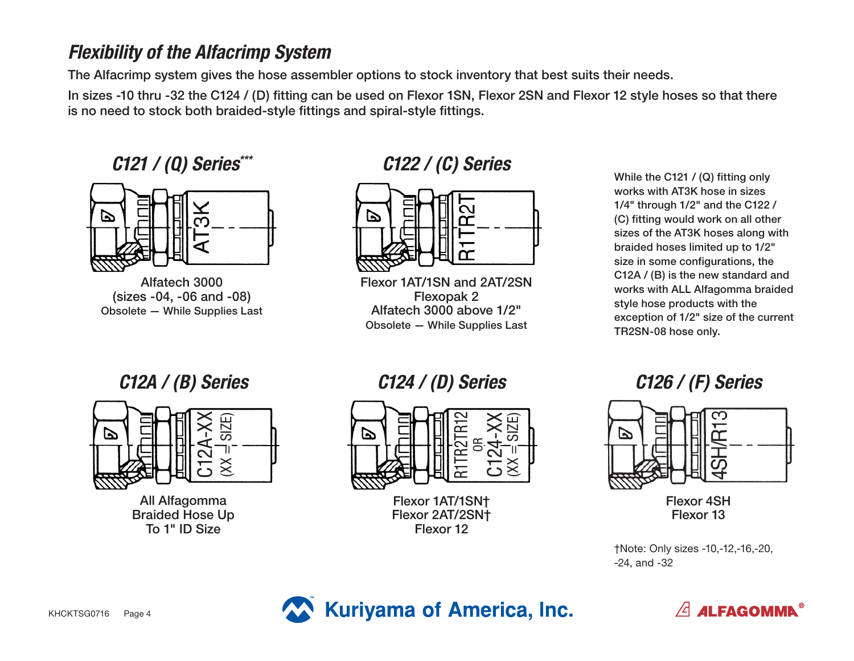### **Flexibility of the Alfacrimp System**

The Alfacrimp system gives the hose assembler options to stock inventory that best suits their needs.

In sizes -10 thru -32 the C124 / (D) fitting can be used on Flexor 1SN, Flexor 2SN and Flexor 12 style hoses so that there is no need to stock both braided-style fittings and spiral-style fittings.

**C121 / (Q) Series\*\*\***



Alfatech 3000 (sizes -04, -06 and -08) Obsolete — While Supplies Last

#### **C122 / (C) Series**



Flexor 1AT/1SN and 2AT/2SN Flexopak 2 Alfatech 3000 above 1/2" Obsolete — While Supplies Last

While the C121 / (Q) fitting only works with AT3K hose in sizes 1/4" through 1/2" and the C122 / (C) fitting would work on all other sizes of the AT3K hoses along with braided hoses limited up to 1/2" size in some configurations, the C12A / (B) is the new standard and works with ALL Alfagomma braided style hose products with the exception of 1/2" size of the current TR2SN-08 hose only.



All Alfagomma Braided Hose Up To 1" ID Size

#### C12A / (B) Series C124 / (D) Series



Flexor 1AT/1SN† Flexor 2AT/2SN† Flexor 12

#### **C126 / (F) Series**



Flexor 4SH Flexor 13

<sup>†</sup>Note: Only sizes -10,-12,-16,-20, -24, and -32



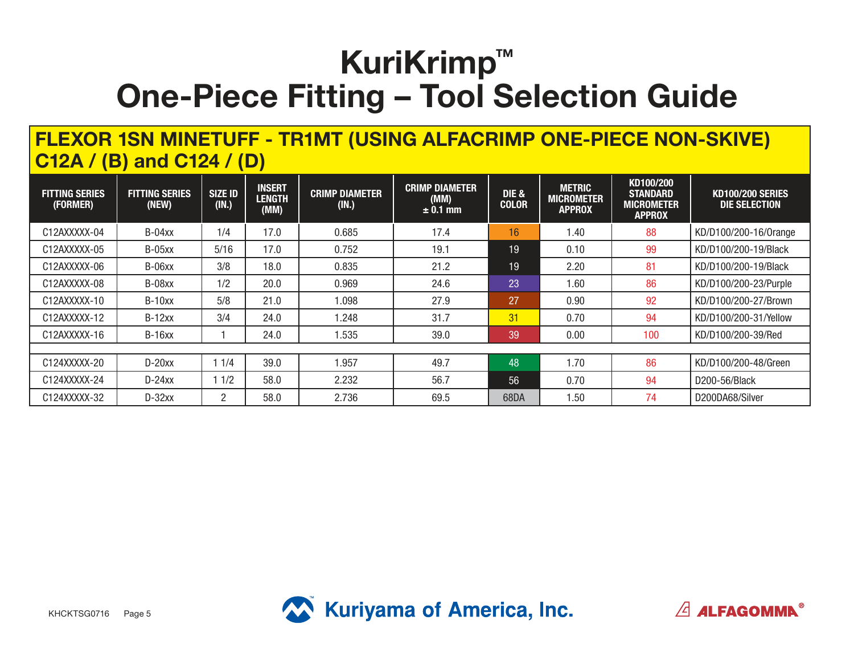#### **FLEXOR 1SN MINETUFF - TR1MT (USING ALFACRIMP ONE-PIECE NON-SKIVE) C12A / (B) and C124 / (D)**

| <b>FITTING SERIES</b><br>(FORMER) | <b>FITTING SERIES</b><br>(NEW) | <b>SIZE ID</b><br>(IN.) | <b>INSERT</b><br><b>LENGTH</b><br>(MM) | <b>CRIMP DIAMETER</b><br>(IN.) | <b>CRIMP DIAMETER</b><br>(MM)<br>$\pm$ 0.1 mm | <b>DIE &amp;</b><br><b>COLOR</b> | <b>METRIC</b><br><b>MICROMETER</b><br><b>APPROX</b> | KD100/200<br><b>STANDARD</b><br><b>MICROMETER</b><br><b>APPROX</b> | <b>KD100/200 SERIES</b><br>DIE SELECTION |
|-----------------------------------|--------------------------------|-------------------------|----------------------------------------|--------------------------------|-----------------------------------------------|----------------------------------|-----------------------------------------------------|--------------------------------------------------------------------|------------------------------------------|
| C12AXXXXX-04                      | $B-04xx$                       | 1/4                     | 17.0                                   | 0.685                          | 17.4                                          | 16                               | 1.40                                                | 88                                                                 | KD/D100/200-16/0range                    |
| C12AXXXXX-05                      | B-05xx                         | 5/16                    | 17.0                                   | 0.752                          | 19.1                                          | 19                               | 0.10                                                | 99                                                                 | KD/D100/200-19/Black                     |
| C12AXXXXX-06                      | B-06xx                         | 3/8                     | 18.0                                   | 0.835                          | 21.2                                          | 19                               | 2.20                                                | 81                                                                 | KD/D100/200-19/Black                     |
| C12AXXXXX-08                      | B-08xx                         | 1/2                     | 20.0                                   | 0.969                          | 24.6                                          | 23                               | 1.60                                                | 86                                                                 | KD/D100/200-23/Purple                    |
| C12AXXXXX-10                      | $B-10xx$                       | 5/8                     | 21.0                                   | 1.098                          | 27.9                                          | 27                               | 0.90                                                | 92                                                                 | KD/D100/200-27/Brown                     |
| C12AXXXXX-12                      | $B-12xx$                       | 3/4                     | 24.0                                   | 1.248                          | 31.7                                          | 31                               | 0.70                                                | 94                                                                 | KD/D100/200-31/Yellow                    |
| C12AXXXXX-16                      | $B-16xx$                       |                         | 24.0                                   | 1.535                          | 39.0                                          | 39                               | 0.00                                                | 100                                                                | KD/D100/200-39/Red                       |
|                                   |                                |                         |                                        |                                |                                               |                                  |                                                     |                                                                    |                                          |
| C124XXXXX-20                      | $D-20xx$                       | 11/4                    | 39.0                                   | .957                           | 49.7                                          | 48                               | 1.70                                                | 86                                                                 | KD/D100/200-48/Green                     |
| C124XXXXX-24                      | $D-24xx$                       | 1/2                     | 58.0                                   | 2.232                          | 56.7                                          | 56                               | 0.70                                                | 94                                                                 | D200-56/Black                            |
| C124XXXXX-32                      | $D-32xx$                       | 2                       | 58.0                                   | 2.736                          | 69.5                                          | 68DA                             | 1.50                                                | 74                                                                 | D200DA68/Silver                          |



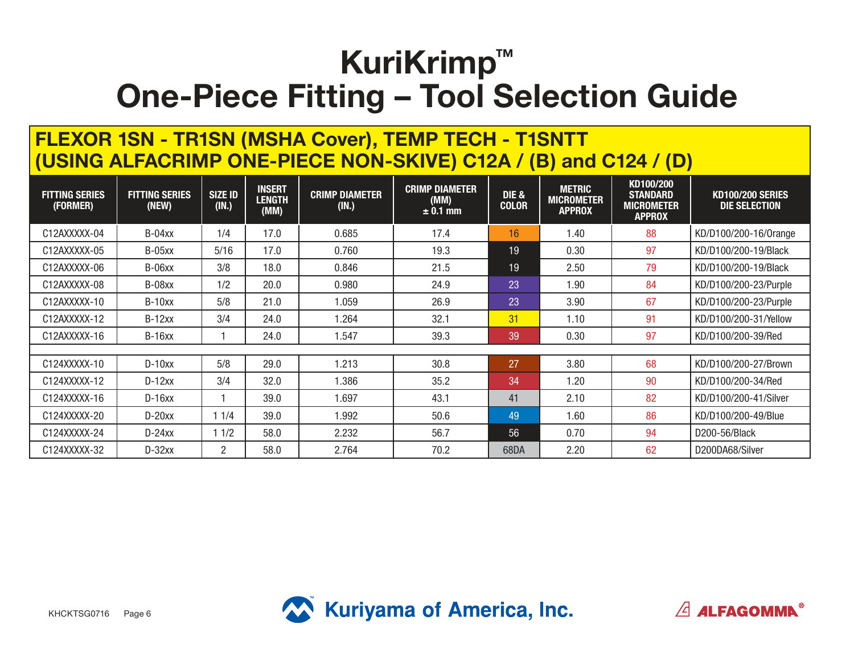#### **FLEXOR 1SN - TR1SN (MSHA Cover), TEMP TECH - T1SNTT (USING ALFACRIMP ONE-PIECE NON-SKIVE) C12A / (B) and C124 / (D)**

| <b>FITTING SERIES</b><br>(FORMER) | <b>FITTING SERIES</b><br>(NEW) | <b>SIZE ID</b><br>(IN.) | <b>INSERT</b><br><b>LENGTH</b><br>(MM) | <b>CRIMP DIAMETER</b><br>(IN.) | <b>CRIMP DIAMETER</b><br>(MM)<br>$\pm$ 0.1 mm | DIE &<br><b>COLOR</b> | <b>METRIC</b><br><b>MICROMETER</b><br><b>APPROX</b> | KD100/200<br><b>STANDARD</b><br><b>MICROMETER</b><br><b>APPROX</b> | <b>KD100/200 SERIES</b><br><b>DIE SELECTION</b> |
|-----------------------------------|--------------------------------|-------------------------|----------------------------------------|--------------------------------|-----------------------------------------------|-----------------------|-----------------------------------------------------|--------------------------------------------------------------------|-------------------------------------------------|
| C12AXXXXX-04                      | $B-04xx$                       | 1/4                     | 17.0                                   | 0.685                          | 17.4                                          | 16                    | 1.40                                                | 88                                                                 | KD/D100/200-16/0range                           |
| C12AXXXXX-05                      | $B-05xx$                       | 5/16                    | 17.0                                   | 0.760                          | 19.3                                          | 19                    | 0.30                                                | 97                                                                 | KD/D100/200-19/Black                            |
| C12AXXXXX-06                      | B-06xx                         | 3/8                     | 18.0                                   | 0.846                          | 21.5                                          | 19                    | 2.50                                                | 79                                                                 | KD/D100/200-19/Black                            |
| C12AXXXXX-08                      | B-08xx                         | 1/2                     | 20.0                                   | 0.980                          | 24.9                                          | 23                    | 1.90                                                | 84                                                                 | KD/D100/200-23/Purple                           |
| C12AXXXXX-10                      | $B-10xx$                       | 5/8                     | 21.0                                   | 1.059                          | 26.9                                          | 23                    | 3.90                                                | 67                                                                 | KD/D100/200-23/Purple                           |
| C12AXXXXX-12                      | $B-12xx$                       | 3/4                     | 24.0                                   | 1.264                          | 32.1                                          | 31                    | 1.10                                                | 91                                                                 | KD/D100/200-31/Yellow                           |
| C12AXXXXX-16                      | $B-16xx$                       |                         | 24.0                                   | 1.547                          | 39.3                                          | 39                    | 0.30                                                | 97                                                                 | KD/D100/200-39/Red                              |
|                                   |                                |                         |                                        |                                |                                               |                       |                                                     |                                                                    |                                                 |
| C124XXXXX-10                      | $D-10xx$                       | 5/8                     | 29.0                                   | 1.213                          | 30.8                                          | 27                    | 3.80                                                | 68                                                                 | KD/D100/200-27/Brown                            |
| C124XXXXX-12                      | $D-12xx$                       | 3/4                     | 32.0                                   | 1.386                          | 35.2                                          | 34                    | 1.20                                                | 90                                                                 | KD/D100/200-34/Red                              |
| C124XXXXX-16                      | $D-16xx$                       |                         | 39.0                                   | 1.697                          | 43.1                                          | 41                    | 2.10                                                | 82                                                                 | KD/D100/200-41/Silver                           |
| C124XXXXX-20                      | $D-20xx$                       | 11/4                    | 39.0                                   | 1.992                          | 50.6                                          | 49                    | 1.60                                                | 86                                                                 | KD/D100/200-49/Blue                             |
| C124XXXXX-24                      | $D-24xx$                       | 11/2                    | 58.0                                   | 2.232                          | 56.7                                          | 56                    | 0.70                                                | 94                                                                 | D200-56/Black                                   |
| C124XXXXX-32                      | $D-32xx$                       | $\overline{2}$          | 58.0                                   | 2.764                          | 70.2                                          | 68DA                  | 2.20                                                | 62                                                                 | D200DA68/Silver                                 |



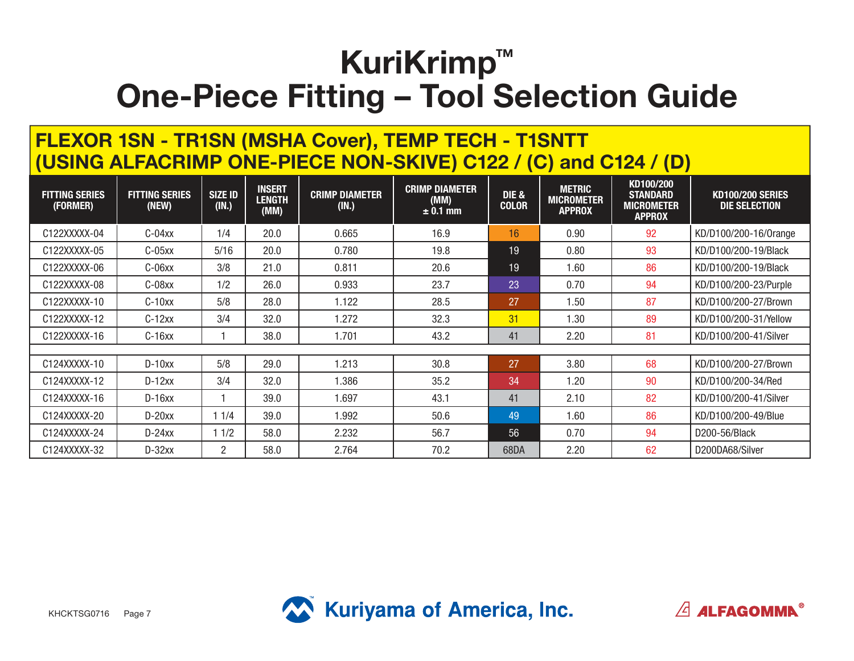#### **FLEXOR 1SN - TR1SN (MSHA Cover), TEMP TECH - T1SNTT (USING ALFACRIMP ONE-PIECE NON-SKIVE) C122 / (C) and C124 / (D)**

| <b>FITTING SERIES</b><br>(FORMER) | <b>FITTING SERIES</b><br>(NEW) | <b>SIZE ID</b><br>(IN.) | <b>INSERT</b><br><b>LENGTH</b><br>(MM) | <b>CRIMP DIAMETER</b><br>(IN.) | <b>CRIMP DIAMETER</b><br>(MM)<br>$± 0.1$ mm | <b>DIE &amp;</b><br><b>COLOR</b> | <b>METRIC</b><br><b>MICROMETER</b><br><b>APPROX</b> | KD100/200<br><b>STANDARD</b><br><b>MICROMETER</b><br><b>APPROX</b> | <b>KD100/200 SERIES</b><br>DIE SELECTION |
|-----------------------------------|--------------------------------|-------------------------|----------------------------------------|--------------------------------|---------------------------------------------|----------------------------------|-----------------------------------------------------|--------------------------------------------------------------------|------------------------------------------|
| C122XXXXX-04                      | $C-04xx$                       | 1/4                     | 20.0                                   | 0.665                          | 16.9                                        | 16                               | 0.90                                                | 92                                                                 | KD/D100/200-16/0range                    |
| C122XXXXX-05                      | $C-05xx$                       | 5/16                    | 20.0                                   | 0.780                          | 19.8                                        | 19                               | 0.80                                                | 93                                                                 | KD/D100/200-19/Black                     |
| C122XXXXX-06                      | C-06xx                         | 3/8                     | 21.0                                   | 0.811                          | 20.6                                        | 19                               | 1.60                                                | 86                                                                 | KD/D100/200-19/Black                     |
| C122XXXXX-08                      | C-08xx                         | 1/2                     | 26.0                                   | 0.933                          | 23.7                                        | 23                               | 0.70                                                | 94                                                                 | KD/D100/200-23/Purple                    |
| C122XXXXX-10                      | $C-10xx$                       | 5/8                     | 28.0                                   | 1.122                          | 28.5                                        | 27                               | 1.50                                                | 87                                                                 | KD/D100/200-27/Brown                     |
| C122XXXXX-12                      | $C-12xx$                       | 3/4                     | 32.0                                   | 1.272                          | 32.3                                        | 31                               | 1.30                                                | 89                                                                 | KD/D100/200-31/Yellow                    |
| C122XXXXX-16                      | $C-16xx$                       |                         | 38.0                                   | 1.701                          | 43.2                                        | 41                               | 2.20                                                | 81                                                                 | KD/D100/200-41/Silver                    |
|                                   |                                |                         |                                        |                                |                                             |                                  |                                                     |                                                                    |                                          |
| C124XXXXX-10                      | $D-10xx$                       | 5/8                     | 29.0                                   | 1.213                          | 30.8                                        | 27                               | 3.80                                                | 68                                                                 | KD/D100/200-27/Brown                     |
| C124XXXXX-12                      | $D-12xx$                       | 3/4                     | 32.0                                   | 1.386                          | 35.2                                        | 34                               | 1.20                                                | 90                                                                 | KD/D100/200-34/Red                       |
| C124XXXXX-16                      | $D-16xx$                       |                         | 39.0                                   | 1.697                          | 43.1                                        | 41                               | 2.10                                                | 82                                                                 | KD/D100/200-41/Silver                    |
| C124XXXXX-20                      | $D-20xx$                       | 1 1/4                   | 39.0                                   | 1.992                          | 50.6                                        | 49                               | 1.60                                                | 86                                                                 | KD/D100/200-49/Blue                      |
| C124XXXXX-24                      | $D-24xx$                       | 11/2                    | 58.0                                   | 2.232                          | 56.7                                        | 56                               | 0.70                                                | 94                                                                 | D200-56/Black                            |
| C124XXXXX-32                      | $D-32xx$                       | $\overline{2}$          | 58.0                                   | 2.764                          | 70.2                                        | 68DA                             | 2.20                                                | 62                                                                 | D200DA68/Silver                          |



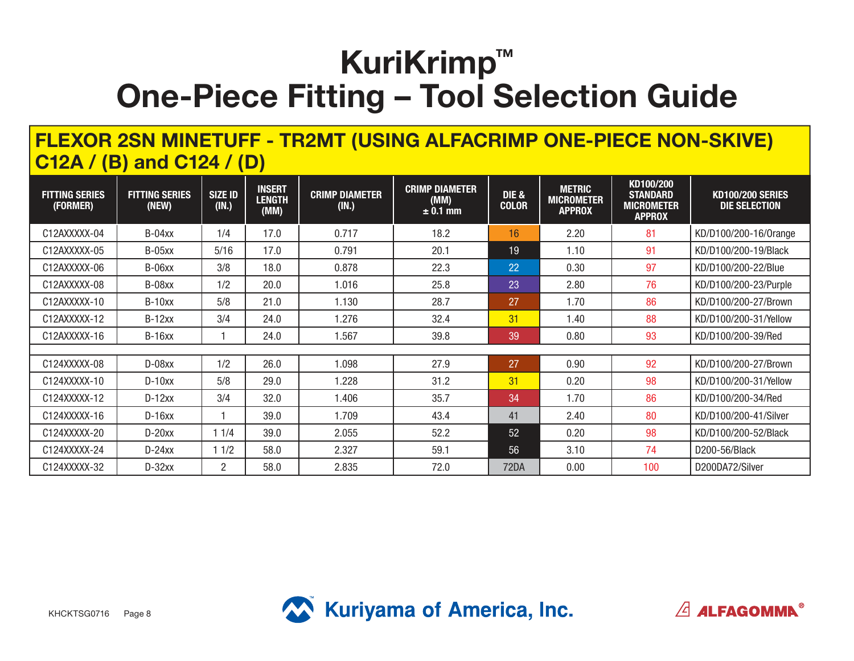#### **FLEXOR 2SN MINETUFF - TR2MT (USING ALFACRIMP ONE-PIECE NON-SKIVE) C12A / (B) and C124 / (D)**

| <b>FITTING SERIES</b><br>(FORMER) | <b>FITTING SERIES</b><br>(NEW) | <b>SIZE ID</b><br>(IN.) | <b>INSERT</b><br><b>LENGTH</b><br>(MM) | <b>CRIMP DIAMETER</b><br>(IN.) | <b>CRIMP DIAMETER</b><br>(MM)<br>$\pm$ 0.1 mm | <b>DIE &amp;</b><br><b>COLOR</b> | <b>METRIC</b><br><b>MICROMETER</b><br><b>APPROX</b> | KD100/200<br><b>STANDARD</b><br><b>MICROMETER</b><br><b>APPROX</b> | <b>KD100/200 SERIES</b><br>DIE SELECTION |
|-----------------------------------|--------------------------------|-------------------------|----------------------------------------|--------------------------------|-----------------------------------------------|----------------------------------|-----------------------------------------------------|--------------------------------------------------------------------|------------------------------------------|
| C12AXXXXX-04                      | $B-04xx$                       | 1/4                     | 17.0                                   | 0.717                          | 18.2                                          | 16                               | 2.20                                                | 81                                                                 | KD/D100/200-16/0range                    |
| C12AXXXXX-05                      | $B-05xx$                       | 5/16                    | 17.0                                   | 0.791                          | 20.1                                          | 19                               | 1.10                                                | 91                                                                 | KD/D100/200-19/Black                     |
| C12AXXXXX-06                      | B-06xx                         | 3/8                     | 18.0                                   | 0.878                          | 22.3                                          | 22                               | 0.30                                                | 97                                                                 | KD/D100/200-22/Blue                      |
| C12AXXXXX-08                      | B-08xx                         | 1/2                     | 20.0                                   | 1.016                          | 25.8                                          | 23                               | 2.80                                                | 76                                                                 | KD/D100/200-23/Purple                    |
| C12AXXXXX-10                      | $B-10xx$                       | 5/8                     | 21.0                                   | 1.130                          | 28.7                                          | 27                               | 1.70                                                | 86                                                                 | KD/D100/200-27/Brown                     |
| C12AXXXXX-12                      | $B-12xx$                       | 3/4                     | 24.0                                   | 1.276                          | 32.4                                          | 31                               | 1.40                                                | 88                                                                 | KD/D100/200-31/Yellow                    |
| C12AXXXXX-16                      | $B-16xx$                       |                         | 24.0                                   | 1.567                          | 39.8                                          | 39                               | 0.80                                                | 93                                                                 | KD/D100/200-39/Red                       |
|                                   |                                |                         |                                        |                                |                                               |                                  |                                                     |                                                                    |                                          |
| C124XXXXX-08                      | $D-08xx$                       | 1/2                     | 26.0                                   | 1.098                          | 27.9                                          | 27                               | 0.90                                                | 92                                                                 | KD/D100/200-27/Brown                     |
| C124XXXXX-10                      | $D-10xx$                       | 5/8                     | 29.0                                   | 1.228                          | 31.2                                          | 31                               | 0.20                                                | 98                                                                 | KD/D100/200-31/Yellow                    |
| C124XXXXX-12                      | $D-12xx$                       | 3/4                     | 32.0                                   | 1.406                          | 35.7                                          | 34                               | 1.70                                                | 86                                                                 | KD/D100/200-34/Red                       |
| C124XXXXX-16                      | $D-16xx$                       |                         | 39.0                                   | 1.709                          | 43.4                                          | 41                               | 2.40                                                | 80                                                                 | KD/D100/200-41/Silver                    |
| C124XXXXX-20                      | $D-20xx$                       | 11/4                    | 39.0                                   | 2.055                          | 52.2                                          | 52                               | 0.20                                                | 98                                                                 | KD/D100/200-52/Black                     |
| C124XXXXX-24                      | $D-24xx$                       | 11/2                    | 58.0                                   | 2.327                          | 59.1                                          | 56                               | 3.10                                                | 74                                                                 | D200-56/Black                            |
| C124XXXXX-32                      | $D-32xx$                       | 2                       | 58.0                                   | 2.835                          | 72.0                                          | 72DA                             | 0.00                                                | 100                                                                | D200DA72/Silver                          |



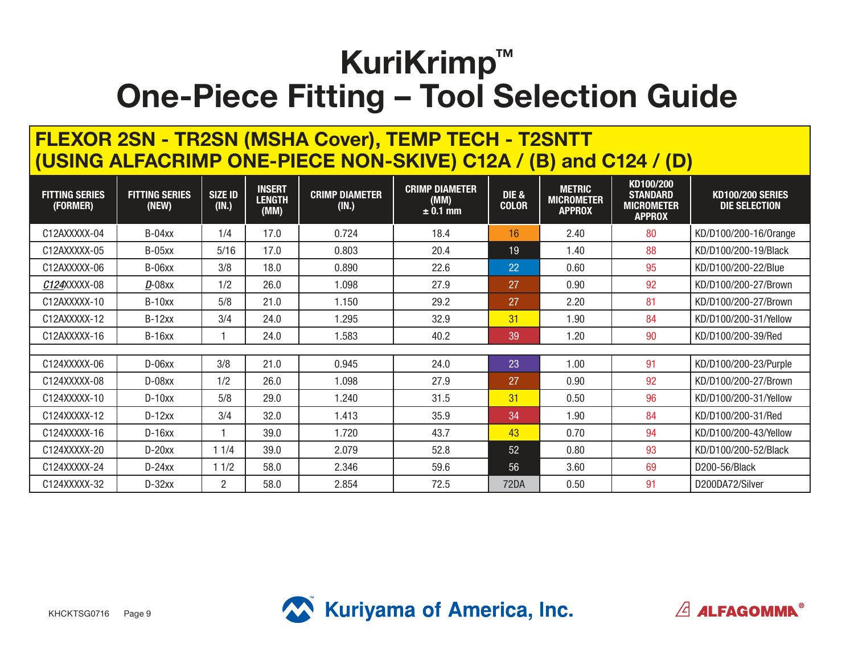#### **FLEXOR 2SN - TR2SN (MSHA Cover), TEMP TECH - T2SNTT (USING ALFACRIMP ONE-PIECE NON-SKIVE) C12A / (B) and C124 / (D)**

| <b>FITTING SERIES</b><br>(FORMER) | <b>FITTING SERIES</b><br>(NEW) | <b>SIZE ID</b><br>(IN.) | <b>INSERT</b><br><b>LENGTH</b><br>(MM) | <b>CRIMP DIAMETER</b><br>(IN.) | <b>CRIMP DIAMETER</b><br>(MM)<br>$\pm$ 0.1 mm | <b>DIE &amp;</b><br><b>COLOR</b> | <b>METRIC</b><br><b>MICROMETER</b><br><b>APPROX</b> | KD100/200<br><b>STANDARD</b><br><b>MICROMETER</b><br><b>APPROX</b> | <b>KD100/200 SERIES</b><br>DIE SELECTION |
|-----------------------------------|--------------------------------|-------------------------|----------------------------------------|--------------------------------|-----------------------------------------------|----------------------------------|-----------------------------------------------------|--------------------------------------------------------------------|------------------------------------------|
| C12AXXXXX-04                      | B-04xx                         | 1/4                     | 17.0                                   | 0.724                          | 18.4                                          | 16                               | 2.40                                                | 80                                                                 | KD/D100/200-16/0range                    |
| C12AXXXXX-05                      | <b>B-05xx</b>                  | 5/16                    | 17.0                                   | 0.803                          | 20.4                                          | 19                               | 1.40                                                | 88                                                                 | KD/D100/200-19/Black                     |
| C12AXXXXX-06                      | B-06xx                         | 3/8                     | 18.0                                   | 0.890                          | 22.6                                          | 22                               | 0.60                                                | 95                                                                 | KD/D100/200-22/Blue                      |
| C124XXXXX-08                      | $D-08$ xx                      | 1/2                     | 26.0                                   | 1.098                          | 27.9                                          | 27                               | 0.90                                                | 92                                                                 | KD/D100/200-27/Brown                     |
| C12AXXXXX-10                      | $B-10xx$                       | 5/8                     | 21.0                                   | 1.150                          | 29.2                                          | 27                               | 2.20                                                | 81                                                                 | KD/D100/200-27/Brown                     |
| C12AXXXXX-12                      | $B-12xx$                       | 3/4                     | 24.0                                   | 1.295                          | 32.9                                          | 31                               | 1.90                                                | 84                                                                 | KD/D100/200-31/Yellow                    |
| C12AXXXXX-16                      | $B-16xx$                       |                         | 24.0                                   | 1.583                          | 40.2                                          | 39                               | 1.20                                                | 90                                                                 | KD/D100/200-39/Red                       |
|                                   |                                |                         |                                        |                                |                                               |                                  |                                                     |                                                                    |                                          |
| C124XXXXX-06                      | $D-06xx$                       | 3/8                     | 21.0                                   | 0.945                          | 24.0                                          | 23                               | 1.00                                                | 91                                                                 | KD/D100/200-23/Purple                    |
| C124XXXXX-08                      | D-08xx                         | 1/2                     | 26.0                                   | 1.098                          | 27.9                                          | 27                               | 0.90                                                | 92                                                                 | KD/D100/200-27/Brown                     |
| C124XXXXX-10                      | $D-10xx$                       | 5/8                     | 29.0                                   | 1.240                          | 31.5                                          | 31                               | 0.50                                                | 96                                                                 | KD/D100/200-31/Yellow                    |
| C124XXXXX-12                      | $D-12xx$                       | 3/4                     | 32.0                                   | 1.413                          | 35.9                                          | 34                               | 1.90                                                | 84                                                                 | KD/D100/200-31/Red                       |
| C124XXXXX-16                      | $D-16xx$                       |                         | 39.0                                   | 1.720                          | 43.7                                          | 43                               | 0.70                                                | 94                                                                 | KD/D100/200-43/Yellow                    |
| C124XXXXX-20                      | $D-20xx$                       | 11/4                    | 39.0                                   | 2.079                          | 52.8                                          | 52                               | 0.80                                                | 93                                                                 | KD/D100/200-52/Black                     |
| C124XXXXX-24                      | $D-24xx$                       | 11/2                    | 58.0                                   | 2.346                          | 59.6                                          | 56                               | 3.60                                                | 69                                                                 | D200-56/Black                            |
| C124XXXXX-32                      | $D-32xx$                       | 2                       | 58.0                                   | 2.854                          | 72.5                                          | 72DA                             | 0.50                                                | 91                                                                 | D200DA72/Silver                          |



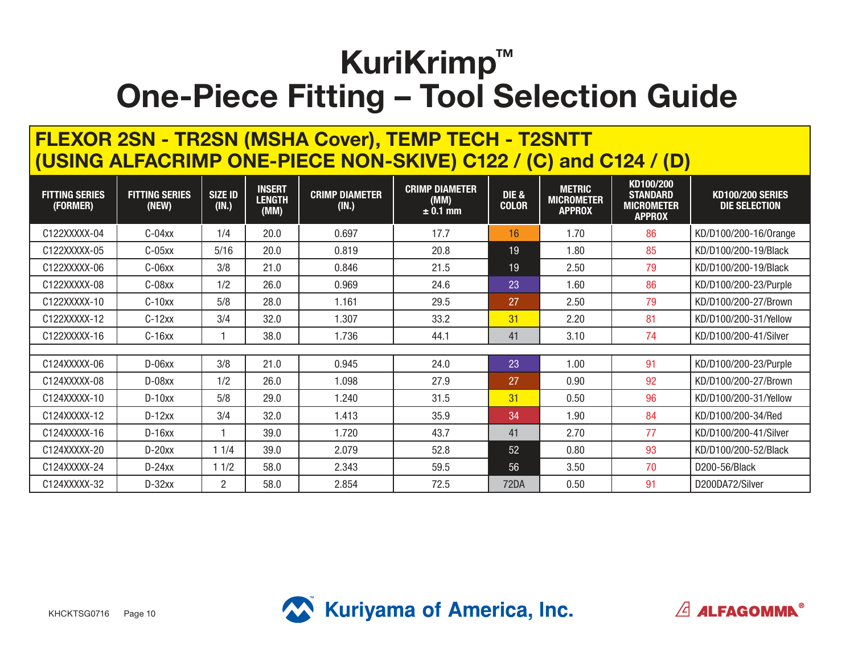#### **FLEXOR 2SN - TR2SN (MSHA Cover), TEMP TECH - T2SNTT (USING ALFACRIMP ONE-PIECE NON-SKIVE) C122 / (C) and C124 / (D)**

| <b>FITTING SERIES</b><br>(FORMER) | <b>FITTING SERIES</b><br>(NEW) | <b>SIZE ID</b><br>(IN.) | <b>INSERT</b><br><b>LENGTH</b><br>(MM) | <b>CRIMP DIAMETER</b><br>(IN.) | <b>CRIMP DIAMETER</b><br>(MM)<br>$\pm$ 0.1 mm | <b>DIE &amp;</b><br><b>COLOR</b> | <b>METRIC</b><br><b>MICROMETER</b><br><b>APPROX</b> | KD100/200<br><b>STANDARD</b><br><b>MICROMETER</b><br><b>APPROX</b> | <b>KD100/200 SERIES</b><br>DIE SELECTION |
|-----------------------------------|--------------------------------|-------------------------|----------------------------------------|--------------------------------|-----------------------------------------------|----------------------------------|-----------------------------------------------------|--------------------------------------------------------------------|------------------------------------------|
| C122XXXXX-04                      | $C-04xx$                       | 1/4                     | 20.0                                   | 0.697                          | 17.7                                          | 16                               | 1.70                                                | 86                                                                 | KD/D100/200-16/0range                    |
| C122XXXXX-05                      | $C-05xx$                       | 5/16                    | 20.0                                   | 0.819                          | 20.8                                          | 19                               | 1.80                                                | 85                                                                 | KD/D100/200-19/Black                     |
| C122XXXXX-06                      | C-06xx                         | 3/8                     | 21.0                                   | 0.846                          | 21.5                                          | 19                               | 2.50                                                | 79                                                                 | KD/D100/200-19/Black                     |
| C122XXXXX-08                      | C-08xx                         | 1/2                     | 26.0                                   | 0.969                          | 24.6                                          | 23                               | 1.60                                                | 86                                                                 | KD/D100/200-23/Purple                    |
| C122XXXXX-10                      | $C-10xx$                       | 5/8                     | 28.0                                   | 1.161                          | 29.5                                          | 27                               | 2.50                                                | 79                                                                 | KD/D100/200-27/Brown                     |
| C122XXXXX-12                      | $C-12xx$                       | 3/4                     | 32.0                                   | 1.307                          | 33.2                                          | 31                               | 2.20                                                | 81                                                                 | KD/D100/200-31/Yellow                    |
| C122XXXXX-16                      | $C-16xx$                       |                         | 38.0                                   | 1.736                          | 44.1                                          | 41                               | 3.10                                                | 74                                                                 | KD/D100/200-41/Silver                    |
|                                   |                                |                         |                                        |                                |                                               |                                  |                                                     |                                                                    |                                          |
| C124XXXXX-06                      | $D-06xx$                       | 3/8                     | 21.0                                   | 0.945                          | 24.0                                          | 23                               | 1.00                                                | 91                                                                 | KD/D100/200-23/Purple                    |
| C124XXXXX-08                      | D-08xx                         | 1/2                     | 26.0                                   | 1.098                          | 27.9                                          | 27                               | 0.90                                                | 92                                                                 | KD/D100/200-27/Brown                     |
| C124XXXXX-10                      | $D-10xx$                       | 5/8                     | 29.0                                   | 1.240                          | 31.5                                          | 31                               | 0.50                                                | 96                                                                 | KD/D100/200-31/Yellow                    |
| C124XXXXX-12                      | $D-12xx$                       | 3/4                     | 32.0                                   | 1.413                          | 35.9                                          | 34                               | 1.90                                                | 84                                                                 | KD/D100/200-34/Red                       |
| C124XXXXX-16                      | $D-16xx$                       |                         | 39.0                                   | 1.720                          | 43.7                                          | 41                               | 2.70                                                | 77                                                                 | KD/D100/200-41/Silver                    |
| C124XXXXX-20                      | $D-20xx$                       | 11/4                    | 39.0                                   | 2.079                          | 52.8                                          | 52                               | 0.80                                                | 93                                                                 | KD/D100/200-52/Black                     |
| C124XXXXX-24                      | $D-24xx$                       | 11/2                    | 58.0                                   | 2.343                          | 59.5                                          | 56                               | 3.50                                                | 70                                                                 | D200-56/Black                            |
| C124XXXXX-32                      | $D-32xx$                       | $\overline{2}$          | 58.0                                   | 2.854                          | 72.5                                          | 72DA                             | 0.50                                                | 91                                                                 | D200DA72/Silver                          |



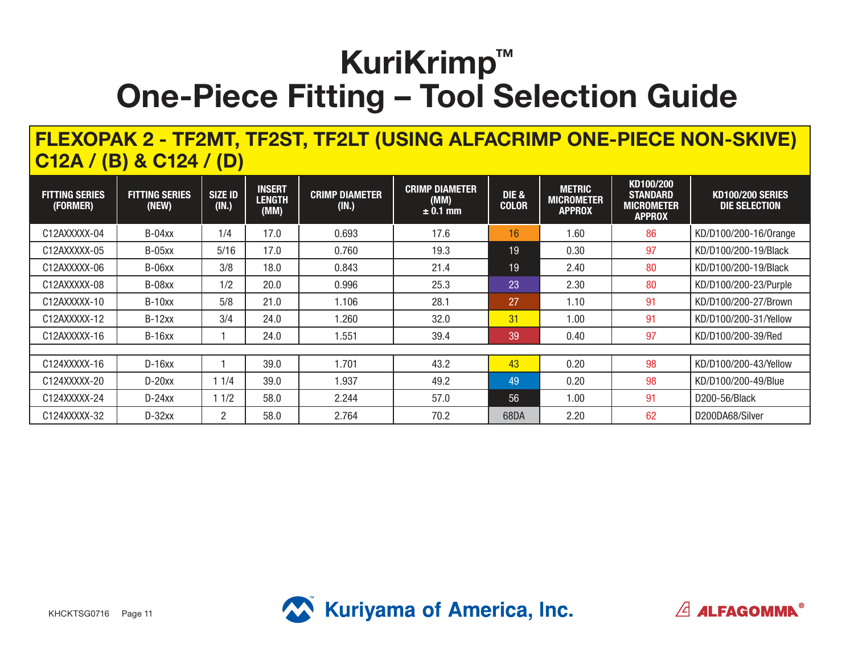#### **FLEXOPAK 2 - TF2MT, TF2ST, TF2LT (USING ALFACRIMP ONE-PIECE NON-SKIVE) C12A / (B) & C124 / (D)**

| <b>FITTING SERIES</b><br>(FORMER) | <b>FITTING SERIES</b><br>(NEW) | <b>SIZE ID</b><br>(IN.) | <b>INSERT</b><br><b>LENGTH</b><br>(MM) | <b>CRIMP DIAMETER</b><br>(N.) | <b>CRIMP DIAMETER</b><br>(MM)<br>$± 0.1$ mm | <b>DIE &amp;</b><br><b>COLOR</b> | <b>METRIC</b><br><b>MICROMETER</b><br><b>APPROX</b> | KD100/200<br><b>STANDARD</b><br><b>MICROMETER</b><br><b>APPROX</b> | <b>KD100/200 SERIES</b><br>DIE SELECTION |
|-----------------------------------|--------------------------------|-------------------------|----------------------------------------|-------------------------------|---------------------------------------------|----------------------------------|-----------------------------------------------------|--------------------------------------------------------------------|------------------------------------------|
| C12AXXXXX-04                      | $B-04xx$                       | 1/4                     | 17.0                                   | 0.693                         | 17.6                                        | 16                               | 1.60                                                | 86                                                                 | KD/D100/200-16/0range                    |
| C12AXXXXX-05                      | $B-05xx$                       | 5/16                    | 17.0                                   | 0.760                         | 19.3                                        | 19                               | 0.30                                                | 97                                                                 | KD/D100/200-19/Black                     |
| C12AXXXXX-06                      | $B-06xx$                       | 3/8                     | 18.0                                   | 0.843                         | 21.4                                        | 19                               | 2.40                                                | 80                                                                 | KD/D100/200-19/Black                     |
| C12AXXXXX-08                      | B-08xx                         | 1/2                     | 20.0                                   | 0.996                         | 25.3                                        | 23                               | 2.30                                                | 80                                                                 | KD/D100/200-23/Purple                    |
| C12AXXXXX-10                      | $B-10xx$                       | 5/8                     | 21.0                                   | 1.106                         | 28.1                                        | 27                               | 1.10                                                | 91                                                                 | KD/D100/200-27/Brown                     |
| C12AXXXXX-12                      | $B-12xx$                       | 3/4                     | 24.0                                   | .260                          | 32.0                                        | 31                               | 1.00                                                | 91                                                                 | KD/D100/200-31/Yellow                    |
| C12AXXXXX-16                      | $B-16xx$                       |                         | 24.0                                   | 1.551                         | 39.4                                        | 39                               | 0.40                                                | 97                                                                 | KD/D100/200-39/Red                       |
|                                   |                                |                         |                                        |                               |                                             |                                  |                                                     |                                                                    |                                          |
| C124XXXXX-16                      | $D-16xx$                       |                         | 39.0                                   | 1.701                         | 43.2                                        | 43                               | 0.20                                                | 98                                                                 | KD/D100/200-43/Yellow                    |
| C124XXXXX-20                      | $D-20xx$                       | 11/4                    | 39.0                                   | 1.937                         | 49.2                                        | 49                               | 0.20                                                | 98                                                                 | KD/D100/200-49/Blue                      |
| C124XXXXX-24                      | $D-24xx$                       | 11/2                    | 58.0                                   | 2.244                         | 57.0                                        | 56                               | 1.00                                                | 91                                                                 | D200-56/Black                            |
| C124XXXXX-32                      | $D-32xx$                       | 2                       | 58.0                                   | 2.764                         | 70.2                                        | 68DA                             | 2.20                                                | 62                                                                 | D200DA68/Silver                          |



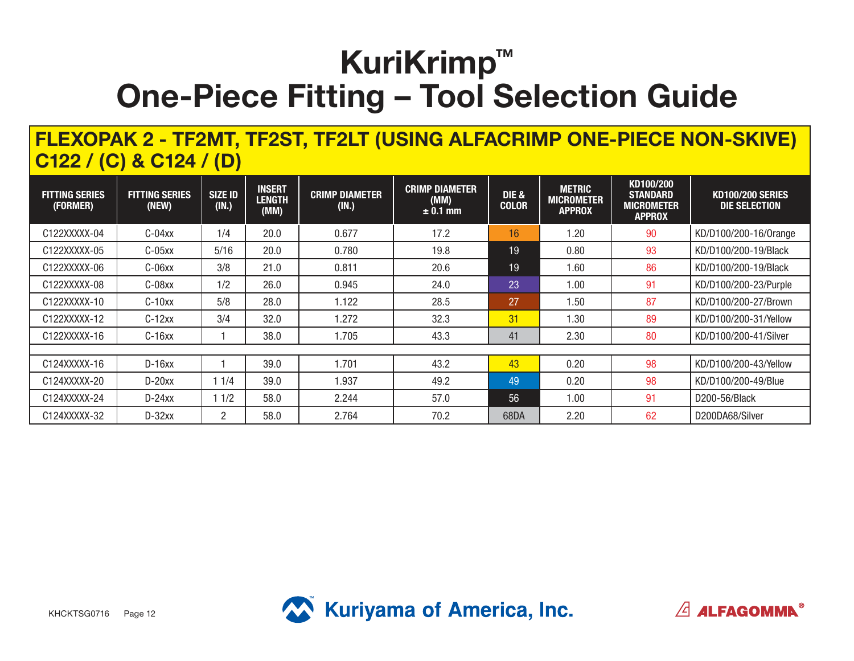#### **FLEXOPAK 2 - TF2MT, TF2ST, TF2LT (USING ALFACRIMP ONE-PIECE NON-SKIVE) C122 / (C) & C124 / (D)**

| <b>FITTING SERIES</b><br>(FORMER) | <b>FITTING SERIES</b><br>(NEW) | <b>SIZE ID</b><br>(IN.) | <b>INSERT</b><br><b>LENGTH</b><br>(MM) | <b>CRIMP DIAMETER</b><br>(N.) | <b>CRIMP DIAMETER</b><br>(MM)<br>$± 0.1$ mm | <b>DIE &amp;</b><br><b>COLOR</b> | <b>METRIC</b><br><b>MICROMETER</b><br><b>APPROX</b> | KD100/200<br><b>STANDARD</b><br><b>MICROMETER</b><br><b>APPROX</b> | <b>KD100/200 SERIES</b><br>DIE SELECTION |
|-----------------------------------|--------------------------------|-------------------------|----------------------------------------|-------------------------------|---------------------------------------------|----------------------------------|-----------------------------------------------------|--------------------------------------------------------------------|------------------------------------------|
| C122XXXXX-04                      | $C-04xx$                       | 1/4                     | 20.0                                   | 0.677                         | 17.2                                        | 16                               | 1.20                                                | 90                                                                 | KD/D100/200-16/0range                    |
| C122XXXXX-05                      | $C-05xx$                       | 5/16                    | 20.0                                   | 0.780                         | 19.8                                        | 19                               | 0.80                                                | 93                                                                 | KD/D100/200-19/Black                     |
| C122XXXXX-06                      | $C-06xx$                       | 3/8                     | 21.0                                   | 0.811                         | 20.6                                        | 19                               | 1.60                                                | 86                                                                 | KD/D100/200-19/Black                     |
| C122XXXXX-08                      | C-08xx                         | 1/2                     | 26.0                                   | 0.945                         | 24.0                                        | 23                               | 1.00                                                | 91                                                                 | KD/D100/200-23/Purple                    |
| C122XXXXX-10                      | $C-10xx$                       | 5/8                     | 28.0                                   | 1.122                         | 28.5                                        | 27                               | 1.50                                                | 87                                                                 | KD/D100/200-27/Brown                     |
| C122XXXXX-12                      | $C-12xx$                       | 3/4                     | 32.0                                   | 1.272                         | 32.3                                        | 31                               | 1.30                                                | 89                                                                 | KD/D100/200-31/Yellow                    |
| C122XXXXX-16                      | $C-16xx$                       |                         | 38.0                                   | 1.705                         | 43.3                                        | 41                               | 2.30                                                | 80                                                                 | KD/D100/200-41/Silver                    |
|                                   |                                |                         |                                        |                               |                                             |                                  |                                                     |                                                                    |                                          |
| C124XXXXX-16                      | $D-16xx$                       |                         | 39.0                                   | 1.701                         | 43.2                                        | 43                               | 0.20                                                | 98                                                                 | KD/D100/200-43/Yellow                    |
| C124XXXXX-20                      | $D-20xx$                       | 11/4                    | 39.0                                   | 1.937                         | 49.2                                        | 49                               | 0.20                                                | 98                                                                 | KD/D100/200-49/Blue                      |
| C124XXXXX-24                      | $D-24xx$                       | 11/2                    | 58.0                                   | 2.244                         | 57.0                                        | 56                               | 1.00                                                | 91                                                                 | D200-56/Black                            |
| C124XXXXX-32                      | $D-32xx$                       | $\overline{2}$          | 58.0                                   | 2.764                         | 70.2                                        | 68DA                             | 2.20                                                | 62                                                                 | D200DA68/Silver                          |



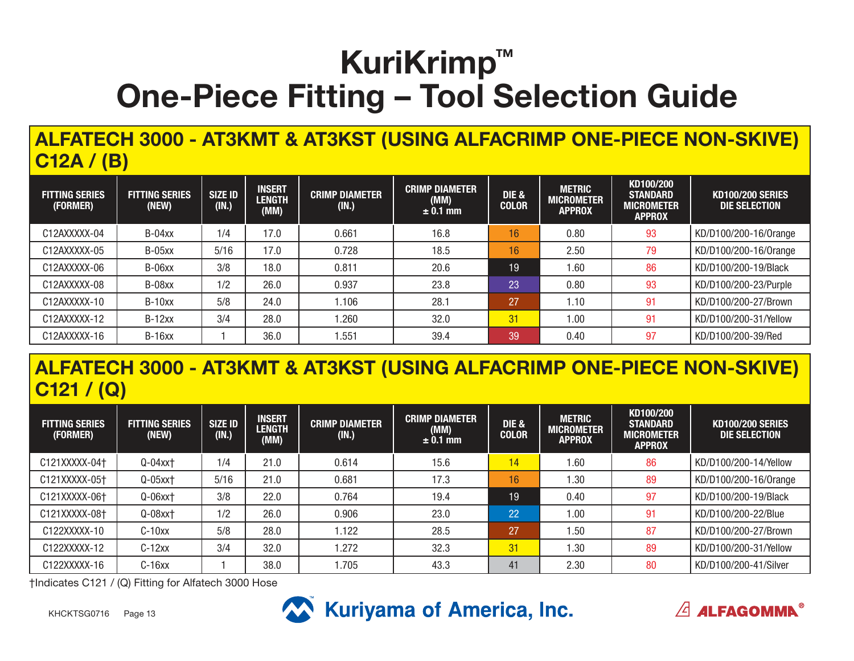### **ALFATECH 3000 - AT3KMT & AT3KST (USING ALFACRIMP ONE-PIECE NON-SKIVE) C12A / (B)**

| <b>FITTING SERIES</b><br>(FORMER) | <b>FITTING SERIES</b><br>(NEW) | <b>SIZE ID</b><br>(IN.) | <b>INSERT</b><br><b>LENGTH</b><br>(MM) | <b>CRIMP DIAMETER</b><br>(IN.) | <b>CRIMP DIAMETER</b><br>(MM)<br>$\pm$ 0.1 mm | <b>DIE &amp;</b><br><b>COLOR</b> | <b>METRIC</b><br><b>MICROMETER</b><br><b>APPROX</b> | KD100/200<br><b>STANDARD</b><br><b>MICROMETER</b><br><b>APPROX</b> | <b>KD100/200 SERIES</b><br>DIE SELECTION |
|-----------------------------------|--------------------------------|-------------------------|----------------------------------------|--------------------------------|-----------------------------------------------|----------------------------------|-----------------------------------------------------|--------------------------------------------------------------------|------------------------------------------|
| C12AXXXXX-04                      | B-04xx                         | 1/4                     | 17.0                                   | 0.661                          | 16.8                                          | 16                               | 0.80                                                | 93                                                                 | KD/D100/200-16/0range                    |
| C12AXXXXX-05                      | $B-05xx$                       | 5/16                    | 17.0                                   | 0.728                          | 18.5                                          | 16                               | 2.50                                                | 79                                                                 | KD/D100/200-16/0range                    |
| C12AXXXXX-06                      | B-06xx                         | 3/8                     | 18.0                                   | 0.811                          | 20.6                                          | 19                               | 1.60                                                | 86                                                                 | KD/D100/200-19/Black                     |
| C12AXXXXX-08                      | B-08xx                         | 1/2                     | 26.0                                   | 0.937                          | 23.8                                          | 23                               | 0.80                                                | 93                                                                 | KD/D100/200-23/Purple                    |
| C12AXXXXX-10                      | $B-10xx$                       | 5/8                     | 24.0                                   | 1.106                          | 28.1                                          | 27                               | 1.10                                                | 91                                                                 | KD/D100/200-27/Brown                     |
| C12AXXXXX-12                      | $B-12xx$                       | 3/4                     | 28.0                                   | 1.260                          | 32.0                                          | 31                               | 1.00                                                | 91                                                                 | KD/D100/200-31/Yellow                    |
| C12AXXXXX-16                      | <b>B-16xx</b>                  |                         | 36.0                                   | .551                           | 39.4                                          | 39                               | 0.40                                                | 97                                                                 | KD/D100/200-39/Red                       |

### **ALFATECH 3000 - AT3KMT & AT3KST (USING ALFACRIMP ONE-PIECE NON-SKIVE) C121 / (Q)**

| <b>FITTING SERIES</b><br>(FORMER) | <b>FITTING SERIES</b><br>(NEW) | <b>SIZE ID</b><br>(IN.) | <b>INSERT</b><br><b>LENGTH</b><br>(MM) | <b>CRIMP DIAMETER</b><br>(IN.) | <b>CRIMP DIAMETER</b><br>(MM)<br>$\pm$ 0.1 mm | <b>DIE &amp;</b><br><b>COLOR</b> | <b>METRIC</b><br>MICROMETER<br><b>APPROX</b> | KD100/200<br><b>STANDARD</b><br><b>MICROMETER</b><br><b>APPROX</b> | <b>KD100/200 SERIES</b><br>DIE SELECTION |
|-----------------------------------|--------------------------------|-------------------------|----------------------------------------|--------------------------------|-----------------------------------------------|----------------------------------|----------------------------------------------|--------------------------------------------------------------------|------------------------------------------|
| C121XXXXX-04+                     | $Q-04$ xx $\dagger$            | 1/4                     | 21.0                                   | 0.614                          | 15.6                                          | 14                               | .60                                          | 86                                                                 | KD/D100/200-14/Yellow                    |
| C121XXXXX-05+                     | $Q-05$ xx $\dagger$            | 5/16                    | 21.0                                   | 0.681                          | 17.3                                          | 16                               | .30                                          | 89                                                                 | KD/D100/200-16/Orange                    |
| C121XXXXX-06+                     | $Q-06$ xx $\dagger$            | 3/8                     | 22.0                                   | 0.764                          | 19.4                                          | 19                               | 0.40                                         | 97                                                                 | KD/D100/200-19/Black                     |
| C121XXXXX-08+                     | Q-08xx+                        | 1/2                     | 26.0                                   | 0.906                          | 23.0                                          | 22                               | 0.00                                         | 91                                                                 | KD/D100/200-22/Blue                      |
| C122XXXXX-10                      | $C-10xx$                       | 5/8                     | 28.0                                   | 1.122                          | 28.5                                          | 27                               | .50                                          | 87                                                                 | KD/D100/200-27/Brown                     |
| C122XXXXX-12                      | $C-12xx$                       | 3/4                     | 32.0                                   | 1.272                          | 32.3                                          | 31                               | .30                                          | 89                                                                 | KD/D100/200-31/Yellow                    |
| C122XXXXX-16                      | $C-16xx$                       |                         | 38.0                                   | .705                           | 43.3                                          | 41                               | 2.30                                         | 80                                                                 | KD/D100/200-41/Silver                    |

 $\sqrt{2}$  ALFAGOMMA<sup>®</sup>

†Indicates C121 / (Q) Fitting for Alfatech 3000 Hose

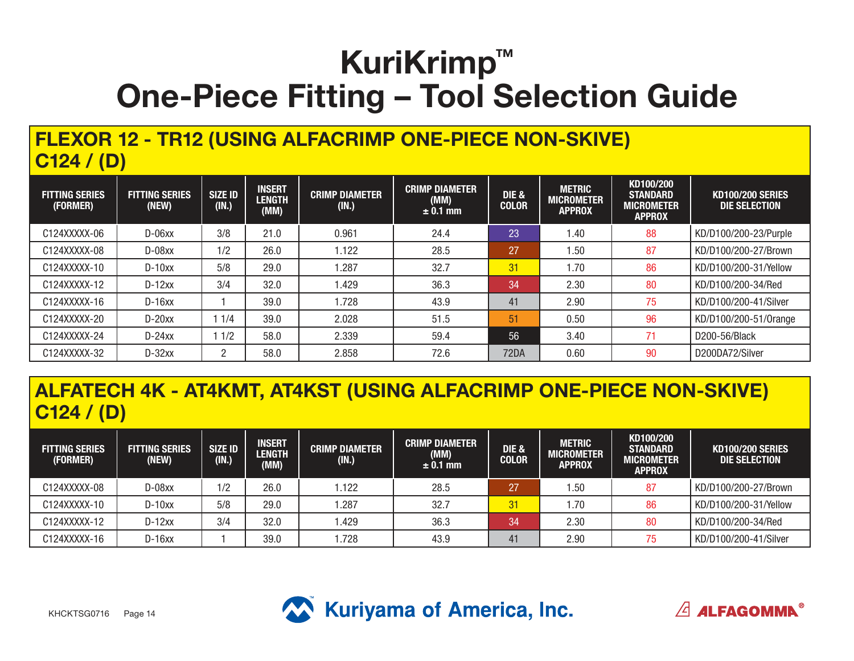#### **FLEXOR 12 - TR12 (USING ALFACRIMP ONE-PIECE NON-SKIVE) C124 / (D)**

| <b>FITTING SERIES</b><br>(FORMER) | <b>FITTING SERIES</b><br>(NEW) | <b>SIZE ID</b><br>(IN.) | <b>INSERT</b><br><b>LENGTH</b><br>(MM) | <b>CRIMP DIAMETER</b><br>(IN.) | <b>CRIMP DIAMETER</b><br>(MM)<br>$± 0.1$ mm | <b>DIE &amp;</b><br><b>COLOR</b> | <b>METRIC</b><br><b>MICROMETER</b><br><b>APPROX</b> | KD100/200<br><b>STANDARD</b><br><b>MICROMETER</b><br><b>APPROX</b> | <b>KD100/200 SERIES</b><br>DIE SELECTION |
|-----------------------------------|--------------------------------|-------------------------|----------------------------------------|--------------------------------|---------------------------------------------|----------------------------------|-----------------------------------------------------|--------------------------------------------------------------------|------------------------------------------|
| C124XXXXX-06                      | $D-06xx$                       | 3/8                     | 21.0                                   | 0.961                          | 24.4                                        | 23                               | 1.40                                                | 88                                                                 | KD/D100/200-23/Purple                    |
| C124XXXXX-08                      | $D-08xx$                       | 1/2                     | 26.0                                   | 1.122                          | 28.5                                        | 27                               | 1.50                                                | 87                                                                 | KD/D100/200-27/Brown                     |
| C124XXXXX-10                      | $D-10xx$                       | 5/8                     | 29.0                                   | 1.287                          | 32.7                                        | 31                               | 1.70                                                | 86                                                                 | KD/D100/200-31/Yellow                    |
| C124XXXXX-12                      | $D-12xx$                       | 3/4                     | 32.0                                   | 1.429                          | 36.3                                        | 34                               | 2.30                                                | 80                                                                 | KD/D100/200-34/Red                       |
| C124XXXXX-16                      | $D-16xx$                       |                         | 39.0                                   | 1.728                          | 43.9                                        | 41                               | 2.90                                                | 75                                                                 | KD/D100/200-41/Silver                    |
| C124XXXXX-20                      | $D-20xx$                       | 1/4                     | 39.0                                   | 2.028                          | 51.5                                        | 51                               | 0.50                                                | 96                                                                 | KD/D100/200-51/0range                    |
| C124XXXXX-24                      | $D-24xx$                       | 1/2                     | 58.0                                   | 2.339                          | 59.4                                        | 56                               | 3.40                                                | 71                                                                 | D200-56/Black                            |
| C124XXXXX-32                      | $D-32xx$                       | 2                       | 58.0                                   | 2.858                          | 72.6                                        | 72DA                             | 0.60                                                | 90                                                                 | D200DA72/Silver                          |

#### **ALFATECH 4K - AT4KMT, AT4KST (USING ALFACRIMP ONE-PIECE NON-SKIVE) C124 / (D)**

| <b>FITTING SERIES</b><br>(FORMER) | <b>FITTING SERIES</b><br>(NEW) | <b>SIZE ID</b><br>(IN.) | <b>INSERT</b><br><b>LENGTH</b><br>(MM) | <b>CRIMP DIAMETER</b><br>(IN.) | <b>CRIMP DIAMETER</b><br>(MM)<br>$\pm$ 0.1 mm | <b>DIE &amp;</b><br><b>COLOR</b> | <b>METRIC</b><br>MICROMETER<br><b>APPROX</b> | KD100/200<br><b>STANDARD</b><br><b>MICROMETER</b><br><b>APPROX</b> | <b>KD100/200 SERIES</b><br>DIE SELECTION |
|-----------------------------------|--------------------------------|-------------------------|----------------------------------------|--------------------------------|-----------------------------------------------|----------------------------------|----------------------------------------------|--------------------------------------------------------------------|------------------------------------------|
| C124XXXXX-08                      | D-08xx                         | 1/2                     | 26.0                                   | .122                           | 28.5                                          | 27                               | .50                                          | 87                                                                 | KD/D100/200-27/Brown                     |
| C124XXXXX-10                      | $D-10xx$                       | 5/8                     | 29.0                                   | .287                           | 32.7                                          | 31                               | .70                                          | 86                                                                 | KD/D100/200-31/Yellow                    |
| C124XXXXX-12                      | $D-12xx$                       | 3/4                     | 32.0                                   | .429                           | 36.3                                          | 34                               | 2.30                                         | 80                                                                 | KD/D100/200-34/Red                       |
| C124XXXXX-16                      | $D-16xx$                       |                         | 39.0                                   | .728                           | 43.9                                          | 41                               | 2.90                                         | 75                                                                 | KD/D100/200-41/Silver                    |



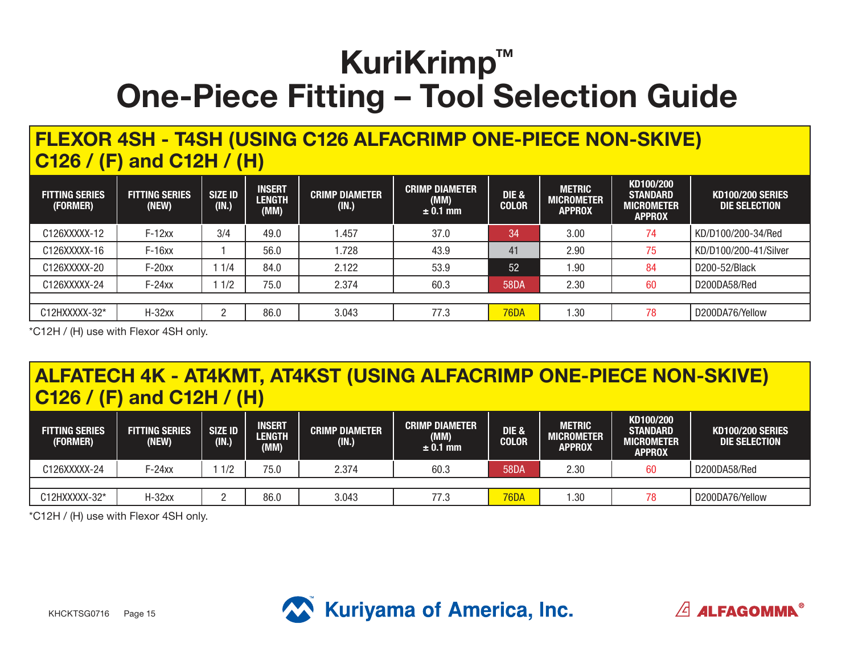### **FLEXOR 4SH - T4SH (USING C126 ALFACRIMP ONE-PIECE NON-SKIVE) C126 / (F) and C12H / (H)**

| <b>FITTING SERIES</b><br>(FORMER) | <b>FITTING SERIES</b><br>(NEW) | <b>SIZE ID</b><br>(IN.) | <b>INSERT</b><br><b>LENGTH</b><br>(MM) | <b>CRIMP DIAMETER</b><br>(IN.) | <b>CRIMP DIAMETER</b><br>(MM)<br>$\pm$ 0.1 mm | DIE &<br><b>COLOR</b> | <b>METRIC</b><br>MICROMETER<br><b>APPROX</b> | KD100/200<br><b>STANDARD</b><br><b>MICROMETER</b><br><b>APPROX</b> | <b>KD100/200 SERIES</b><br>DIE SELECTION |
|-----------------------------------|--------------------------------|-------------------------|----------------------------------------|--------------------------------|-----------------------------------------------|-----------------------|----------------------------------------------|--------------------------------------------------------------------|------------------------------------------|
| C126XXXXX-12                      | $F-12xx$                       | 3/4                     | 49.0                                   | 1.457                          | 37.0                                          | 34                    | 3.00                                         | 74                                                                 | KD/D100/200-34/Red                       |
| C126XXXXX-16                      | $F-16xx$                       |                         | 56.0                                   | 1.728                          | 43.9                                          | 41                    | 2.90                                         | 75                                                                 | KD/D100/200-41/Silver                    |
| C126XXXXX-20                      | $F-20xx$                       | 1/4                     | 84.0                                   | 2.122                          | 53.9                                          | 52                    | .90                                          | 84                                                                 | D200-52/Black                            |
| C126XXXXX-24                      | $F-24xx$                       | 1/2                     | 75.0                                   | 2.374                          | 60.3                                          | <b>58DA</b>           | 2.30                                         | 60                                                                 | D200DA58/Red                             |
|                                   |                                |                         |                                        |                                |                                               |                       |                                              |                                                                    |                                          |
| C12HXXXXX-32*                     | $H-32xx$                       |                         | 86.0                                   | 3.043                          | 77.3                                          | <b>76DA</b>           | 1.30                                         | 78                                                                 | D200DA76/Yellow                          |

\*C12H / (H) use with Flexor 4SH only.

#### **ALFATECH 4K - AT4KMT, AT4KST (USING ALFACRIMP ONE-PIECE NON-SKIVE) C126 / (F) and C12H / (H)**

| <b>FITTING SERIES</b><br>(FORMER) | <b>FITTING SERIES</b><br>(NEW) | SIZE ID<br>(IN.) | <b>INSERT</b><br><b>LENGTH</b><br>(MM) | <b>CRIMP DIAMETER</b><br>(IN.) | <b>CRIMP DIAMETER</b><br>(MM)<br>$\pm$ 0.1 mm | DIE &<br><b>COLOR</b> | <b>METRIC</b><br>MICROMETER<br><b>APPROX</b> | KD100/200<br><b>STANDARD</b><br><b>MICROMETER</b><br><b>APPROX</b> | <b>KD100/200 SERIES</b><br><b>DIE SELECTION</b> |
|-----------------------------------|--------------------------------|------------------|----------------------------------------|--------------------------------|-----------------------------------------------|-----------------------|----------------------------------------------|--------------------------------------------------------------------|-------------------------------------------------|
| C126XXXXX-24                      | $F-24xx$                       | 1/2              | 75.0                                   | 2.374                          | 60.3                                          | <b>58DA</b>           | 2.30                                         | 60                                                                 | D200DA58/Red                                    |
|                                   |                                |                  |                                        |                                |                                               |                       |                                              |                                                                    |                                                 |
| C12HXXXXX-32*                     | H-32xx                         |                  | 86.0                                   | 3.043                          | 77.3                                          | <b>76DA</b>           | 1.30                                         | 78                                                                 | D200DA76/Yellow                                 |

\*C12H / (H) use with Flexor 4SH only.



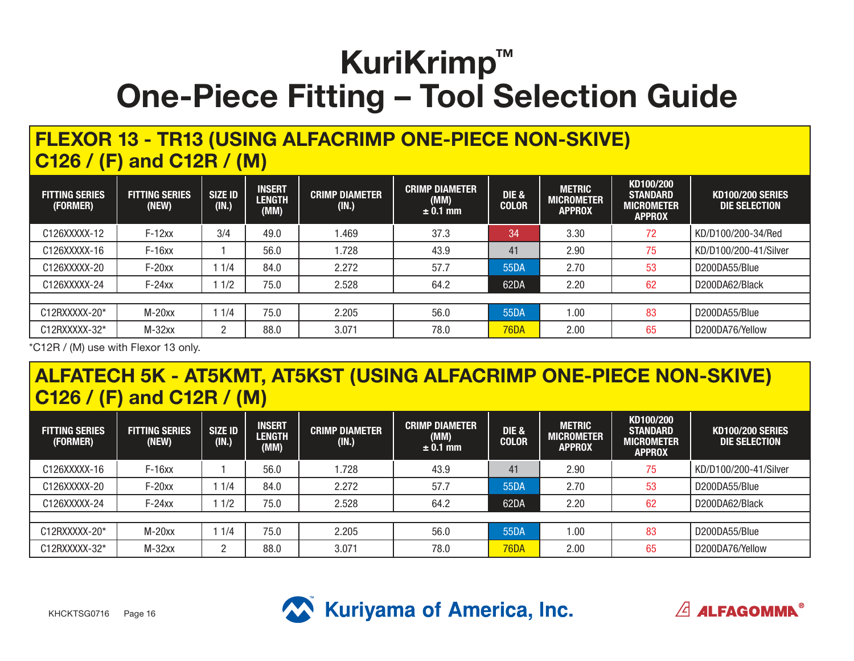### **FLEXOR 13 - TR13 (USING ALFACRIMP ONE-PIECE NON-SKIVE) C126 / (F) and C12R / (M)**

| <b>FITTING SERIES</b><br>(FORMER) | <b>FITTING SERIES</b><br>(NEW) | <b>SIZE ID</b><br>(IN.) | <b>INSERT</b><br><b>LENGTH</b><br>(MM) | <b>CRIMP DIAMETER</b><br>(IN.) | <b>CRIMP DIAMETER</b><br>(MM)<br>$\pm$ 0.1 mm | DIE &<br><b>COLOR</b> | <b>METRIC</b><br><b>MICROMETER</b><br><b>APPROX</b> | KD100/200<br><b>STANDARD</b><br><b>MICROMETER</b><br><b>APPROX</b> | <b>KD100/200 SERIES</b><br>DIE SELECTION |
|-----------------------------------|--------------------------------|-------------------------|----------------------------------------|--------------------------------|-----------------------------------------------|-----------------------|-----------------------------------------------------|--------------------------------------------------------------------|------------------------------------------|
| C126XXXXX-12                      | $F-12xx$                       | 3/4                     | 49.0                                   | .469                           | 37.3                                          | 34                    | 3.30                                                | 72                                                                 | KD/D100/200-34/Red                       |
| C126XXXXX-16                      | $F-16xx$                       |                         | 56.0                                   | .728                           | 43.9                                          | 41                    | 2.90                                                | 75                                                                 | KD/D100/200-41/Silver                    |
| C126XXXXX-20                      | $F-20xx$                       | 1/4                     | 84.0                                   | 2.272                          | 57.7                                          | 55DA                  | 2.70                                                | 53                                                                 | D200DA55/Blue                            |
| C126XXXXX-24                      | $F-24xx$                       | 1/2                     | 75.0                                   | 2.528                          | 64.2                                          | 62DA                  | 2.20                                                | 62                                                                 | D200DA62/Black                           |
|                                   |                                |                         |                                        |                                |                                               |                       |                                                     |                                                                    |                                          |
| C12RXXXXX-20*                     | $M-20xx$                       | 1/4                     | 75.0                                   | 2.205                          | 56.0                                          | 55DA                  | 1.00                                                | 83                                                                 | D200DA55/Blue                            |
| C12RXXXXX-32*                     | $M-32xx$                       |                         | 88.0                                   | 3.071                          | 78.0                                          | <b>76DA</b>           | 2.00                                                | 65                                                                 | D200DA76/Yellow                          |

\*C12R / (M) use with Flexor 13 only.

#### **ALFATECH 5K - AT5KMT, AT5KST (USING ALFACRIMP ONE-PIECE NON-SKIVE) C126 / (F) and C12R / (M)**

| <b>FITTING SERIES</b><br>(FORMER) | <b>FITTING SERIES</b><br>(NEW) | SIZE ID<br>(IN.) | <b>INSERT</b><br><b>LENGTH</b><br>(MM) | <b>CRIMP DIAMETER</b><br>(IN.) | <b>CRIMP DIAMETER</b><br>(MM)<br>$\pm$ 0.1 mm | DIE &<br><b>COLOR</b> | <b>METRIC</b><br><b>MICROMETER</b><br><b>APPROX</b> | KD100/200<br><b>STANDARD</b><br><b>MICROMETER</b><br><b>APPROX</b> | <b>KD100/200 SERIES</b><br>DIE SELECTION |
|-----------------------------------|--------------------------------|------------------|----------------------------------------|--------------------------------|-----------------------------------------------|-----------------------|-----------------------------------------------------|--------------------------------------------------------------------|------------------------------------------|
| C126XXXXX-16                      | $F-16xx$                       |                  | 56.0                                   | .728                           | 43.9                                          | 41                    | 2.90                                                | 75                                                                 | KD/D100/200-41/Silver                    |
| C126XXXXX-20                      | $F-20xx$                       | 1/4              | 84.0                                   | 2.272                          | 57.7                                          | 55DA                  | 2.70                                                | 53                                                                 | D200DA55/Blue                            |
| C126XXXXX-24                      | $F-24xx$                       | 1/2              | 75.0                                   | 2.528                          | 64.2                                          | 62DA                  | 2.20                                                | 62                                                                 | D200DA62/Black                           |
|                                   |                                |                  |                                        |                                |                                               |                       |                                                     |                                                                    |                                          |
| C12RXXXXX-20*                     | $M-20xx$                       | 1/4              | 75.0                                   | 2.205                          | 56.0                                          | 55DA                  | .00.                                                | 83                                                                 | D200DA55/Blue                            |
| C12RXXXXX-32*                     | $M-32xx$                       | n                | 88.0                                   | 3.071                          | 78.0                                          | 76DA                  | 2.00                                                | 65                                                                 | D200DA76/Yellow                          |



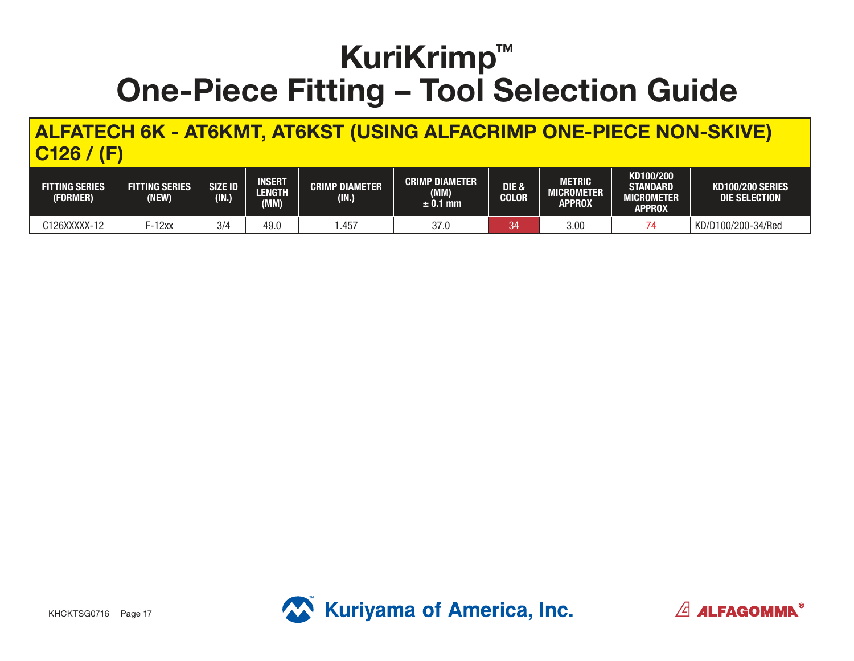**ALFATECH 6K - AT6KMT, AT6KST (USING ALFACRIMP ONE-PIECE NON-SKIVE) C126 / (F)**

| <b>FITTING SERIES</b><br>(FORMER) | <b>FITTING SERIES</b><br>(NEW) | <b>SIZE ID</b><br>(1N) | <b>INSERT</b><br>LENGTH<br>(MM) | <b>CRIMP DIAMETER</b><br>(IN.) | <b>CRIMP DIAMETER</b><br>(MM)<br>± 0.1 mm | DIE &<br><b>COLOR</b> | METRIC<br><b>MICROMETER</b><br>APPROX | KD100/200<br><b>STANDARD</b><br>MICROMETER .<br>APPROX | <b>KD100/200 SERIES</b><br>DIE SELECTION |
|-----------------------------------|--------------------------------|------------------------|---------------------------------|--------------------------------|-------------------------------------------|-----------------------|---------------------------------------|--------------------------------------------------------|------------------------------------------|
| C126XXXXX-12                      | F-12xx                         | 3/4                    | 49.0                            | .457                           | 37.0                                      | 34                    | 3.00                                  |                                                        | KD/D100/200-34/Red                       |



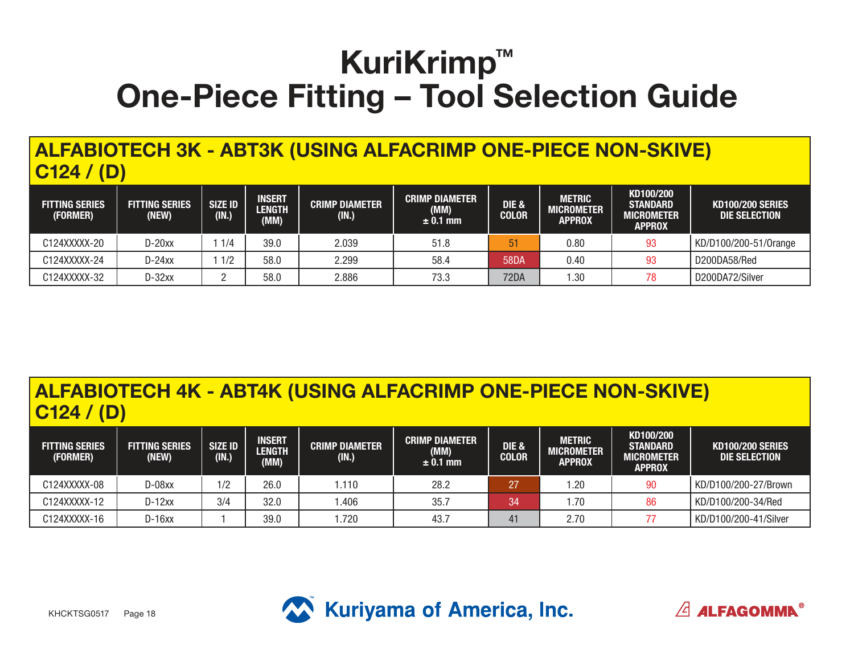### **ALFABIOTECH 3K - ABT3K (USING ALFACRIMP ONE-PIECE NON-SKIVE) C124 / (D)**

| <b>FITTING SERIES</b><br>(FORMER) | <b>FITTING SERIES</b><br>(NEW) | <b>SIZE ID</b><br>(IN.) | <b>INSERT</b><br><b>LENGTH</b><br>(MM) | <b>CRIMP DIAMETER</b><br>(IN.) | <b>CRIMP DIAMETER</b><br>(MM)<br>$\pm$ 0.1 mm | <b>DIE &amp;</b><br><b>COLOR</b> | <b>METRIC</b><br>MICROMETER<br><b>APPROX</b> | KD100/200<br><b>STANDARD</b><br><b>MICROMETER</b><br><b>APPROX</b> | <b>KD100/200 SERIES</b><br>DIE SELECTION |
|-----------------------------------|--------------------------------|-------------------------|----------------------------------------|--------------------------------|-----------------------------------------------|----------------------------------|----------------------------------------------|--------------------------------------------------------------------|------------------------------------------|
| C124XXXXX-20                      | $D-20xx$                       | 1/4                     | 39.0                                   | 2.039                          | 51.8                                          | 51                               | 0.80                                         | 93                                                                 | KD/D100/200-51/0range                    |
| C124XXXXX-24                      | $D-24xx$                       | 1/2                     | 58.0                                   | 2.299                          | 58.4                                          | <b>58DA</b>                      | 0.40                                         | 93                                                                 | D200DA58/Red                             |
| C124XXXXX-32                      | $D-32xx$                       |                         | 58.0                                   | 2.886                          | 73.3                                          | 72DA                             | .30                                          | 78                                                                 | D200DA72/Silver                          |

#### **ALFABIOTECH 4K - ABT4K (USING ALFACRIMP ONE-PIECE NON-SKIVE) C124 / (D)**

| <b>FITTING SERIES</b><br>(FORMER) | <b>FITTING SERIES</b><br>(NEW) | SIZE ID<br>(IN.) | <b>INSERT</b><br><b>LENGTH</b><br>(MM) | <b>CRIMP DIAMETER</b><br>(IN.) | <b>CRIMP DIAMETER</b><br>(MM)<br>$\pm$ 0.1 mm | <b>DIE &amp;</b><br><b>COLOR</b> | <b>METRIC</b><br><b>MICROMETER</b><br>APPROX | KD100/200<br><b>STANDARD</b><br><b>MICROMETER</b><br><b>APPROX</b> | KD100/200 SERIES<br>DIE SELECTION |
|-----------------------------------|--------------------------------|------------------|----------------------------------------|--------------------------------|-----------------------------------------------|----------------------------------|----------------------------------------------|--------------------------------------------------------------------|-----------------------------------|
| C124XXXXX-08                      | D-08xx                         | 1/2              | 26.0                                   | 1.110                          | 28.2                                          | 27                               | .20                                          | 90                                                                 | KD/D100/200-27/Brown              |
| C124XXXXX-12                      | $D-12xx$                       | 3/4              | 32.0                                   | .406                           | 35.7                                          | 34                               | . .70                                        | 86                                                                 | KD/D100/200-34/Red                |
| C124XXXXX-16                      | $D-16xx$                       |                  | 39.0                                   | .720                           | 43.7                                          | 41                               | 2.70                                         |                                                                    | KD/D100/200-41/Silver             |



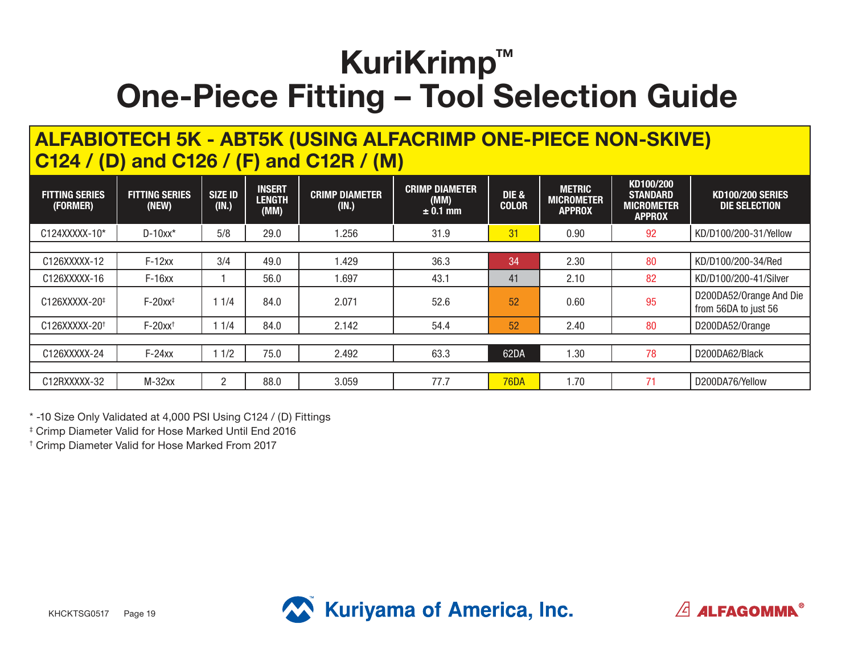#### **ALFABIOTECH 5K - ABT5K (USING ALFACRIMP ONE-PIECE NON-SKIVE) C124 / (D) and C126 / (F) and C12R / (M)**

| <b>FITTING SERIES</b><br>(FORMER) | <b>FITTING SERIES</b><br>(NEW) | <b>SIZE ID</b><br>(IN.) | <b>INSERT</b><br><b>LENGTH</b><br>(MM) | <b>CRIMP DIAMETER</b><br>(IN.) | <b>CRIMP DIAMETER</b><br>(MM)<br>$± 0.1$ mm | <b>DIE &amp;</b><br><b>COLOR</b> | <b>METRIC</b><br><b>MICROMETER</b><br><b>APPROX</b> | KD100/200<br><b>STANDARD</b><br><b>MICROMETER</b><br><b>APPROX</b> | <b>KD100/200 SERIES</b><br><b>DIE SELECTION</b> |
|-----------------------------------|--------------------------------|-------------------------|----------------------------------------|--------------------------------|---------------------------------------------|----------------------------------|-----------------------------------------------------|--------------------------------------------------------------------|-------------------------------------------------|
| C124XXXXX-10*                     | $D-10xx*$                      | 5/8                     | 29.0                                   | .256                           | 31.9                                        | 31                               | 0.90                                                | 92                                                                 | KD/D100/200-31/Yellow                           |
|                                   |                                |                         |                                        |                                |                                             |                                  |                                                     |                                                                    |                                                 |
| C126XXXXX-12                      | $F-12xx$                       | 3/4                     | 49.0                                   | 1.429                          | 36.3                                        | 34                               | 2.30                                                | 80                                                                 | KD/D100/200-34/Red                              |
| C126XXXXX-16                      | $F-16xx$                       |                         | 56.0                                   | .697                           | 43.1                                        | 41                               | 2.10                                                | 82                                                                 | KD/D100/200-41/Silver                           |
| C126XXXXX-20 <sup>‡</sup>         | $F-20xx^{\ddagger}$            | 1/4                     | 84.0                                   | 2.071                          | 52.6                                        | 52                               | 0.60                                                | 95                                                                 | D200DA52/Orange And Die<br>from 56DA to just 56 |
| C126XXXXX-20 <sup>+</sup>         | $F-20xx$ <sup>+</sup>          | 1/4                     | 84.0                                   | 2.142                          | 54.4                                        | 52                               | 2.40                                                | 80                                                                 | D200DA52/Orange                                 |
|                                   |                                |                         |                                        |                                |                                             |                                  |                                                     |                                                                    |                                                 |
| C126XXXXX-24                      | $F-24xx$                       | 1/2                     | 75.0                                   | 2.492                          | 63.3                                        | 62DA                             | l.30                                                | 78                                                                 | D200DA62/Black                                  |
|                                   |                                |                         |                                        |                                |                                             |                                  |                                                     |                                                                    |                                                 |
| C12RXXXXX-32                      | $M-32xx$                       | $\overline{2}$          | 88.0                                   | 3.059                          | 77.7                                        | <b>76DA</b>                      | 1.70                                                | 71                                                                 | D200DA76/Yellow                                 |

\* -10 Size Only Validated at 4,000 PSI Using C124 / (D) Fittings

‡ Crimp Diameter Valid for Hose Marked Until End 2016

† Crimp Diameter Valid for Hose Marked From 2017



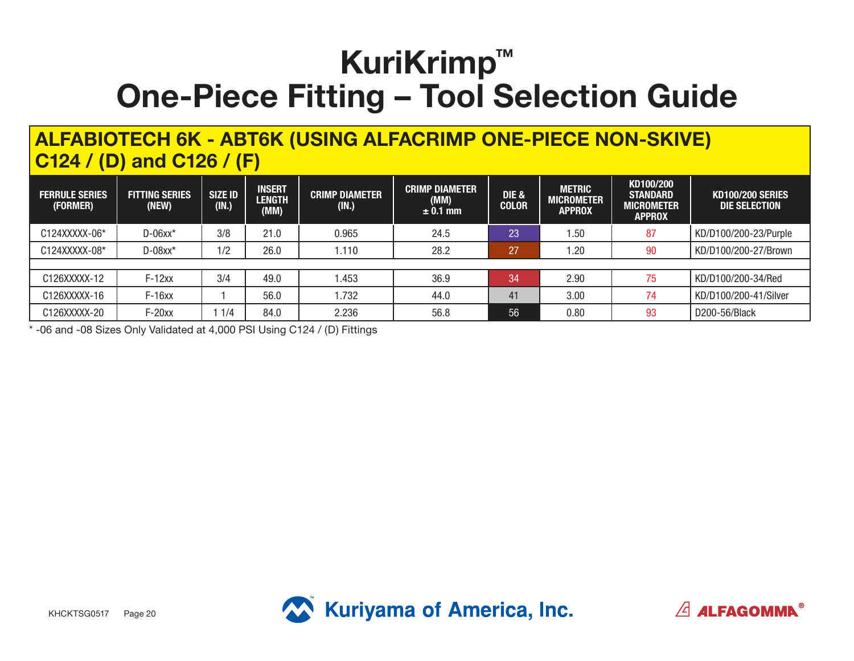#### **ALFABIOTECH 6K - ABT6K (USING ALFACRIMP ONE-PIECE NON-SKIVE) C124 / (D) and C126 / (F)**

| <b>FERRULE SERIES</b><br>(FORMER) | <b>FITTING SERIES</b><br>(NEW) | <b>SIZE ID</b><br>(IN.) | <b>INSERT</b><br><b>LENGTH</b><br>(MM) | <b>CRIMP DIAMETER</b><br>(IN.) | <b>CRIMP DIAMETER</b><br>(MM)<br>$\pm$ 0.1 mm | DIE &<br><b>COLOR</b> | <b>METRIC</b><br><b>MICROMETER</b><br><b>APPROX</b> | KD100/200<br><b>STANDARD</b><br><b>MICROMETER</b><br><b>APPROX</b> | <b>KD100/200 SERIES</b><br>DIE SELECTION |
|-----------------------------------|--------------------------------|-------------------------|----------------------------------------|--------------------------------|-----------------------------------------------|-----------------------|-----------------------------------------------------|--------------------------------------------------------------------|------------------------------------------|
| C124XXXXX-06*                     | $D-06xx*$                      | 3/8                     | 21.0                                   | 0.965                          | 24.5                                          | 23                    | 1.50                                                | 87                                                                 | KD/D100/200-23/Purple                    |
| C124XXXXX-08*                     | $D-08xx*$                      | 1/2                     | 26.0                                   | 1.110                          | 28.2                                          | 27                    | . 20                                                | 90                                                                 | KD/D100/200-27/Brown                     |
|                                   |                                |                         |                                        |                                |                                               |                       |                                                     |                                                                    |                                          |
| C126XXXXX-12                      | $F-12xx$                       | 3/4                     | 49.0                                   | 1.453                          | 36.9                                          | 34                    | 2.90                                                | 75                                                                 | KD/D100/200-34/Red                       |
| C126XXXXX-16                      | $F-16xx$                       |                         | 56.0                                   | 1.732                          | 44.0                                          | 41                    | 3.00                                                | 74                                                                 | KD/D100/200-41/Silver                    |
| C126XXXXX-20                      | $F-20xx$                       | 1/4                     | 84.0                                   | 2.236                          | 56.8                                          | 56                    | 0.80                                                | 93                                                                 | D200-56/Black                            |

\* -06 and -08 Sizes Only Validated at 4,000 PSI Using C124 / (D) Fittings



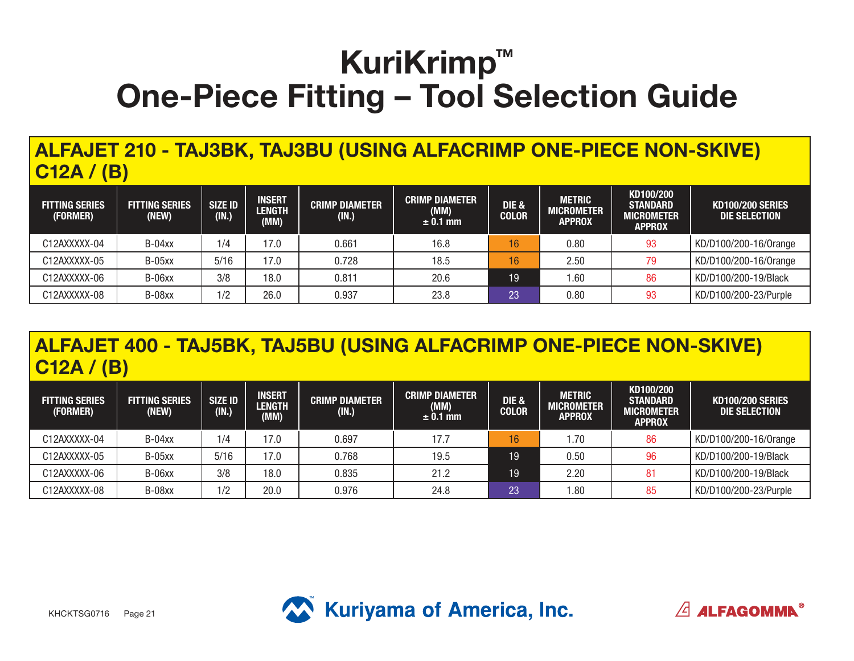**ALFAJET 210 - TAJ3BK, TAJ3BU (USING ALFACRIMP ONE-PIECE NON-SKIVE) C12A / (B)**

| <b>FITTING SERIES</b><br>(FORMER) | <b>FITTING SERIES</b><br>(NEW) | <b>SIZE ID</b><br>(IN.) | <b>INSERT</b><br><b>LENGTH</b><br>(MM) | <b>CRIMP DIAMETER</b><br>(IN.) | <b>CRIMP DIAMETER</b><br>(MM)<br>$± 0.1$ mm | DIE &<br><b>COLOR</b> | <b>METRIC</b><br><b>MICROMETER</b><br><b>APPROX</b> | KD100/200<br><b>STANDARD</b><br><b>MICROMETER</b><br><b>APPROX</b> | <b>KD100/200 SERIES</b><br>DIE SELECTION |
|-----------------------------------|--------------------------------|-------------------------|----------------------------------------|--------------------------------|---------------------------------------------|-----------------------|-----------------------------------------------------|--------------------------------------------------------------------|------------------------------------------|
| C12AXXXXX-04                      | $B-04xx$                       | 1/4                     | 17.0                                   | 0.661                          | 16.8                                        | 16                    | 0.80                                                | 93                                                                 | KD/D100/200-16/0range                    |
| C12AXXXXX-05                      | $B-05xx$                       | 5/16                    | 17.0                                   | 0.728                          | 18.5                                        | 16                    | 2.50                                                | 79                                                                 | KD/D100/200-16/0range                    |
| C12AXXXXX-06                      | B-06xx                         | 3/8                     | 18.0                                   | 0.811                          | 20.6                                        | 19                    | .60                                                 | 86                                                                 | KD/D100/200-19/Black                     |
| C12AXXXXX-08                      | B-08xx                         | 1/2                     | 26.0                                   | 0.937                          | 23.8                                        | 23                    | 0.80                                                | 93                                                                 | KD/D100/200-23/Purple                    |

### **ALFAJET 400 - TAJ5BK, TAJ5BU (USING ALFACRIMP ONE-PIECE NON-SKIVE) C12A / (B)**

| <b>FITTING SERIES</b><br>(FORMER) | <b>FITTING SERIES</b><br>(NEW) | <b>SIZE ID</b><br>(IN.) | <b>INSERT</b><br><b>LENGTH</b><br>(MM) | <b>CRIMP DIAMETER</b><br>(IN.) | <b>CRIMP DIAMETER</b><br>(MM)<br>$\pm$ 0.1 mm | <b>DIE &amp;</b><br><b>COLOR</b> | <b>METRIC</b><br>MICROMETER<br><b>APPROX</b> | KD100/200<br><b>STANDARD</b><br><b>MICROMETER</b><br><b>APPROX</b> | <b>KD100/200 SERIES</b><br>DIE SELECTION |
|-----------------------------------|--------------------------------|-------------------------|----------------------------------------|--------------------------------|-----------------------------------------------|----------------------------------|----------------------------------------------|--------------------------------------------------------------------|------------------------------------------|
| C12AXXXXX-04                      | $B-04xx$                       | 1/4                     | 7.0                                    | 0.697                          | 17.7                                          | 16                               | .70.،                                        | 86                                                                 | KD/D100/200-16/0range                    |
| C12AXXXXX-05                      | $B-05xx$                       | 5/16                    | 17.0                                   | 0.768                          | 19.5                                          | 19                               | 0.50                                         | 96                                                                 | KD/D100/200-19/Black                     |
| C12AXXXXX-06                      | B-06xx                         | 3/8                     | 18.0                                   | 0.835                          | 21.2                                          | 19                               | 2.20                                         |                                                                    | KD/D100/200-19/Black                     |
| C12AXXXXX-08                      | B-08xx                         | 1/2                     | 20.0                                   | 0.976                          | 24.8                                          | 23                               | .80                                          | 85                                                                 | KD/D100/200-23/Purple                    |



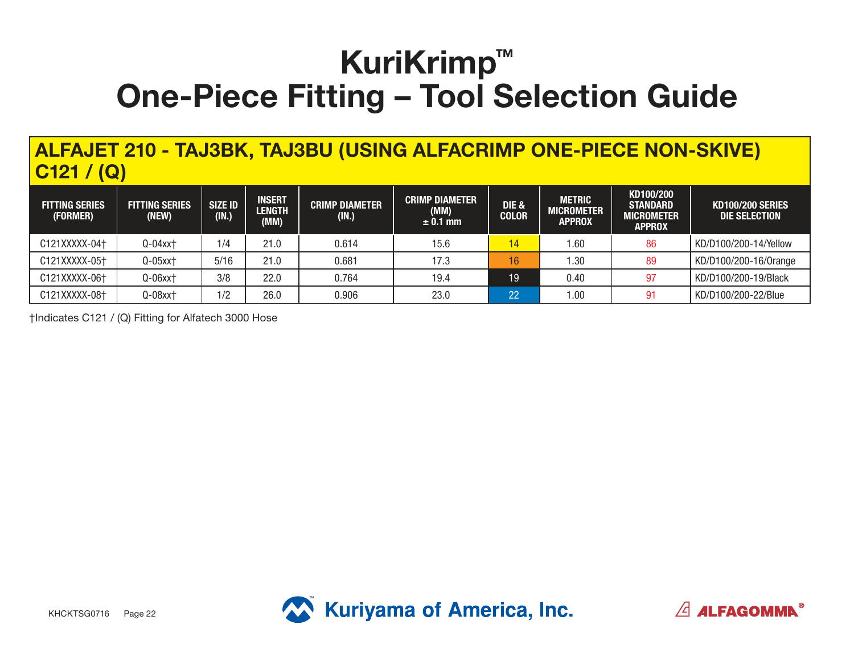**ALFAJET 210 - TAJ3BK, TAJ3BU (USING ALFACRIMP ONE-PIECE NON-SKIVE) C121 / (Q)**

| <b>FITTING SERIES</b><br>(FORMER) | <b>FITTING SERIES</b><br>(NEW) | SIZE ID<br>(IN.) | <b>INSERT</b><br><b>LENGTH</b><br>(MM) | <b>CRIMP DIAMETER</b><br>(IN.) | <b>CRIMP DIAMETER</b><br>(MM)<br>$\pm$ 0.1 mm | <b>DIE &amp;</b><br><b>COLOR</b> | <b>METRIC</b><br>MICROMETER<br><b>APPROX</b> | KD100/200<br><b>STANDARD</b><br><b>MICROMETER</b><br><b>APPROX</b> | <b>KD100/200 SERIES</b><br>DIE SELECTION |
|-----------------------------------|--------------------------------|------------------|----------------------------------------|--------------------------------|-----------------------------------------------|----------------------------------|----------------------------------------------|--------------------------------------------------------------------|------------------------------------------|
| C121XXXXX-04†                     | $Q-04$ xx $\dagger$            | 1/4              | 21.0                                   | 0.614                          | 15.6                                          | 14                               | .60                                          | 86                                                                 | KD/D100/200-14/Yellow                    |
| C121XXXXX-05†                     | $Q-05$ $x$ $t$                 | 5/16             | 21.0                                   | 0.681                          | 17.3                                          | 16 <sup>°</sup>                  | .30                                          | 89                                                                 | KD/D100/200-16/0range                    |
| C121XXXXX-06†                     | $Q-06$ xx <sup>+</sup>         | 3/8              | 22.0                                   | 0.764                          | 19.4                                          | 19                               | 0.40                                         | 97                                                                 | KD/D100/200-19/Black                     |
| C121XXXXX-08+                     | $Q-08$ xx $\dagger$            | 1/2              | 26.0                                   | 0.906                          | 23.0                                          | 22                               | $\mathord{\text{.00}}$                       | 91                                                                 | KD/D100/200-22/Blue                      |

†Indicates C121 / (Q) Fitting for Alfatech 3000 Hose



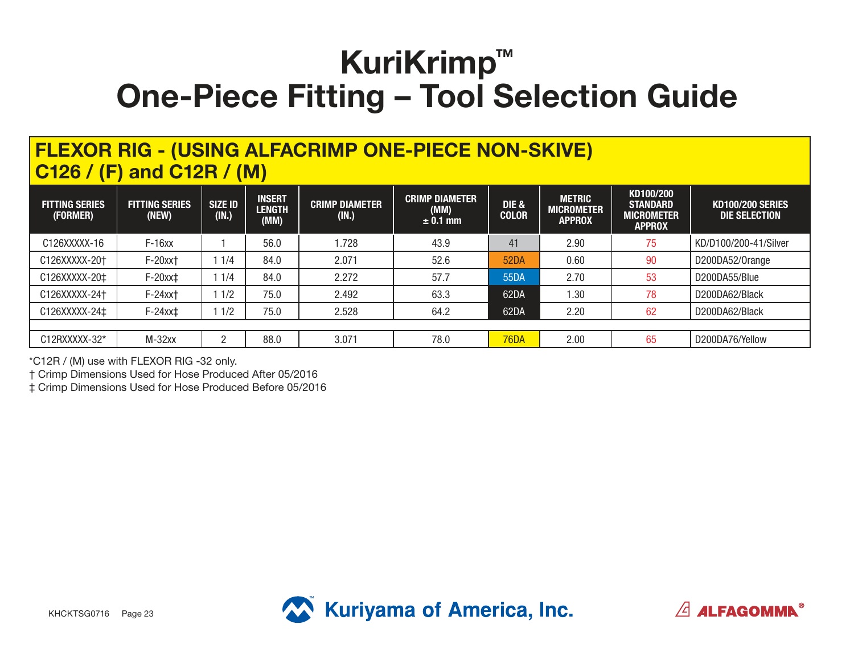#### **FLEXOR RIG - (USING ALFACRIMP ONE-PIECE NON-SKIVE) C126 / (F) and C12R / (M)**

| <b>FITTING SERIES</b><br>(FORMER) | <b>FITTING SERIES</b><br>(NEW) | <b>SIZE ID</b><br>(IN.) | <b>INSERT</b><br><b>LENGTH</b><br>(MM) | <b>CRIMP DIAMETER</b><br>(IN.) | <b>CRIMP DIAMETER</b><br>(MM)<br>$± 0.1$ mm | <b>DIE &amp;</b><br><b>COLOR</b> | <b>METRIC</b><br><b>MICROMETER</b><br><b>APPROX</b> | KD100/200<br><b>STANDARD</b><br><b>MICROMETER</b><br><b>APPROX</b> | <b>KD100/200 SERIES</b><br>DIE SELECTION |
|-----------------------------------|--------------------------------|-------------------------|----------------------------------------|--------------------------------|---------------------------------------------|----------------------------------|-----------------------------------------------------|--------------------------------------------------------------------|------------------------------------------|
| C126XXXXX-16                      | $F-16xx$                       |                         | 56.0                                   | 1.728                          | 43.9                                        | 41                               | 2.90                                                | 75                                                                 | KD/D100/200-41/Silver                    |
| C126XXXXX-20+                     | F-20xx+                        | 1/4                     | 84.0                                   | 2.071                          | 52.6                                        | <b>52DA</b>                      | 0.60                                                | 90                                                                 | D200DA52/Orange                          |
| C126XXXXX-20‡                     | $F-20xx$                       | 1/4                     | 84.0                                   | 2.272                          | 57.7                                        | 55DA                             | 2.70                                                | 53                                                                 | D200DA55/Blue                            |
| C126XXXXX-24+                     | $F-24xx$                       | 1/2                     | 75.0                                   | 2.492                          | 63.3                                        | 62DA                             | 1.30                                                | 78                                                                 | D200DA62/Black                           |
| C126XXXXX-24‡                     | $F-24xx$                       | 1/2                     | 75.0                                   | 2.528                          | 64.2                                        | 62DA                             | 2.20                                                | 62                                                                 | D200DA62/Black                           |
|                                   |                                |                         |                                        |                                |                                             |                                  |                                                     |                                                                    |                                          |
| C12RXXXXX-32*                     | $M-32xx$                       |                         | 88.0                                   | 3.071                          | 78.0                                        | <b>76DA</b>                      | 2.00                                                | 65                                                                 | D200DA76/Yellow                          |

\*C12R / (M) use with FLEXOR RIG -32 only.

† Crimp Dimensions Used for Hose Produced After 05/2016

‡ Crimp Dimensions Used for Hose Produced Before 05/2016



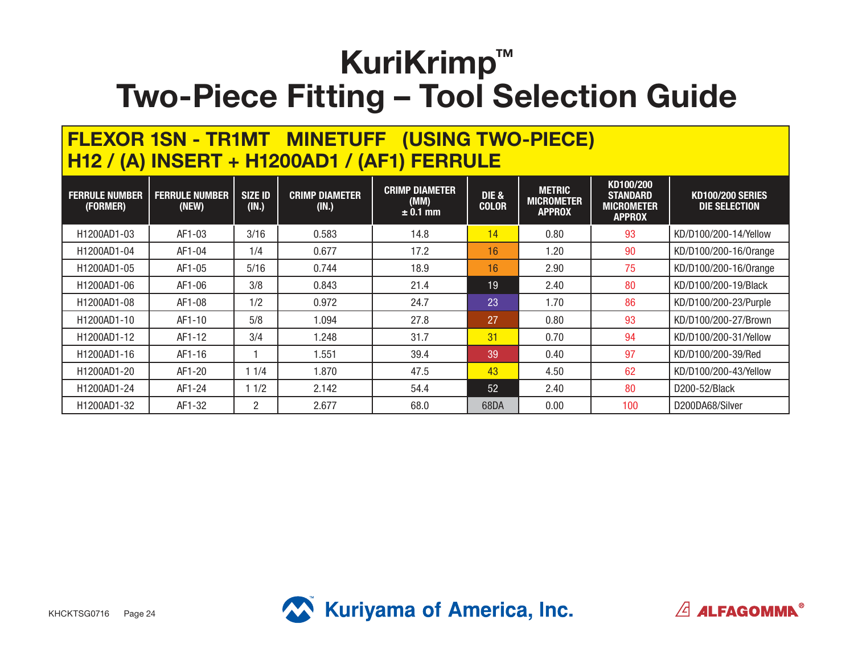#### **FLEXOR 1SN - TR1MT MINETUFF (USING TWO-PIECE) H12 / (A) INSERT + H1200AD1 / (AF1) FERRULE**

| <b>FERRULE NUMBER</b><br>(FORMER)     | <b>FERRULE NUMBER</b><br>(NEW) | <b>SIZE ID</b><br>(IN.) | <b>CRIMP DIAMETER</b><br>(IN.) | <b>CRIMP DIAMETER</b><br>(MM)<br>$± 0.1$ mm | <b>DIE &amp;</b><br><b>COLOR</b> | <b>METRIC</b><br><b>MICROMETER</b><br><b>APPROX</b> | KD100/200<br><b>STANDARD</b><br><b>MICROMETER</b><br><b>APPROX</b> | <b>KD100/200 SERIES</b><br><b>DIE SELECTION</b> |
|---------------------------------------|--------------------------------|-------------------------|--------------------------------|---------------------------------------------|----------------------------------|-----------------------------------------------------|--------------------------------------------------------------------|-------------------------------------------------|
| H1200AD1-03                           | AF1-03                         | 3/16                    | 0.583                          | 14.8                                        | 14                               | 0.80                                                | 93                                                                 | KD/D100/200-14/Yellow                           |
| H1200AD1-04                           | AF1-04                         | 1/4                     | 0.677                          | 17.2                                        | 16                               | 1.20                                                | 90                                                                 | KD/D100/200-16/0range                           |
| H1200AD1-05                           | AF1-05                         | 5/16                    | 0.744                          | 18.9                                        | 16                               | 2.90                                                | 75                                                                 | KD/D100/200-16/0range                           |
| H1200AD1-06                           | AF1-06                         | 3/8                     | 0.843                          | 21.4                                        | 19                               | 2.40                                                | 80                                                                 | KD/D100/200-19/Black                            |
| H1200AD1-08                           | AF1-08                         | 1/2                     | 0.972                          | 24.7                                        | 23                               | 1.70                                                | 86                                                                 | KD/D100/200-23/Purple                           |
| H1200AD1-10                           | AF1-10                         | 5/8                     | 1.094                          | 27.8                                        | 27                               | 0.80                                                | 93                                                                 | KD/D100/200-27/Brown                            |
| H <sub>1200</sub> AD <sub>1</sub> -12 | AF1-12                         | 3/4                     | 1.248                          | 31.7                                        | 31                               | 0.70                                                | 94                                                                 | KD/D100/200-31/Yellow                           |
| H1200AD1-16                           | AF1-16                         |                         | 1.551                          | 39.4                                        | 39                               | 0.40                                                | 97                                                                 | KD/D100/200-39/Red                              |
| H1200AD1-20                           | AF1-20                         | 1/4                     | 1.870                          | 47.5                                        | 43                               | 4.50                                                | 62                                                                 | KD/D100/200-43/Yellow                           |
| H1200AD1-24                           | AF1-24                         | 1/2                     | 2.142                          | 54.4                                        | 52                               | 2.40                                                | 80                                                                 | D200-52/Black                                   |
| H1200AD1-32                           | AF1-32                         | 2                       | 2.677                          | 68.0                                        | 68DA                             | 0.00                                                | 100                                                                | D200DA68/Silver                                 |



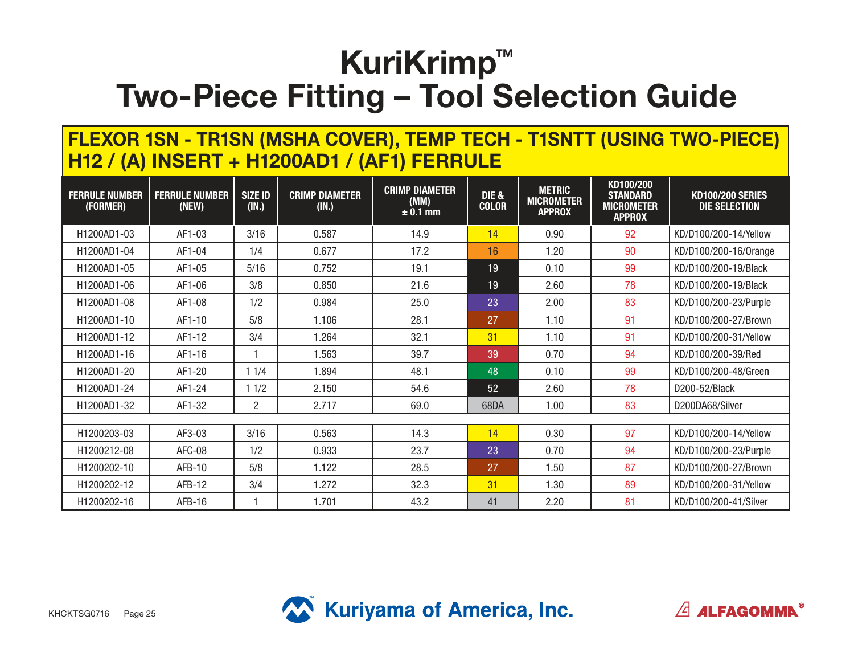#### **FLEXOR 1SN - TR1SN (MSHA COVER), TEMP TECH - T1SNTT (USING TWO-PIECE) H12 / (A) INSERT + H1200AD1 / (AF1) FERRULE**

| <b>FERRULE NUMBER</b><br>(FORMER) | <b>FERRULE NUMBER</b><br>(NEW) | <b>SIZE ID</b><br>(IN.) | <b>CRIMP DIAMETER</b><br>(IN.) | <b>CRIMP DIAMETER</b><br>(MM)<br>$\pm 0.1$ mm | DIE &<br><b>COLOR</b> | <b>METRIC</b><br><b>MICROMETER</b><br><b>APPROX</b> | KD100/200<br><b>STANDARD</b><br><b>MICROMETER</b><br><b>APPROX</b> | <b>KD100/200 SERIES</b><br><b>DIE SELECTION</b> |
|-----------------------------------|--------------------------------|-------------------------|--------------------------------|-----------------------------------------------|-----------------------|-----------------------------------------------------|--------------------------------------------------------------------|-------------------------------------------------|
| H1200AD1-03                       | AF1-03                         | 3/16                    | 0.587                          | 14.9                                          | 14                    | 0.90                                                | 92                                                                 | KD/D100/200-14/Yellow                           |
| H1200AD1-04                       | AF1-04                         | 1/4                     | 0.677                          | 17.2                                          | 16                    | 1.20                                                | 90                                                                 | KD/D100/200-16/0range                           |
| H1200AD1-05                       | AF1-05                         | $5/16$                  | 0.752                          | 19.1                                          | 19                    | 0.10                                                | 99                                                                 | KD/D100/200-19/Black                            |
| H1200AD1-06                       | AF1-06                         | 3/8                     | 0.850                          | 21.6                                          | 19                    | 2.60                                                | 78                                                                 | KD/D100/200-19/Black                            |
| H1200AD1-08                       | AF1-08                         | 1/2                     | 0.984                          | 25.0                                          | 23                    | 2.00                                                | 83                                                                 | KD/D100/200-23/Purple                           |
| H1200AD1-10                       | AF1-10                         | 5/8                     | 1.106                          | 28.1                                          | 27                    | 1.10                                                | 91                                                                 | KD/D100/200-27/Brown                            |
| H1200AD1-12                       | AF1-12                         | 3/4                     | 1.264                          | 32.1                                          | 31                    | 1.10                                                | 91                                                                 | KD/D100/200-31/Yellow                           |
| H1200AD1-16                       | AF1-16                         |                         | 1.563                          | 39.7                                          | 39                    | 0.70                                                | 94                                                                 | KD/D100/200-39/Red                              |
| H1200AD1-20                       | AF1-20                         | 11/4                    | 1.894                          | 48.1                                          | 48                    | 0.10                                                | 99                                                                 | KD/D100/200-48/Green                            |
| H1200AD1-24                       | AF1-24                         | 11/2                    | 2.150                          | 54.6                                          | 52                    | 2.60                                                | 78                                                                 | D200-52/Black                                   |
| H1200AD1-32                       | AF1-32                         | $\overline{2}$          | 2.717                          | 69.0                                          | 68DA                  | 1.00                                                | 83                                                                 | D200DA68/Silver                                 |
|                                   |                                |                         |                                |                                               |                       |                                                     |                                                                    |                                                 |
| H1200203-03                       | AF3-03                         | 3/16                    | 0.563                          | 14.3                                          | 14                    | 0.30                                                | 97                                                                 | KD/D100/200-14/Yellow                           |
| H1200212-08                       | AFC-08                         | 1/2                     | 0.933                          | 23.7                                          | 23                    | 0.70                                                | 94                                                                 | KD/D100/200-23/Purple                           |
| H1200202-10                       | AFB-10                         | 5/8                     | 1.122                          | 28.5                                          | 27                    | 1.50                                                | 87                                                                 | KD/D100/200-27/Brown                            |
| H1200202-12                       | AFB-12                         | 3/4                     | 1.272                          | 32.3                                          | 31                    | 1.30                                                | 89                                                                 | KD/D100/200-31/Yellow                           |
| H1200202-16                       | $AFB-16$                       |                         | 1.701                          | 43.2                                          | 41                    | 2.20                                                | 81                                                                 | KD/D100/200-41/Silver                           |



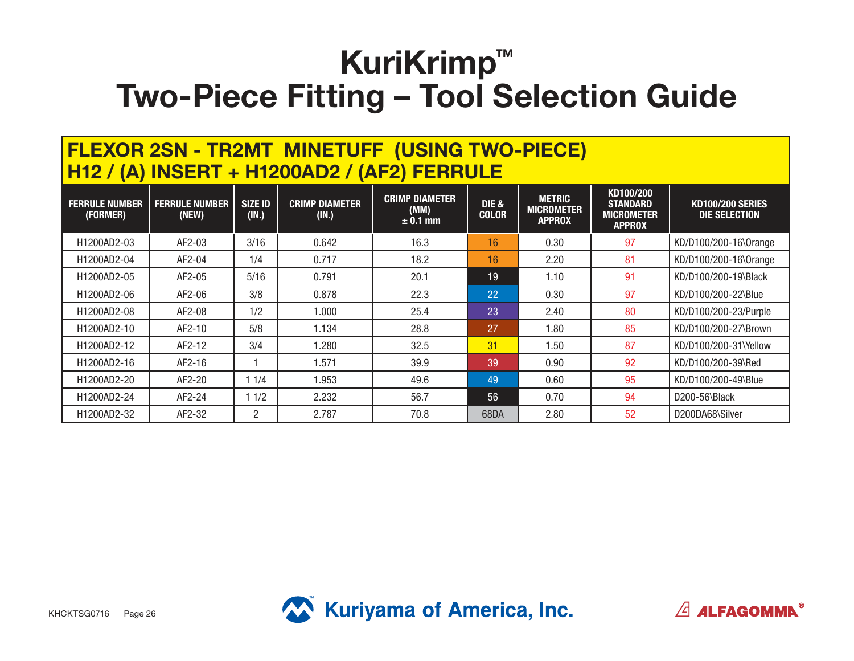### **FLEXOR 2SN - TR2MT MINETUFF (USING TWO-PIECE) H12 / (A) INSERT + H1200AD2 / (AF2) FERRULE**

| <b>FERRULE NUMBER</b><br>(FORMER) | <b>FERRULE NUMBER</b><br>(NEW) | <b>SIZE ID</b><br>(IN.) | <b>CRIMP DIAMETER</b><br>(IN.) | <b>CRIMP DIAMETER</b><br>(MM)<br>$± 0.1$ mm | DIE &<br><b>COLOR</b> | <b>METRIC</b><br><b>MICROMETER</b><br><b>APPROX</b> | KD100/200<br><b>STANDARD</b><br><b>MICROMETER</b><br><b>APPROX</b> | <b>KD100/200 SERIES</b><br>DIE SELECTION |
|-----------------------------------|--------------------------------|-------------------------|--------------------------------|---------------------------------------------|-----------------------|-----------------------------------------------------|--------------------------------------------------------------------|------------------------------------------|
| H1200AD2-03                       | AF2-03                         | 3/16                    | 0.642                          | 16.3                                        | 16                    | 0.30                                                | 97                                                                 | KD/D100/200-16\0range                    |
| H1200AD2-04                       | AF2-04                         | 1/4                     | 0.717                          | 18.2                                        | 16                    | 2.20                                                | 81                                                                 | KD/D100/200-16\0range                    |
| H1200AD2-05                       | AF2-05                         | 5/16                    | 0.791                          | 20.1                                        | 19                    | 1.10                                                | 91                                                                 | KD/D100/200-19\Black                     |
| H1200AD2-06                       | AF2-06                         | 3/8                     | 0.878                          | 22.3                                        | 22                    | 0.30                                                | 97                                                                 | KD/D100/200-22\Blue                      |
| H1200AD2-08                       | AF2-08                         | 1/2                     | 1.000                          | 25.4                                        | 23                    | 2.40                                                | 80                                                                 | KD/D100/200-23/Purple                    |
| H1200AD2-10                       | AF2-10                         | 5/8                     | 1.134                          | 28.8                                        | 27                    | 1.80                                                | 85                                                                 | KD/D100/200-27\Brown                     |
| H1200AD2-12                       | AF2-12                         | 3/4                     | 1.280                          | 32.5                                        | 31                    | 1.50                                                | 87                                                                 | KD/D100/200-31\Yellow                    |
| H1200AD2-16                       | AF2-16                         |                         | 1.571                          | 39.9                                        | 39                    | 0.90                                                | 92                                                                 | KD/D100/200-39\Red                       |
| H1200AD2-20                       | AF2-20                         | 1/4                     | 1.953                          | 49.6                                        | 49                    | 0.60                                                | 95                                                                 | KD/D100/200-49\Blue                      |
| H1200AD2-24                       | AF2-24                         | 1/2                     | 2.232                          | 56.7                                        | 56                    | 0.70                                                | 94                                                                 | $D200 - 56$ Black                        |
| H1200AD2-32                       | AF2-32                         | 2                       | 2.787                          | 70.8                                        | 68DA                  | 2.80                                                | 52                                                                 | D200DA68\Silver                          |



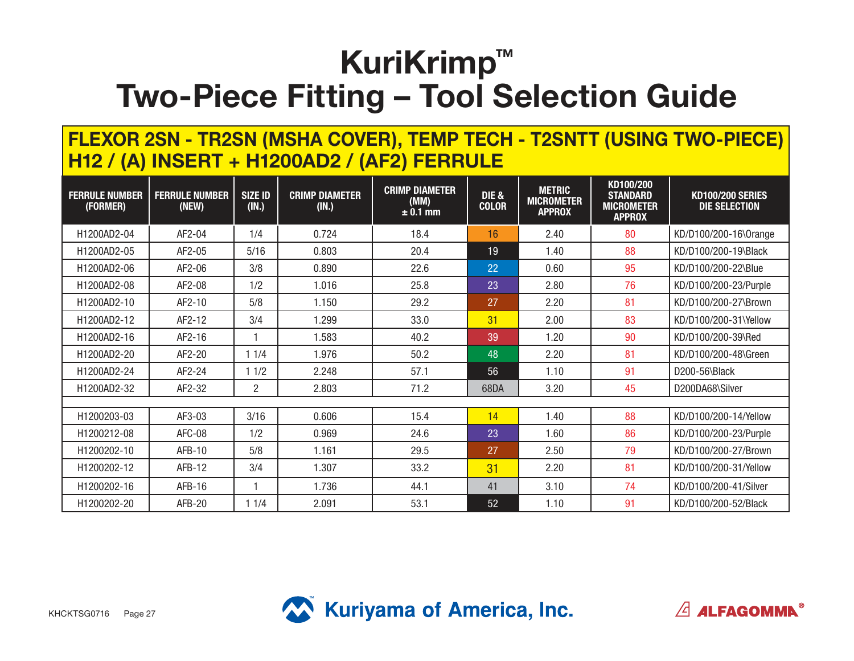#### **FLEXOR 2SN - TR2SN (MSHA COVER), TEMP TECH - T2SNTT (USING TWO-PIECE) H12 / (A) INSERT + H1200AD2 / (AF2) FERRULE**

| <b>FERRULE NUMBER</b><br>(FORMER) | <b>FERRULE NUMBER</b><br>(NEW) | <b>SIZE ID</b><br>(IN.) | <b>CRIMP DIAMETER</b><br>(IN.) | <b>CRIMP DIAMETER</b><br>(MM)<br>$\pm 0.1$ mm | DIE &<br><b>COLOR</b> | <b>METRIC</b><br><b>MICROMETER</b><br><b>APPROX</b> | KD100/200<br><b>STANDARD</b><br><b>MICROMETER</b><br><b>APPROX</b> | <b>KD100/200 SERIES</b><br><b>DIE SELECTION</b> |
|-----------------------------------|--------------------------------|-------------------------|--------------------------------|-----------------------------------------------|-----------------------|-----------------------------------------------------|--------------------------------------------------------------------|-------------------------------------------------|
| H1200AD2-04                       | AF2-04                         | 1/4                     | 0.724                          | 18.4                                          | 16                    | 2.40                                                | 80                                                                 | KD/D100/200-16\0range                           |
| H1200AD2-05                       | AF2-05                         | 5/16                    | 0.803                          | 20.4                                          | 19                    | 1.40                                                | 88                                                                 | KD/D100/200-19\Black                            |
| H1200AD2-06                       | AF2-06                         | 3/8                     | 0.890                          | 22.6                                          | 22                    | 0.60                                                | 95                                                                 | KD/D100/200-22\Blue                             |
| H1200AD2-08                       | AF2-08                         | 1/2                     | 1.016                          | 25.8                                          | 23                    | 2.80                                                | 76                                                                 | KD/D100/200-23/Purple                           |
| H1200AD2-10                       | AF2-10                         | 5/8                     | 1.150                          | 29.2                                          | 27                    | 2.20                                                | 81                                                                 | KD/D100/200-27\Brown                            |
| H1200AD2-12                       | AF2-12                         | 3/4                     | 1.299                          | 33.0                                          | 31                    | 2.00                                                | 83                                                                 | KD/D100/200-31\Yellow                           |
| H1200AD2-16                       | AF2-16                         |                         | 1.583                          | 40.2                                          | 39                    | 1.20                                                | 90                                                                 | KD/D100/200-39\Red                              |
| H1200AD2-20                       | AF2-20                         | 11/4                    | 1.976                          | 50.2                                          | 48                    | 2.20                                                | 81                                                                 | KD/D100/200-48\Green                            |
| H1200AD2-24                       | AF2-24                         | 11/2                    | 2.248                          | 57.1                                          | 56                    | 1.10                                                | 91                                                                 | D200-56\Black                                   |
| H1200AD2-32                       | AF2-32                         | $\overline{2}$          | 2.803                          | 71.2                                          | 68DA                  | 3.20                                                | 45                                                                 | D200DA68\Silver                                 |
|                                   |                                |                         |                                |                                               |                       |                                                     |                                                                    |                                                 |
| H1200203-03                       | AF3-03                         | 3/16                    | 0.606                          | 15.4                                          | 14                    | 1.40                                                | 88                                                                 | KD/D100/200-14/Yellow                           |
| H1200212-08                       | AFC-08                         | 1/2                     | 0.969                          | 24.6                                          | 23                    | 1.60                                                | 86                                                                 | KD/D100/200-23/Purple                           |
| H1200202-10                       | AFB-10                         | 5/8                     | 1.161                          | 29.5                                          | 27                    | 2.50                                                | 79                                                                 | KD/D100/200-27/Brown                            |
| H1200202-12                       | $AFB-12$                       | 3/4                     | 1.307                          | 33.2                                          | 31                    | 2.20                                                | 81                                                                 | KD/D100/200-31/Yellow                           |
| H1200202-16                       | AFB-16                         |                         | 1.736                          | 44.1                                          | 41                    | 3.10                                                | 74                                                                 | KD/D100/200-41/Silver                           |
| H1200202-20                       | AFB-20                         | 1 1/4                   | 2.091                          | 53.1                                          | 52                    | 1.10                                                | 91                                                                 | KD/D100/200-52/Black                            |



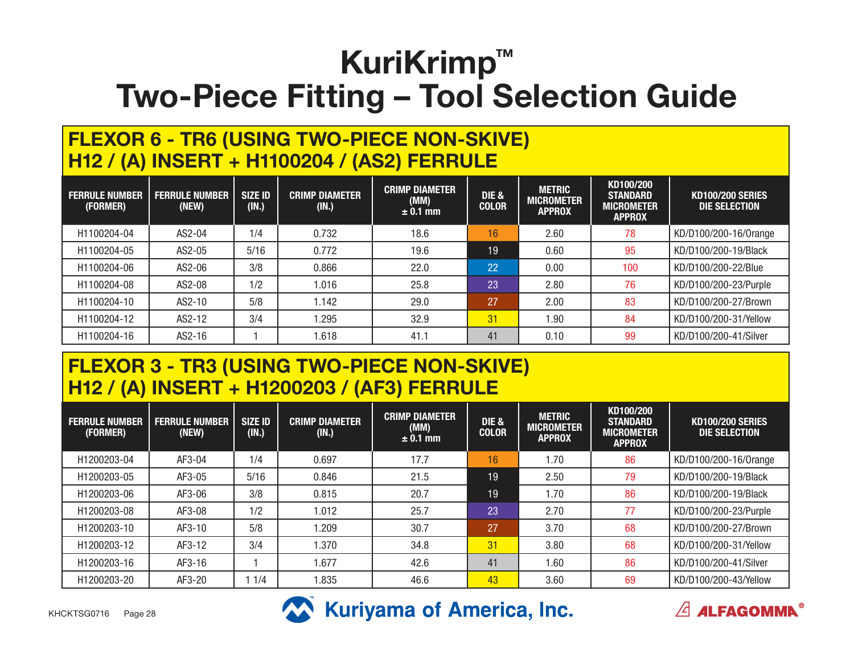#### **FLEXOR 6 - TR6 (USING TWO-PIECE NON-SKIVE) H12 / (A) INSERT + H1100204 / (AS2) FERRULE**

| <b>FERRULE NUMBER</b><br>(FORMER) | <b>FERRULE NUMBER</b><br>(NEW) | <b>SIZE ID</b><br>(IN.) | <b>CRIMP DIAMETER</b><br>(IN.) | <b>CRIMP DIAMETER</b><br>(MM)<br>$\pm$ 0.1 mm | <b>DIE &amp;</b><br><b>COLOR</b> | <b>METRIC</b><br><b>MICROMETER</b><br><b>APPROX</b> | KD100/200<br><b>STANDARD</b><br><b>MICROMETER</b><br><b>APPROX</b> | <b>KD100/200 SERIES</b><br>DIE SELECTION |
|-----------------------------------|--------------------------------|-------------------------|--------------------------------|-----------------------------------------------|----------------------------------|-----------------------------------------------------|--------------------------------------------------------------------|------------------------------------------|
| H1100204-04                       | AS2-04                         | 1/4                     | 0.732                          | 18.6                                          | 16                               | 2.60                                                | 78                                                                 | KD/D100/200-16/0range                    |
| H1100204-05                       | AS2-05                         | 5/16                    | 0.772                          | 19.6                                          | 19                               | 0.60                                                | 95                                                                 | KD/D100/200-19/Black                     |
| H1100204-06                       | AS2-06                         | 3/8                     | 0.866                          | 22.0                                          | 22                               | 0.00                                                | 100                                                                | KD/D100/200-22/Blue                      |
| H1100204-08                       | AS2-08                         | 1/2                     | 1.016                          | 25.8                                          | 23                               | 2.80                                                | 76                                                                 | KD/D100/200-23/Purple                    |
| H1100204-10                       | AS2-10                         | 5/8                     | 1.142                          | 29.0                                          | 27                               | 2.00                                                | 83                                                                 | KD/D100/200-27/Brown                     |
| H1100204-12                       | AS2-12                         | 3/4                     | 1.295                          | 32.9                                          | 31                               | 1.90                                                | 84                                                                 | KD/D100/200-31/Yellow                    |
| H1100204-16                       | AS2-16                         |                         | 1.618                          | 41.1                                          | 41                               | 0.10                                                | 99                                                                 | KD/D100/200-41/Silver                    |

#### **FLEXOR 3 - TR3 (USING TWO-PIECE NON-SKIVE) H12 / (A) INSERT + H1200203 / (AF3) FERRULE**

| <b>FERRULE NUMBER</b><br>(FORMER) | <b>FERRULE NUMBER</b><br>(NEW) | <b>SIZE ID</b><br>(IN.) | <b>CRIMP DIAMETER</b><br>(IN.) | <b>CRIMP DIAMETER</b><br>(MM)<br>$\pm$ 0.1 mm | <b>DIE &amp;</b><br><b>COLOR</b> | <b>METRIC</b><br><b>MICROMETER</b><br><b>APPROX</b> | KD100/200<br><b>STANDARD</b><br><b>MICROMETER</b><br><b>APPROX</b> | <b>KD100/200 SERIES</b><br><b>DIE SELECTION</b> |
|-----------------------------------|--------------------------------|-------------------------|--------------------------------|-----------------------------------------------|----------------------------------|-----------------------------------------------------|--------------------------------------------------------------------|-------------------------------------------------|
| H1200203-04                       | AF3-04                         | 1/4                     | 0.697                          | 17.7                                          | 16                               | 1.70                                                | 86                                                                 | KD/D100/200-16/0range                           |
| H1200203-05                       | AF3-05                         | $5/16$                  | 0.846                          | 21.5                                          | 19                               | 2.50                                                | 79                                                                 | KD/D100/200-19/Black                            |
| H1200203-06                       | AF3-06                         | 3/8                     | 0.815                          | 20.7                                          | 19                               | 1.70                                                | 86                                                                 | KD/D100/200-19/Black                            |
| H1200203-08                       | AF3-08                         | 1/2                     | 1.012                          | 25.7                                          | 23                               | 2.70                                                | 77                                                                 | KD/D100/200-23/Purple                           |
| H1200203-10                       | AF3-10                         | 5/8                     | .209                           | 30.7                                          | 27                               | 3.70                                                | 68                                                                 | KD/D100/200-27/Brown                            |
| H1200203-12                       | AF3-12                         | 3/4                     | 1.370                          | 34.8                                          | 31                               | 3.80                                                | 68                                                                 | KD/D100/200-31/Yellow                           |
| H1200203-16                       | AF3-16                         |                         | .677                           | 42.6                                          | 41                               | 1.60                                                | 86                                                                 | KD/D100/200-41/Silver                           |
| H1200203-20                       | AF3-20                         | 1/4                     | .835                           | 46.6                                          | 43                               | 3.60                                                | 69                                                                 | KD/D100/200-43/Yellow                           |





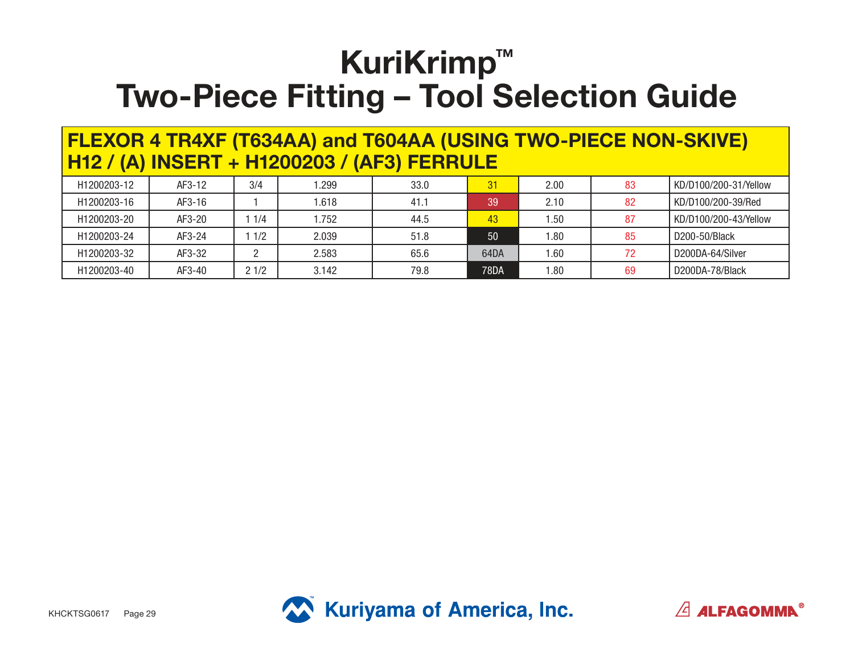|                                             |  | <b>FLEXOR 4 TR4XF (T634AA) and T604AA (USING TWO-PIECE NON-SKIVE)</b> |
|---------------------------------------------|--|-----------------------------------------------------------------------|
| H12 / (A) INSERT + H1200203 / (AF3) FERRULE |  |                                                                       |

| H1200203-12 | AF3-12 | 3/4  | .299  | 33.0 | 31    | 2.00 | 83  | KD/D100/200-31/Yellow |
|-------------|--------|------|-------|------|-------|------|-----|-----------------------|
| H1200203-16 | AF3-16 |      | .618  | 41.1 | 39    | 2.10 | 82  | KD/D100/200-39/Red    |
| H1200203-20 | AF3-20 | 1/4  | .752  | 44.5 | 43    | .50  | -87 | KD/D100/200-43/Yellow |
| H1200203-24 | AF3-24 | 1/2  | 2.039 | 51.8 | 50    | .80  | 85  | D200-50/Black         |
| H1200203-32 | AF3-32 |      | 2.583 | 65.6 | 64DA  | .60  | 72  | D200DA-64/Silver      |
| H1200203-40 | AF3-40 | 21/2 | 3.142 | 79.8 | 78DA' | .80  | 69  | D200DA-78/Black       |



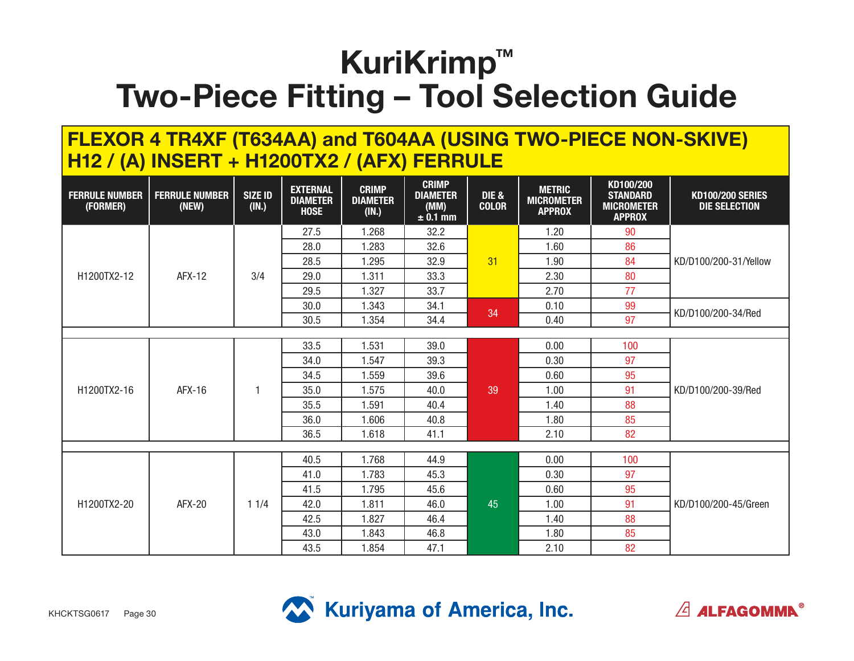#### **FLEXOR 4 TR4XF (T634AA) and T604AA (USING TWO-PIECE NON-SKIVE) H12 / (A) INSERT + H1200TX2 / (AFX) FERRULE**

| <b>FERRULE NUMBER</b><br>(FORMER) | <b>FERRULE NUMBER</b><br>(NEW) | <b>SIZE ID</b><br>(IN.) | <b>EXTERNAL</b><br><b>DIAMETER</b><br><b>HOSE</b> | <b>CRIMP</b><br><b>DIAMETER</b><br>(IN.) | <b>CRIMP</b><br><b>DIAMETER</b><br>(MM)<br>$± 0.1$ mm | <b>DIE &amp;</b><br><b>COLOR</b> | <b>METRIC</b><br><b>MICROMETER</b><br><b>APPROX</b> | KD100/200<br><b>STANDARD</b><br><b>MICROMETER</b><br><b>APPROX</b> | <b>KD100/200 SERIES</b><br><b>DIE SELECTION</b> |
|-----------------------------------|--------------------------------|-------------------------|---------------------------------------------------|------------------------------------------|-------------------------------------------------------|----------------------------------|-----------------------------------------------------|--------------------------------------------------------------------|-------------------------------------------------|
|                                   |                                |                         | 27.5                                              | 1.268                                    | 32.2                                                  |                                  | 1.20                                                | 90                                                                 |                                                 |
|                                   |                                |                         | 28.0                                              | 1.283                                    | 32.6                                                  |                                  | 1.60                                                | 86                                                                 |                                                 |
|                                   |                                |                         | 28.5                                              | 1.295                                    | 32.9                                                  | 31                               | 1.90                                                | 84                                                                 | KD/D100/200-31/Yellow                           |
| H1200TX2-12                       | <b>AFX-12</b>                  | 3/4                     | 29.0                                              | 1.311                                    | 33.3                                                  |                                  | 2.30<br>80                                          |                                                                    |                                                 |
|                                   |                                |                         | 29.5                                              | 1.327                                    | 33.7                                                  |                                  | 2.70                                                | 77                                                                 |                                                 |
|                                   |                                |                         | 30.0                                              | 1.343                                    | 34.1                                                  | 34                               | 0.10                                                | 99                                                                 |                                                 |
|                                   |                                |                         | 30.5                                              | 1.354                                    | 34.4                                                  |                                  | 0.40                                                | 97                                                                 | KD/D100/200-34/Red                              |
|                                   |                                |                         |                                                   |                                          |                                                       |                                  |                                                     |                                                                    |                                                 |
|                                   |                                |                         | 33.5                                              | 1.531                                    | 39.0                                                  | 0.00<br>0.30                     |                                                     | 100                                                                |                                                 |
|                                   |                                |                         | 34.0                                              | 1.547                                    | 39.3                                                  |                                  | 97                                                  |                                                                    |                                                 |
|                                   |                                |                         | 34.5                                              | 1.559                                    | 39.6                                                  |                                  | 0.60                                                | 95                                                                 |                                                 |
| H1200TX2-16                       | AFX-16                         | 1                       | 35.0                                              | 1.575                                    | 40.0                                                  | 39                               | 1.00                                                | 91                                                                 | KD/D100/200-39/Red                              |
|                                   |                                |                         | 35.5                                              | 1.591                                    | 40.4                                                  |                                  | 1.40                                                | 88                                                                 |                                                 |
|                                   |                                |                         | 36.0                                              | 1.606                                    | 40.8                                                  |                                  | 1.80                                                | 85                                                                 |                                                 |
|                                   |                                |                         | 36.5                                              | 1.618                                    | 41.1                                                  |                                  | 2.10                                                | 82                                                                 |                                                 |
|                                   |                                |                         |                                                   |                                          |                                                       |                                  |                                                     |                                                                    |                                                 |
|                                   |                                |                         | 40.5                                              | 1.768                                    | 44.9                                                  |                                  | 0.00                                                | 100                                                                |                                                 |
|                                   |                                |                         | 41.0                                              | 1.783                                    | 45.3                                                  |                                  | 0.30                                                | 97                                                                 |                                                 |
|                                   |                                |                         | 41.5                                              | 1.795                                    | 45.6                                                  |                                  | 0.60                                                | 95                                                                 |                                                 |
| H1200TX2-20                       | <b>AFX-20</b>                  | 11/4                    | 42.0                                              | 1.811                                    | 46.0                                                  | 45                               | 1.00                                                | 91                                                                 | KD/D100/200-45/Green                            |
|                                   |                                |                         | 42.5                                              | 1.827                                    | 46.4                                                  |                                  | 1.40                                                | 88                                                                 |                                                 |
|                                   |                                |                         | 43.0                                              | 1.843                                    | 46.8                                                  |                                  | 1.80                                                | 85                                                                 |                                                 |
|                                   |                                |                         | 43.5                                              | 1.854                                    | 47.1                                                  |                                  | 2.10                                                | 82                                                                 |                                                 |



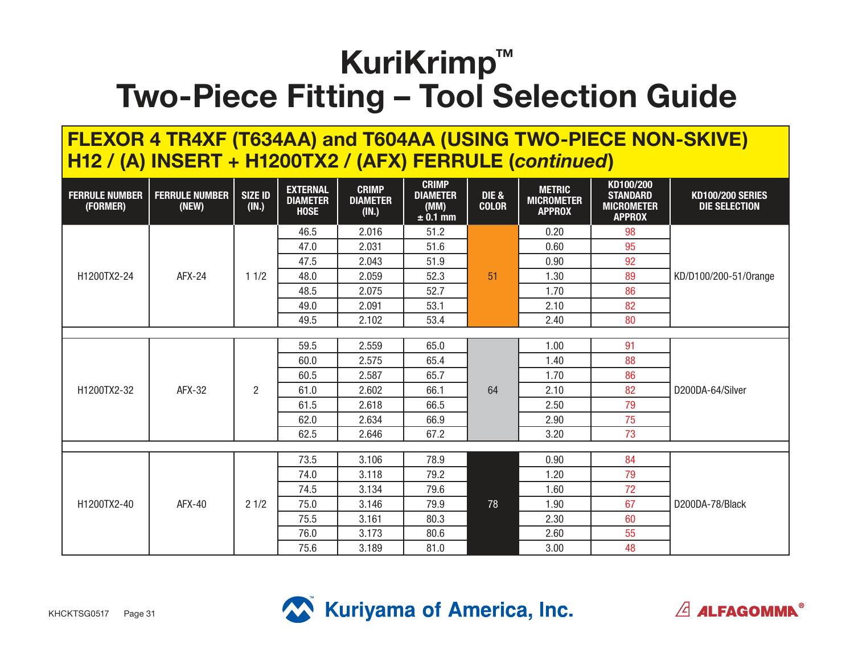#### **FLEXOR 4 TR4XF (T634AA) and T604AA (USING TWO-PIECE NON-SKIVE) H12 / (A) INSERT + H1200TX2 / (AFX) FERRULE (***continued***)**

| <b>FERRULE NUMBER</b><br>(FORMER) | <b>FERRULE NUMBER</b><br>(NEW) | <b>SIZE ID</b><br>(IN.) | <b>EXTERNAL</b><br><b>DIAMETER</b><br><b>HOSE</b> | <b>CRIMP</b><br><b>DIAMETER</b><br>(IN.) | <b>CRIMP</b><br><b>DIAMETER</b><br>(MM)<br>$\pm$ 0.1 mm                                                                                            | <b>DIE &amp;</b><br><b>COLOR</b> | <b>METRIC</b><br><b>MICROMETER</b><br><b>APPROX</b> | KD100/200<br><b>STANDARD</b><br><b>MICROMETER</b><br><b>APPROX</b>               | <b>KD100/200 SERIES</b><br><b>DIE SELECTION</b>              |
|-----------------------------------|--------------------------------|-------------------------|---------------------------------------------------|------------------------------------------|----------------------------------------------------------------------------------------------------------------------------------------------------|----------------------------------|-----------------------------------------------------|----------------------------------------------------------------------------------|--------------------------------------------------------------|
|                                   |                                |                         | 46.5                                              | 2.016                                    | 51.2                                                                                                                                               |                                  | 0.20                                                | 98                                                                               | KD/D100/200-51/0range<br>D200DA-64/Silver<br>D200DA-78/Black |
|                                   |                                |                         | 47.0                                              | 2.031                                    | 51.6                                                                                                                                               |                                  | 0.60                                                | 95                                                                               |                                                              |
|                                   |                                |                         | 47.5                                              | 2.043                                    | 51.9                                                                                                                                               |                                  | 0.90                                                | 92                                                                               |                                                              |
| H1200TX2-24                       | <b>AFX-24</b>                  | 11/2                    | 48.0                                              | 2.059                                    | 52.3                                                                                                                                               | 51                               | 1.30                                                | 89                                                                               |                                                              |
|                                   |                                |                         | 48.5                                              | 2.075                                    | 52.7                                                                                                                                               |                                  | 1.70                                                | 86<br>82<br>80<br>91<br>88<br>86<br>82<br>79<br>75<br>73<br>84<br>79<br>72<br>67 |                                                              |
|                                   |                                |                         | 49.0                                              | 2.091                                    | 53.1                                                                                                                                               |                                  | 2.10                                                |                                                                                  |                                                              |
|                                   |                                |                         | 49.5                                              | 2.102                                    | 53.4                                                                                                                                               |                                  | 2.40                                                |                                                                                  |                                                              |
|                                   |                                |                         |                                                   |                                          |                                                                                                                                                    |                                  |                                                     |                                                                                  |                                                              |
|                                   |                                |                         | 59.5                                              | 2.559                                    |                                                                                                                                                    |                                  |                                                     |                                                                                  |                                                              |
|                                   |                                |                         | 60.0                                              | 2.575                                    |                                                                                                                                                    |                                  |                                                     |                                                                                  |                                                              |
|                                   |                                |                         | 60.5                                              | 2.587                                    | 65.7                                                                                                                                               |                                  | 1.70                                                |                                                                                  |                                                              |
| H1200TX2-32                       | AFX-32                         | $\overline{c}$          | 61.0                                              | 2.602                                    | 66.1                                                                                                                                               | 64                               | 2.10                                                |                                                                                  |                                                              |
|                                   |                                |                         | 61.5                                              | 2.618                                    | 66.5                                                                                                                                               |                                  | 2.50                                                |                                                                                  |                                                              |
|                                   |                                |                         | 62.0                                              | 2.634                                    | 66.9                                                                                                                                               |                                  | 2.90                                                |                                                                                  |                                                              |
|                                   |                                |                         | 62.5                                              | 2.646                                    | 67.2                                                                                                                                               |                                  | 3.20                                                |                                                                                  |                                                              |
|                                   |                                |                         |                                                   |                                          |                                                                                                                                                    |                                  |                                                     |                                                                                  |                                                              |
|                                   |                                |                         | 73.5                                              | 3.106                                    |                                                                                                                                                    |                                  |                                                     |                                                                                  |                                                              |
|                                   |                                |                         | 74.0                                              | 3.118                                    | 65.0<br>1.00<br>65.4<br>1.40<br>78.9<br>0.90<br>79.2<br>1.20<br>1.60<br>79.6<br>78<br>79.9<br>1.90<br>80.3<br>2.30<br>80.6<br>2.60<br>81.0<br>3.00 |                                  |                                                     |                                                                                  |                                                              |
|                                   |                                |                         | 74.5                                              | 3.134                                    |                                                                                                                                                    |                                  |                                                     |                                                                                  |                                                              |
| H1200TX2-40                       | <b>AFX-40</b>                  | 21/2                    | 75.0                                              | 3.146                                    |                                                                                                                                                    |                                  |                                                     |                                                                                  |                                                              |
|                                   |                                |                         | 75.5                                              | 3.161                                    |                                                                                                                                                    |                                  |                                                     | 60                                                                               |                                                              |
|                                   |                                |                         | 76.0                                              | 3.173                                    |                                                                                                                                                    |                                  |                                                     | 55                                                                               |                                                              |
|                                   |                                |                         | 75.6                                              | 3.189                                    |                                                                                                                                                    |                                  |                                                     | 48                                                                               |                                                              |



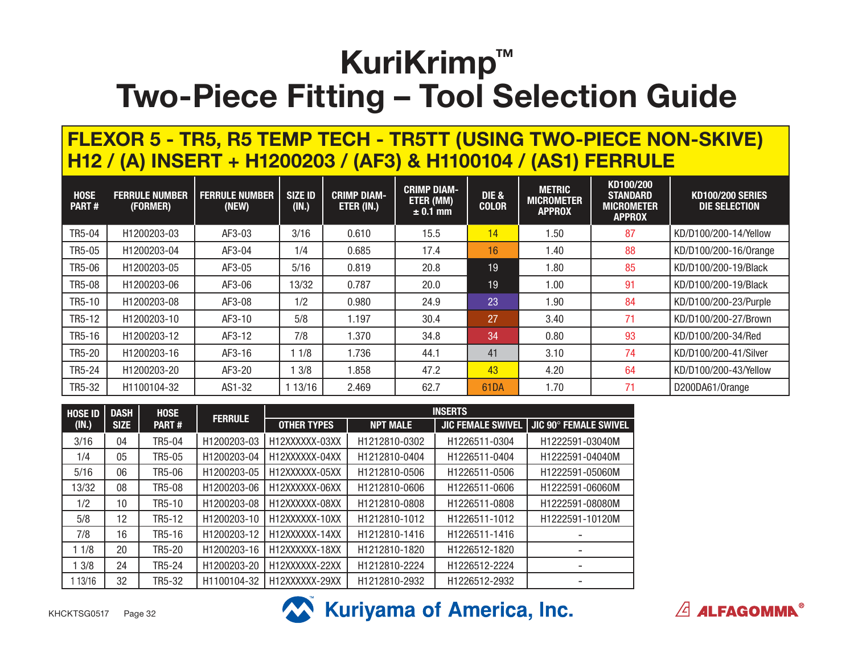#### **FLEXOR 5 - TR5, R5 TEMP TECH - TR5TT (USING TWO-PIECE NON-SKIVE) H12 / (A) INSERT + H1200203 / (AF3) & H1100104 / (AS1) FERRULE**

| <b>HOSE</b><br><b>PART#</b> | <b>FERRULE NUMBER</b><br>(FORMER) | <b>FERRULE NUMBER</b><br>(NEW) | <b>SIZE ID</b><br>(IN.) | <b>CRIMP DIAM-</b><br>ETER (IN.) | <b>CRIMP DIAM-</b><br>ETER (MM)<br>$\pm$ 0.1 mm | <b>DIE &amp;</b><br><b>COLOR</b> | <b>METRIC</b><br><b>MICROMETER</b><br><b>APPROX</b> | KD100/200<br><b>STANDARD</b><br><b>MICROMETER</b><br><b>APPROX</b> | <b>KD100/200 SERIES</b><br>DIE SELECTION |
|-----------------------------|-----------------------------------|--------------------------------|-------------------------|----------------------------------|-------------------------------------------------|----------------------------------|-----------------------------------------------------|--------------------------------------------------------------------|------------------------------------------|
| TR5-04                      | H1200203-03                       | AF3-03                         | 3/16                    | 0.610                            | 15.5                                            | 14                               | 1.50                                                | 87                                                                 | KD/D100/200-14/Yellow                    |
| TR5-05                      | H1200203-04                       | AF3-04                         | 1/4                     | 0.685                            | 17.4                                            | 16                               | 1.40                                                | 88                                                                 | KD/D100/200-16/0range                    |
| <b>TR5-06</b>               | H1200203-05                       | AF3-05                         | 5/16                    | 0.819                            | 20.8                                            | 19                               | 1.80                                                | 85                                                                 | KD/D100/200-19/Black                     |
| <b>TR5-08</b>               | H1200203-06                       | AF3-06                         | 13/32                   | 0.787                            | 20.0                                            | 19                               | 1.00                                                | 91                                                                 | KD/D100/200-19/Black                     |
| TR5-10                      | H1200203-08                       | AF3-08                         | 1/2                     | 0.980                            | 24.9                                            | 23                               | 1.90                                                | 84                                                                 | KD/D100/200-23/Purple                    |
| TR5-12                      | H1200203-10                       | AF3-10                         | 5/8                     | 1.197                            | 30.4                                            | 27                               | 3.40                                                | 71                                                                 | KD/D100/200-27/Brown                     |
| TR5-16                      | H1200203-12                       | AF3-12                         | 7/8                     | 1.370                            | 34.8                                            | 34                               | 0.80                                                | 93                                                                 | KD/D100/200-34/Red                       |
| TR5-20                      | H1200203-16                       | AF3-16                         | 1/8                     | 1.736                            | 44.1                                            | 41                               | 3.10                                                | 74                                                                 | KD/D100/200-41/Silver                    |
| TR5-24                      | H1200203-20                       | AF3-20                         | 3/8                     | .858                             | 47.2                                            | 43                               | 4.20                                                | 64                                                                 | KD/D100/200-43/Yellow                    |
| TR5-32                      | H1100104-32                       | AS1-32                         | 13/16                   | 2.469                            | 62.7                                            | <b>61DA</b>                      | 1.70                                                | 71                                                                 | D200DA61/Orange                          |

| <b>HOSE ID</b> | <b>DASH</b>     | <b>HOSE</b>   |                | <b>INSERTS</b>     |                 |                          |                       |  |  |  |
|----------------|-----------------|---------------|----------------|--------------------|-----------------|--------------------------|-----------------------|--|--|--|
| (IN.)          | <b>SIZE</b>     | <b>PART#</b>  | <b>FERRULE</b> | <b>OTHER TYPES</b> | <b>NPT MALE</b> | <b>JIC FEMALE SWIVEL</b> | JIC 90° FEMALE SWIVEL |  |  |  |
| 3/16           | 04              | TR5-04        | H1200203-03    | H12XXXXXX-03XX     | H1212810-0302   | H1226511-0304            | H1222591-03040M       |  |  |  |
| 1/4            | 05              | TR5-05        | H1200203-04    | H12XXXXXX-04XX     | H1212810-0404   | H1226511-0404            | H1222591-04040M       |  |  |  |
| 5/16           | 06              | TR5-06        | H1200203-05    | H12XXXXXX-05XX     | H1212810-0506   | H1226511-0506            | H1222591-05060M       |  |  |  |
| 13/32          | 08              | <b>TR5-08</b> | H1200203-06    | H12XXXXXX-06XX     | H1212810-0606   | H1226511-0606            | H1222591-06060M       |  |  |  |
| 1/2            | 10 <sup>°</sup> | TR5-10        | H1200203-08    | H12XXXXXX-08XX     | H1212810-0808   | H1226511-0808            | H1222591-08080M       |  |  |  |
| 5/8            | 12              | TR5-12        | H1200203-10    | H12XXXXXX-10XX     | H1212810-1012   | H1226511-1012            | H1222591-10120M       |  |  |  |
| 7/8            | 16              | TR5-16        | H1200203-12    | H12XXXXXX-14XX     | H1212810-1416   | H1226511-1416            |                       |  |  |  |
| 1 1/8          | 20              | TR5-20        | H1200203-16    | H12XXXXXX-18XX     | H1212810-1820   | H1226512-1820            |                       |  |  |  |
| 13/8           | 24              | <b>TR5-24</b> | H1200203-20    | H12XXXXXX-22XX     | H1212810-2224   | H1226512-2224            |                       |  |  |  |
| 13/16          | 32              | TR5-32        | H1100104-32    | H12XXXXXX-29XX     | H1212810-2932   | H1226512-2932            |                       |  |  |  |





 $\sqrt{2}$  ALFAGOMMA<sup>®</sup>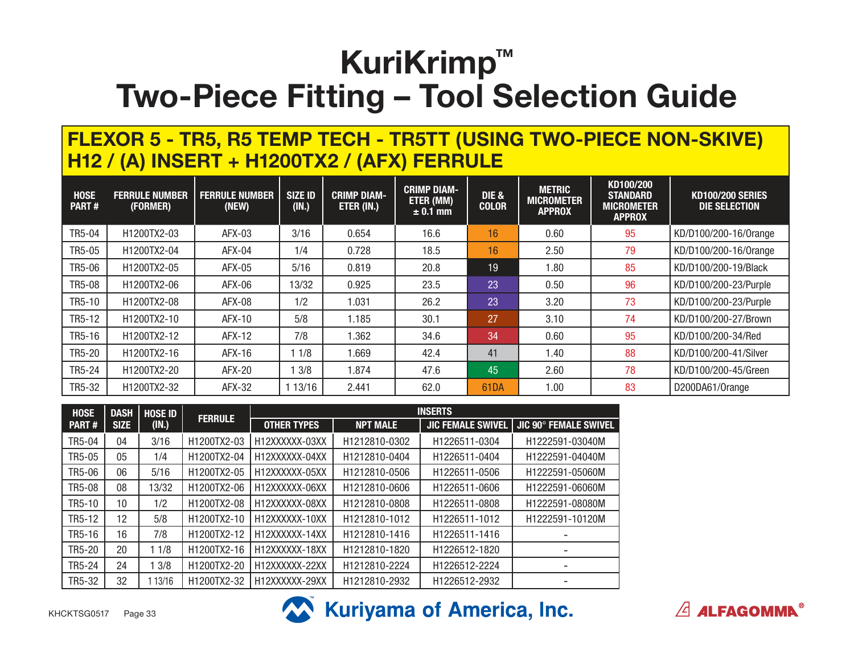#### **FLEXOR 5 - TR5, R5 TEMP TECH - TR5TT (USING TWO-PIECE NON-SKIVE) H12 / (A) INSERT + H1200TX2 / (AFX) FERRULE**

| <b>HOSE</b><br><b>PART#</b> | <b>FERRULE NUMBER</b><br>(FORMER) | <b>FERRULE NUMBER</b><br>(NEW) | <b>SIZE ID</b><br>(IN.) | <b>CRIMP DIAM-</b><br>ETER (IN.) | <b>CRIMP DIAM-</b><br>ETER (MM)<br>$\pm$ 0.1 mm | <b>DIE &amp;</b><br><b>COLOR</b> | <b>METRIC</b><br><b>MICROMETER</b><br><b>APPROX</b> | KD100/200<br><b>STANDARD</b><br><b>MICROMETER</b><br><b>APPROX</b> | <b>KD100/200 SERIES</b><br><b>DIE SELECTION</b> |
|-----------------------------|-----------------------------------|--------------------------------|-------------------------|----------------------------------|-------------------------------------------------|----------------------------------|-----------------------------------------------------|--------------------------------------------------------------------|-------------------------------------------------|
| TR5-04                      | H1200TX2-03                       | AFX-03                         | 3/16                    | 0.654                            | 16.6                                            | 16                               | 0.60                                                | 95                                                                 | KD/D100/200-16/0range                           |
| TR5-05                      | H1200TX2-04                       | AFX-04                         | 1/4                     | 0.728                            | 18.5                                            | 16                               | 2.50                                                | 79                                                                 | KD/D100/200-16/Orange                           |
| TR5-06                      | H1200TX2-05                       | AFX-05                         | 5/16                    | 0.819                            | 20.8                                            | 19                               | 1.80                                                | 85                                                                 | KD/D100/200-19/Black                            |
| <b>TR5-08</b>               | H1200TX2-06                       | AFX-06                         | 3/32                    | 0.925                            | 23.5                                            | 23                               | 0.50                                                | 96                                                                 | KD/D100/200-23/Purple                           |
| TR5-10                      | H1200TX2-08                       | AFX-08                         | 1/2                     | .031                             | 26.2                                            | 23                               | 3.20                                                | 73                                                                 | KD/D100/200-23/Purple                           |
| TR5-12                      | H1200TX2-10                       | AFX-10                         | 5/8                     | l.185                            | 30.1                                            | 27                               | 3.10                                                | 74                                                                 | KD/D100/200-27/Brown                            |
| TR5-16                      | H1200TX2-12                       | AFX-12                         | 7/8                     | .362                             | 34.6                                            | 34                               | 0.60                                                | 95                                                                 | KD/D100/200-34/Red                              |
| TR5-20                      | H1200TX2-16                       | AFX-16                         | 1/8                     | .669                             | 42.4                                            | 41                               | 1.40                                                | 88                                                                 | KD/D100/200-41/Silver                           |
| TR5-24                      | H1200TX2-20                       | AFX-20                         | 3/8                     | .874                             | 47.6                                            | 45                               | 2.60                                                | 78                                                                 | KD/D100/200-45/Green                            |
| TR5-32                      | H1200TX2-32                       | AFX-32                         | 13/16                   | 2.441                            | 62.0                                            | <b>61DA</b>                      | 1.00                                                | 83                                                                 | D200DA61/Orange                                 |

| <b>HOSE</b>  | <b>DASH</b> | <b>HOSE ID</b> |                |                    |                 | <b>INSERTS</b>            |                       |
|--------------|-------------|----------------|----------------|--------------------|-----------------|---------------------------|-----------------------|
| <b>PART#</b> | <b>SIZE</b> | (IN.)          | <b>FERRULE</b> | <b>OTHER TYPES</b> | <b>NPT MALE</b> | <b>JIC FEMALE SWIVEL</b>  | JIC 90° FEMALE SWIVEL |
| TR5-04       | 04          | 3/16           | H1200TX2-03    | H12XXXXXX-03XX     | H1212810-0302   | H1226511-0304             | H1222591-03040M       |
| TR5-05       | 05          | 1/4            | H1200TX2-04    | H12XXXXXX-04XX     | H1212810-0404   | H1226511-0404             | H1222591-04040M       |
| TR5-06       | 06          | 5/16           | H1200TX2-05    | H12XXXXXX-05XX     | H1212810-0506   | H1226511-0506             | H1222591-05060M       |
| TR5-08       | 08          | 13/32          | H1200TX2-06    | H12XXXXXX-06XX     | H1212810-0606   | H1226511-0606             | H1222591-06060M       |
| TR5-10       | 10          | 1/2            | H1200TX2-08    | H12XXXXXX-08XX     | H1212810-0808   | H1226511-0808             | H1222591-08080M       |
| TR5-12       | 12          | 5/8            | H1200TX2-10    | H12XXXXXX-10XX     | H1212810-1012   | H1226511-1012             | H1222591-10120M       |
| TR5-16       | 16          | 7/8            | H1200TX2-12    | H12XXXXXX-14XX     | H1212810-1416   | H1226511-1416             |                       |
| TR5-20       | 20          | 11/8           | H1200TX2-16    | H12XXXXXX-18XX     | H1212810-1820   | H <sub>1226512-1820</sub> |                       |
| TR5-24       | 24          | 13/8           | H1200TX2-20    | H12XXXXXX-22XX     | H1212810-2224   | H1226512-2224             |                       |
| TR5-32       | 32          | 13/16          | H1200TX2-32    | H12XXXXXX-29XX     | H1212810-2932   | H1226512-2932             |                       |





 $\sqrt{2}$  ALFAGOMMA<sup>®</sup>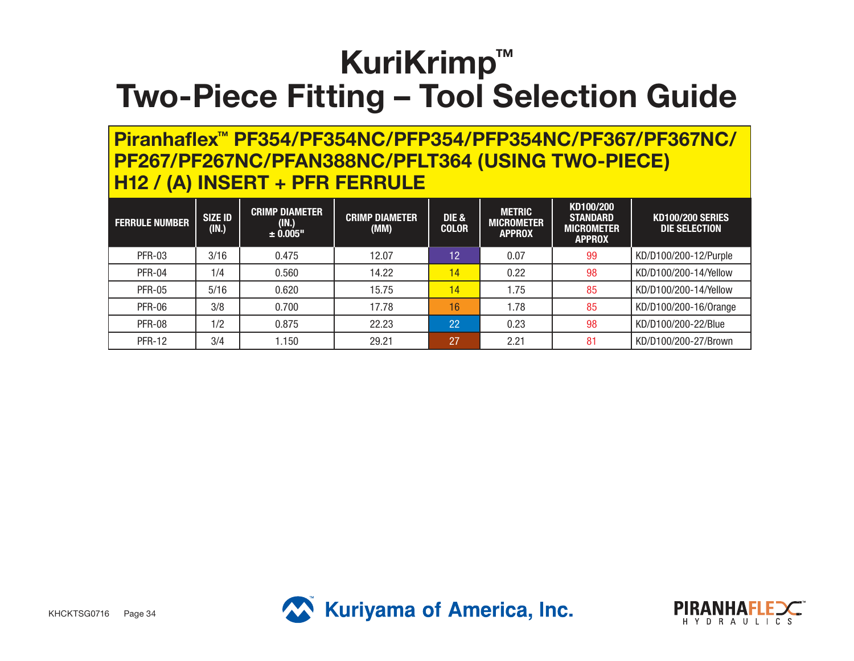#### **Piranhaflex™ PF354/PF354NC/PFP354/PFP354NC/PF367/PF367NC/ PF267/PF267NC/PFAN388NC/PFLT364 (USING TWO-PIECE) H12 / (A) INSERT + PFR FERRULE**

| <b>FERRULE NUMBER</b> | <b>SIZE ID</b><br>(IN.) | <b>CRIMP DIAMETER</b><br>(IN.)<br>± 0.005" | <b>CRIMP DIAMETER</b><br>(MM) | <b>DIE &amp;</b><br><b>COLOR</b> | <b>METRIC</b><br><b>MICROMETER</b><br><b>APPROX</b> | KD100/200<br><b>STANDARD</b><br><b>MICROMETER</b><br><b>APPROX</b> | <b>KD100/200 SERIES</b><br>DIE SELECTION |
|-----------------------|-------------------------|--------------------------------------------|-------------------------------|----------------------------------|-----------------------------------------------------|--------------------------------------------------------------------|------------------------------------------|
| <b>PFR-03</b>         | 3/16                    | 0.475                                      | 12.07                         | 12                               | 0.07                                                | 99                                                                 | KD/D100/200-12/Purple                    |
| <b>PFR-04</b>         | 1/4                     | 0.560                                      | 14.22                         | 14                               | 0.22                                                | 98                                                                 | KD/D100/200-14/Yellow                    |
| <b>PFR-05</b>         | 5/16                    | 0.620                                      | 15.75                         | 14                               | 1.75                                                | 85                                                                 | KD/D100/200-14/Yellow                    |
| <b>PFR-06</b>         | 3/8                     | 0.700                                      | 17.78                         | 16                               | 1.78                                                | 85                                                                 | KD/D100/200-16/0range                    |
| <b>PFR-08</b>         | 1/2                     | 0.875                                      | 22.23                         | 22                               | 0.23                                                | 98                                                                 | KD/D100/200-22/Blue                      |
| <b>PFR-12</b>         | 3/4                     | 1.150                                      | 29.21                         | 27                               | 2.21                                                | 81                                                                 | KD/D100/200-27/Brown                     |



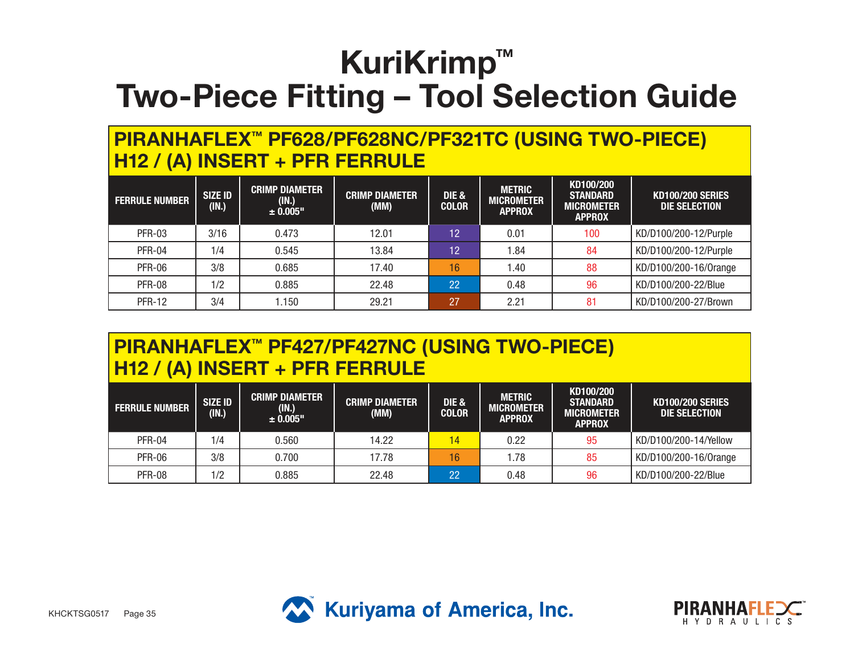#### **PIRANHAFLEX™ PF628/PF628NC/PF321TC (USING TWO-PIECE) H12 / (A) INSERT + PFR FERRULE**

| <b>FERRULE NUMBER</b> | <b>SIZE ID</b><br>(IN.) | <b>CRIMP DIAMETER</b><br>(IN.)<br>± 0.005" | <b>CRIMP DIAMETER</b><br>(MM) | DIE &<br><b>COLOR</b> | <b>METRIC</b><br><b>MICROMETER</b><br><b>APPROX</b> | KD100/200<br><b>STANDARD</b><br><b>MICROMETER</b><br><b>APPROX</b> | <b>KD100/200 SERIES</b><br>DIE SELECTION |
|-----------------------|-------------------------|--------------------------------------------|-------------------------------|-----------------------|-----------------------------------------------------|--------------------------------------------------------------------|------------------------------------------|
| <b>PFR-03</b>         | 3/16                    | 0.473                                      | 12.01                         | 12                    | 0.01                                                | 100                                                                | KD/D100/200-12/Purple                    |
| <b>PFR-04</b>         | 1/4                     | 0.545                                      | 13.84                         | 12                    | l.84                                                | 84                                                                 | KD/D100/200-12/Purple                    |
| <b>PFR-06</b>         | 3/8                     | 0.685                                      | 17.40                         | 16                    | l.40                                                | 88                                                                 | KD/D100/200-16/0range                    |
| <b>PFR-08</b>         | 1/2                     | 0.885                                      | 22.48                         | 22                    | 0.48                                                | 96                                                                 | KD/D100/200-22/Blue                      |
| <b>PFR-12</b>         | 3/4                     | 1.150                                      | 29.21                         | 27                    | 2.21                                                | 81                                                                 | KD/D100/200-27/Brown                     |

#### **PIRANHAFLEX™ PF427/PF427NC (USING TWO-PIECE) H12 / (A) INSERT + PFR FERRULE**

| <b>FERRULE NUMBER</b> | <b>SIZE ID</b><br>(IN.) | <b>CRIMP DIAMETER</b><br>(1N.)<br>± 0.005" | <b>CRIMP DIAMETER</b><br>(MM) | DIE &<br><b>COLOR</b> | <b>METRIC</b><br><b>MICROMETER</b><br><b>APPROX</b> | KD100/200<br><b>STANDARD</b><br><b>MICROMETER</b><br><b>APPROX</b> | <b>KD100/200 SERIES</b><br>DIE SELECTION |
|-----------------------|-------------------------|--------------------------------------------|-------------------------------|-----------------------|-----------------------------------------------------|--------------------------------------------------------------------|------------------------------------------|
| PFR-04                | 1/4                     | 0.560                                      | 14.22                         | 14                    | 0.22                                                | 95                                                                 | KD/D100/200-14/Yellow                    |
| <b>PFR-06</b>         | 3/8                     | 0.700                                      | 17.78                         | 16                    | .78                                                 | 85                                                                 | KD/D100/200-16/0range                    |
| <b>PFR-08</b>         | 1/2                     | 0.885                                      | 22.48                         | 22                    | 0.48                                                | 96                                                                 | KD/D100/200-22/Blue                      |



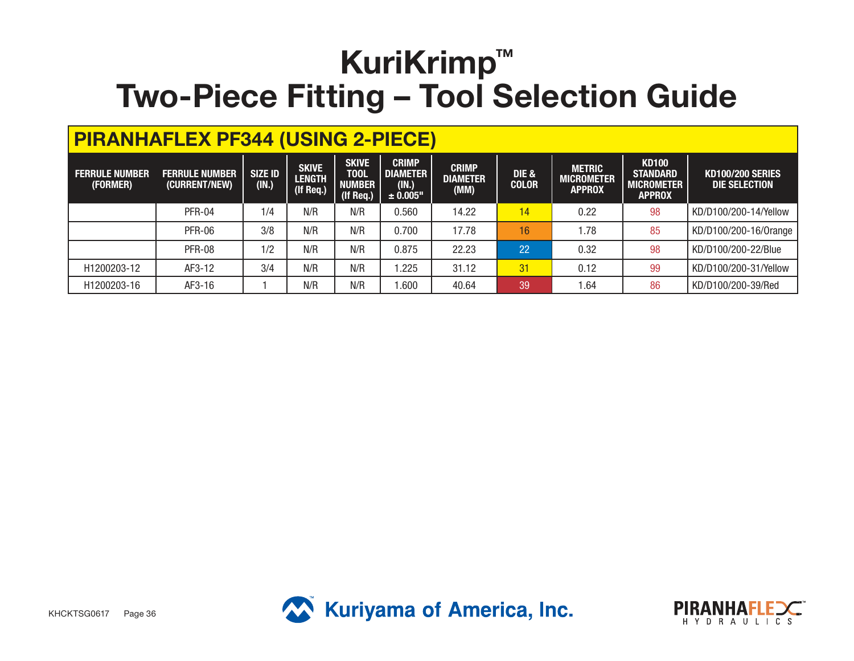| <b>PIRANHAFLEX PF344 (USING 2-PIECE)</b> |                                        |                         |                                            |                                                           |                                                      |                                         |                       |                                                     |                                                                       |                                                 |  |  |
|------------------------------------------|----------------------------------------|-------------------------|--------------------------------------------|-----------------------------------------------------------|------------------------------------------------------|-----------------------------------------|-----------------------|-----------------------------------------------------|-----------------------------------------------------------------------|-------------------------------------------------|--|--|
| <b>FERRULE NUMBER</b><br>(FORMER)        | <b>FERRULE NUMBER</b><br>(CURRENT/NEW) | <b>SIZE ID</b><br>(IN.) | <b>SKIVE</b><br><b>LENGTH</b><br>(If Req.) | <b>SKIVE</b><br><b>TOOL</b><br><b>NUMBER</b><br>(If Req.) | <b>CRIMP</b><br><b>DIAMETER</b><br>(IN.)<br>± 0.005" | <b>CRIMP</b><br><b>DIAMETER</b><br>(MM) | DIE &<br><b>COLOR</b> | <b>METRIC</b><br><b>MICROMETER</b><br><b>APPROX</b> | <b>KD100</b><br><b>STANDARD</b><br><b>MICROMETER</b><br><b>APPROX</b> | <b>KD100/200 SERIES</b><br><b>DIE SELECTION</b> |  |  |
|                                          | PFR-04                                 | 1/4                     | N/R                                        | N/R                                                       | 0.560                                                | 14.22                                   | 14                    | 0.22                                                | 98                                                                    | KD/D100/200-14/Yellow                           |  |  |
|                                          | <b>PFR-06</b>                          | 3/8                     | N/R                                        | N/R                                                       | 0.700                                                | 17.78                                   | 16                    | 1.78                                                | 85                                                                    | KD/D100/200-16/0range                           |  |  |
|                                          | <b>PFR-08</b>                          | 1/2                     | N/R                                        | N/R                                                       | 0.875                                                | 22.23                                   | 22                    | 0.32                                                | 98                                                                    | KD/D100/200-22/Blue                             |  |  |
| H1200203-12                              | AF3-12                                 | 3/4                     | N/R                                        | N/R                                                       | 1.225                                                | 31.12                                   | 31                    | 0.12                                                | 99                                                                    | KD/D100/200-31/Yellow                           |  |  |
| H1200203-16                              | AF3-16                                 |                         | N/R                                        | N/R                                                       | 0.600                                                | 40.64                                   | 39                    | 1.64                                                | 86                                                                    | KD/D100/200-39/Red                              |  |  |



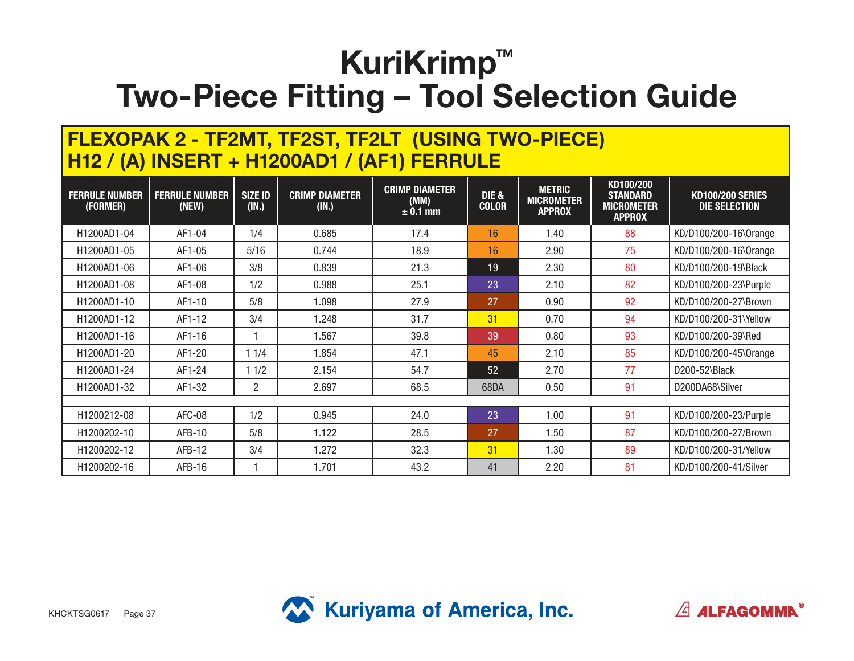#### **FLEXOPAK 2 - TF2MT, TF2ST, TF2LT (USING TWO-PIECE) H12 / (A) INSERT + H1200AD1 / (AF1) FERRULE**

| <b>FERRULE NUMBER</b><br>(FORMER) | <b>FERRULE NUMBER</b><br>(NEW) | <b>SIZE ID</b><br>(IN.) | <b>CRIMP DIAMETER</b><br>(IN.) | <b>CRIMP DIAMETER</b><br>(MM)<br>$± 0.1$ mm | <b>DIE &amp;</b><br><b>COLOR</b> | <b>METRIC</b><br><b>MICROMETER</b><br><b>APPROX</b> | KD100/200<br><b>STANDARD</b><br><b>MICROMETER</b><br><b>APPROX</b> | <b>KD100/200 SERIES</b><br>DIE SELECTION |
|-----------------------------------|--------------------------------|-------------------------|--------------------------------|---------------------------------------------|----------------------------------|-----------------------------------------------------|--------------------------------------------------------------------|------------------------------------------|
| H1200AD1-04                       | AF1-04                         | 1/4                     | 0.685                          | 17.4                                        | 16                               | 1.40                                                | 88                                                                 | KD/D100/200-16\0range                    |
| H1200AD1-05                       | AF1-05                         | 5/16                    | 0.744                          | 18.9                                        | 16                               | 2.90                                                | 75                                                                 | KD/D100/200-16\0range                    |
| H1200AD1-06                       | AF1-06                         | 3/8                     | 0.839                          | 21.3                                        | 19                               | 2.30                                                | 80                                                                 | KD/D100/200-19\Black                     |
| H1200AD1-08                       | AF1-08                         | 1/2                     | 0.988                          | 25.1                                        | 23                               | 2.10                                                | 82                                                                 | KD/D100/200-23\Purple                    |
| H1200AD1-10                       | AF1-10                         | 5/8                     | 1.098                          | 27.9                                        | 27                               | 0.90                                                | 92                                                                 | KD/D100/200-27\Brown                     |
| H1200AD1-12                       | AF1-12                         | 3/4                     | 1.248                          | 31.7                                        | 31                               | 0.70                                                | 94                                                                 | KD/D100/200-31\Yellow                    |
| H1200AD1-16                       | AF1-16                         |                         | 1.567                          | 39.8                                        | 39                               | 0.80                                                | 93                                                                 | KD/D100/200-39\Red                       |
| H1200AD1-20                       | AF1-20                         | 11/4                    | 1.854                          | 47.1                                        | 45                               | 2.10                                                | 85                                                                 | KD/D100/200-45\0range                    |
| H1200AD1-24                       | AF1-24                         | 11/2                    | 2.154                          | 54.7                                        | 52                               | 2.70                                                | 77                                                                 | D200-52\Black                            |
| H1200AD1-32                       | AF1-32                         | 2                       | 2.697                          | 68.5                                        | 68DA                             | 0.50                                                | 91                                                                 | D200DA68\Silver                          |
|                                   |                                |                         |                                |                                             |                                  |                                                     |                                                                    |                                          |
| H1200212-08                       | AFC-08                         | 1/2                     | 0.945                          | 24.0                                        | 23                               | 1.00                                                | 91                                                                 | KD/D100/200-23/Purple                    |
| H1200202-10                       | AFB-10                         | 5/8                     | 1.122                          | 28.5                                        | 27                               | 1.50                                                | 87                                                                 | KD/D100/200-27/Brown                     |
| H1200202-12                       | AFB-12                         | 3/4                     | 1.272                          | 32.3                                        | 31                               | 1.30                                                | 89                                                                 | KD/D100/200-31/Yellow                    |
| H1200202-16                       | $AFB-16$                       |                         | 1.701                          | 43.2                                        | 41                               | 2.20                                                | 81                                                                 | KD/D100/200-41/Silver                    |



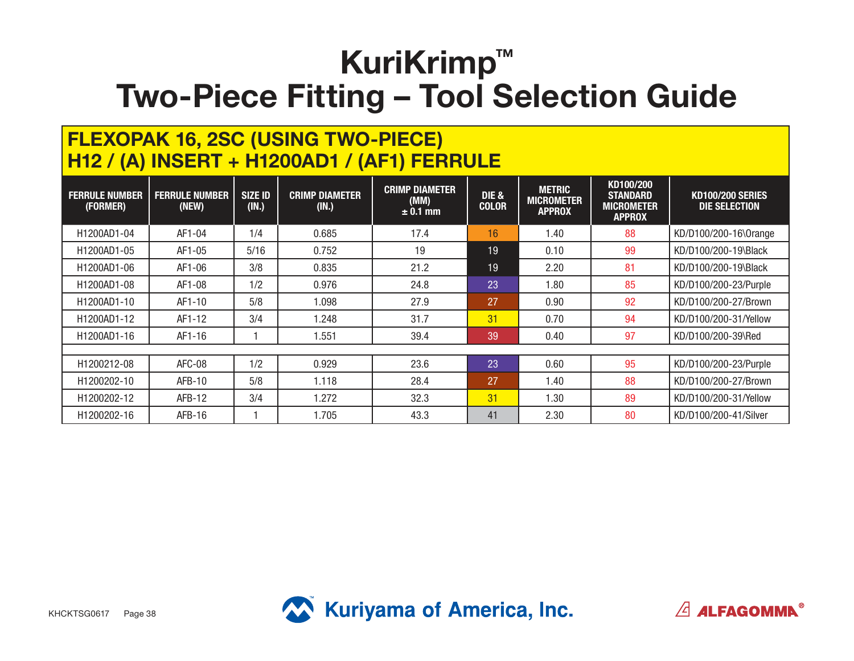### **FLEXOPAK 16, 2SC (USING TWO-PIECE) H12 / (A) INSERT + H1200AD1 / (AF1) FERRULE**

| <b>FERRULE NUMBER</b><br>(FORMER) | <b>FERRULE NUMBER</b><br>(NEW) | <b>SIZE ID</b><br>(IN.) | <b>CRIMP DIAMETER</b><br>(IN.) | <b>CRIMP DIAMETER</b><br>(MM)<br>$\pm 0.1$ mm | <b>DIE &amp;</b><br><b>COLOR</b> | <b>METRIC</b><br><b>MICROMETER</b><br><b>APPROX</b> | KD100/200<br><b>STANDARD</b><br><b>MICROMETER</b><br><b>APPROX</b> | <b>KD100/200 SERIES</b><br><b>DIE SELECTION</b> |
|-----------------------------------|--------------------------------|-------------------------|--------------------------------|-----------------------------------------------|----------------------------------|-----------------------------------------------------|--------------------------------------------------------------------|-------------------------------------------------|
| H1200AD1-04                       | AF1-04                         | 1/4                     | 0.685                          | 17.4                                          | 16                               | 1.40                                                | 88                                                                 | KD/D100/200-16\0range                           |
| H1200AD1-05                       | AF1-05                         | 5/16                    | 0.752                          | 19                                            | 19                               | 0.10                                                | 99                                                                 | KD/D100/200-19\Black                            |
| H1200AD1-06                       | AF1-06                         | 3/8                     | 0.835                          | 21.2                                          | 19                               | 2.20                                                | 81                                                                 | KD/D100/200-19\Black                            |
| H1200AD1-08                       | AF1-08                         | 1/2                     | 0.976                          | 24.8                                          | 23                               | 1.80                                                | 85                                                                 | KD/D100/200-23/Purple                           |
| H1200AD1-10                       | AF1-10                         | 5/8                     | 1.098                          | 27.9                                          | 27                               | 0.90                                                | 92                                                                 | KD/D100/200-27/Brown                            |
| H1200AD1-12                       | AF1-12                         | 3/4                     | 1.248                          | 31.7                                          | 31                               | 0.70                                                | 94                                                                 | KD/D100/200-31/Yellow                           |
| H1200AD1-16                       | AF1-16                         |                         | 1.551                          | 39.4                                          | 39                               | 0.40                                                | 97                                                                 | KD/D100/200-39\Red                              |
|                                   |                                |                         |                                |                                               |                                  |                                                     |                                                                    |                                                 |
| H <sub>1200212-08</sub>           | AFC-08                         | 1/2                     | 0.929                          | 23.6                                          | 23                               | 0.60                                                | 95                                                                 | KD/D100/200-23/Purple                           |
| H <sub>1200202</sub> -10          | <b>AFB-10</b>                  | 5/8                     | 1.118                          | 28.4                                          | 27                               | 1.40                                                | 88                                                                 | KD/D100/200-27/Brown                            |
| H <sub>1200202</sub> -12          | AFB-12                         | 3/4                     | 1.272                          | 32.3                                          | 31                               | 1.30                                                | 89                                                                 | KD/D100/200-31/Yellow                           |
| H <sub>1200202</sub> -16          | $AFB-16$                       |                         | 1.705                          | 43.3                                          | 41                               | 2.30                                                | 80                                                                 | KD/D100/200-41/Silver                           |



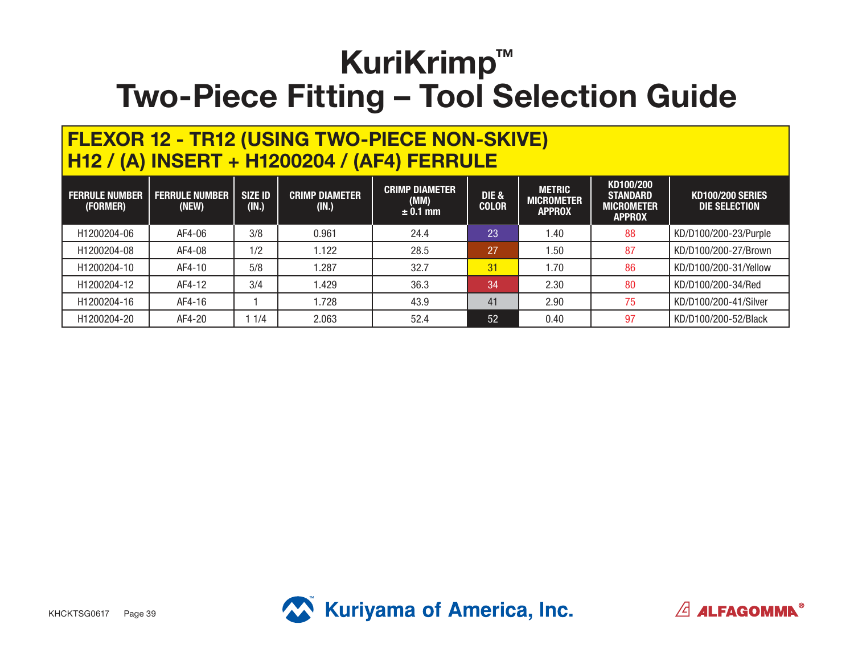#### **FLEXOR 12 - TR12 (USING TWO-PIECE NON-SKIVE) H12 / (A) INSERT + H1200204 / (AF4) FERRULE**

| <b>FERRULE NUMBER</b><br>(FORMER) | <b>FERRULE NUMBER</b><br>(NEW) | <b>SIZE ID</b><br>(IN.) | <b>CRIMP DIAMETER</b><br>(IN.) | <b>CRIMP DIAMETER</b><br>(MM)<br>$\pm$ 0.1 mm | <b>DIE &amp;</b><br><b>COLOR</b> | <b>METRIC</b><br><b>MICROMETER</b><br><b>APPROX</b> | KD100/200<br><b>STANDARD</b><br>MICROMETER<br><b>APPROX</b> | <b>KD100/200 SERIES</b><br>DIE SELECTION |
|-----------------------------------|--------------------------------|-------------------------|--------------------------------|-----------------------------------------------|----------------------------------|-----------------------------------------------------|-------------------------------------------------------------|------------------------------------------|
| H1200204-06                       | AF4-06                         | 3/8                     | 0.961                          | 24.4                                          | 23                               | 1.40                                                | 88                                                          | KD/D100/200-23/Purple                    |
| H1200204-08                       | AF4-08                         | 1/2                     | .122                           | 28.5                                          | 27                               | . 50                                                | 87                                                          | KD/D100/200-27/Brown                     |
| H1200204-10                       | AF4-10                         | 5/8                     | .287                           | 32.7                                          | 31                               | 1.70                                                | 86                                                          | KD/D100/200-31/Yellow                    |
| H1200204-12                       | AF4-12                         | 3/4                     | .429                           | 36.3                                          | 34                               | 2.30                                                | 80                                                          | KD/D100/200-34/Red                       |
| H1200204-16                       | AF4-16                         |                         | .728                           | 43.9                                          | 41                               | 2.90                                                | 75                                                          | KD/D100/200-41/Silver                    |
| H1200204-20                       | AF4-20                         | 1/4                     | 2.063                          | 52.4                                          | 52                               | 0.40                                                | 97                                                          | KD/D100/200-52/Black                     |



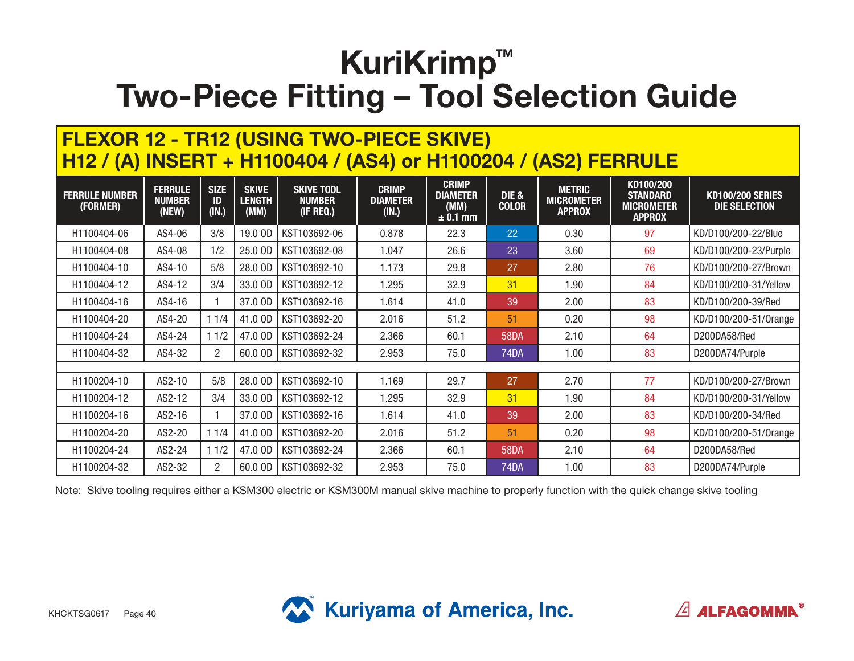### **FLEXOR 12 - TR12 (USING TWO-PIECE SKIVE) H12 / (A) INSERT + H1100404 / (AS4) or H1100204 / (AS2) FERRULE**

| <b>FERRULE NUMBER</b><br>(FORMER) | <b>FERRULE</b><br><b>NUMBER</b><br>(NEW) | <b>SIZE</b><br>ID<br>(IN.) | <b>SKIVE</b><br>LENGTH<br>(MM) | <b>SKIVE TOOL</b><br><b>NUMBER</b><br>(IF REQ.) | <b>CRIMP</b><br><b>DIAMETER</b><br>(IN.) | <b>CRIMP</b><br><b>DIAMETER</b><br>(MM)<br>$\pm$ 0.1 mm | <b>DIE &amp;</b><br><b>COLOR</b> | <b>METRIC</b><br><b>MICROMETER</b><br><b>APPROX</b> | KD100/200<br><b>STANDARD</b><br><b>MICROMETER</b><br><b>APPROX</b> | <b>KD100/200 SERIES</b><br>DIE SELECTION |
|-----------------------------------|------------------------------------------|----------------------------|--------------------------------|-------------------------------------------------|------------------------------------------|---------------------------------------------------------|----------------------------------|-----------------------------------------------------|--------------------------------------------------------------------|------------------------------------------|
| H1100404-06                       | AS4-06                                   | 3/8                        | 19.0 OD                        | KST103692-06                                    | 0.878                                    | 22.3                                                    | 22                               | 0.30                                                | 97                                                                 | KD/D100/200-22/Blue                      |
| H1100404-08                       | AS4-08                                   | 1/2                        | 25.0 OD                        | KST103692-08                                    | 1.047                                    | 26.6                                                    | 23                               | 3.60                                                | 69                                                                 | KD/D100/200-23/Purple                    |
| H1100404-10                       | AS4-10                                   | 5/8                        | 28.0 OD                        | KST103692-10                                    | 1.173                                    | 29.8                                                    | 27                               | 2.80                                                | 76                                                                 | KD/D100/200-27/Brown                     |
| H1100404-12                       | AS4-12                                   | 3/4                        | 33.0 OD                        | KST103692-12                                    | 1.295                                    | 32.9                                                    | 31                               | 1.90                                                | 84                                                                 | KD/D100/200-31/Yellow                    |
| H1100404-16                       | AS4-16                                   |                            | 37.0 OD                        | KST103692-16                                    | 1.614                                    | 41.0                                                    | 39                               | 2.00                                                | 83                                                                 | KD/D100/200-39/Red                       |
| H1100404-20                       | AS4-20                                   | 11/4                       | 41.0 OD                        | KST103692-20                                    | 2.016                                    | 51.2                                                    | 51                               | 0.20                                                | 98                                                                 | KD/D100/200-51/0range                    |
| H1100404-24                       | AS4-24                                   | 11/2                       | 47.0 OD                        | KST103692-24                                    | 2.366                                    | 60.1                                                    | <b>58DA</b>                      | 2.10                                                | 64                                                                 | D200DA58/Red                             |
| H1100404-32                       | AS4-32                                   | $\overline{2}$             | 60.0 OD                        | KST103692-32                                    | 2.953                                    | 75.0                                                    | <b>74DA</b>                      | 1.00                                                | 83                                                                 | D200DA74/Purple                          |
|                                   |                                          |                            |                                |                                                 |                                          |                                                         |                                  |                                                     |                                                                    |                                          |
| H1100204-10                       | AS2-10                                   | 5/8                        | 28.0 OD                        | KST103692-10                                    | 1.169                                    | 29.7                                                    | 27                               | 2.70                                                | 77                                                                 | KD/D100/200-27/Brown                     |
| H1100204-12                       | AS2-12                                   | 3/4                        | 33.0 OD                        | KST103692-12                                    | 1.295                                    | 32.9                                                    | 31                               | 1.90                                                | 84                                                                 | KD/D100/200-31/Yellow                    |
| H1100204-16                       | AS2-16                                   |                            | 37.0 OD                        | KST103692-16                                    | 1.614                                    | 41.0                                                    | 39                               | 2.00                                                | 83                                                                 | KD/D100/200-34/Red                       |
| H1100204-20                       | AS2-20                                   | 11/4                       | 41.0 OD                        | KST103692-20                                    | 2.016                                    | 51.2                                                    | 51                               | 0.20                                                | 98                                                                 | KD/D100/200-51/0range                    |
| H1100204-24                       | AS2-24                                   | 11/2                       | 47.0 OD                        | KST103692-24                                    | 2.366                                    | 60.1                                                    | <b>58DA</b>                      | 2.10                                                | 64                                                                 | D200DA58/Red                             |
| H1100204-32                       | AS2-32                                   | $\overline{2}$             | 60.0 OD                        | KST103692-32                                    | 2.953                                    | 75.0                                                    | <b>74DA</b>                      | 1.00                                                | 83                                                                 | D200DA74/Purple                          |

Note: Skive tooling requires either a KSM300 electric or KSM300M manual skive machine to properly function with the quick change skive tooling

 $\sqrt{2}$  ALFAGOMMA<sup>®</sup>

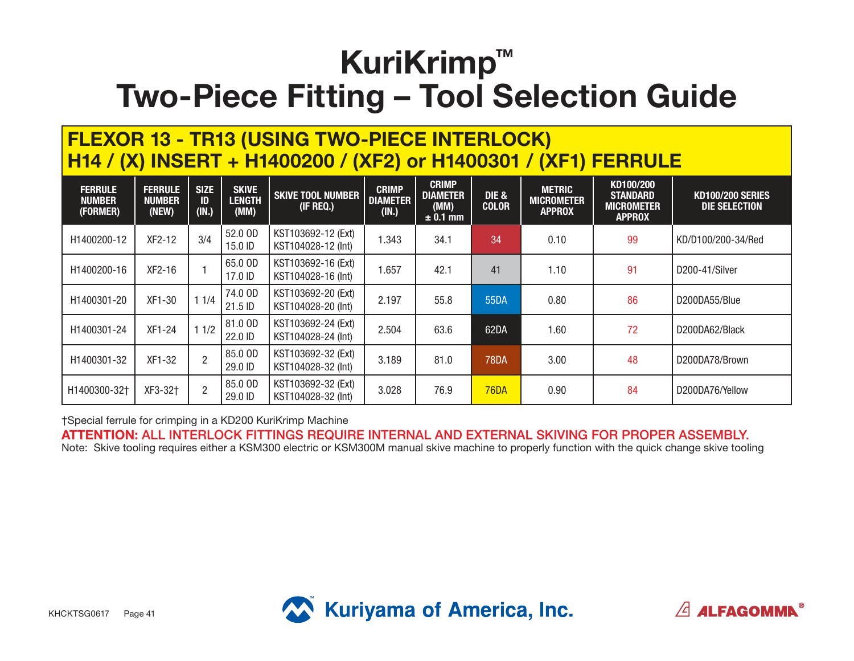#### **FLEXOR 13 - TR13 (USING TWO-PIECE INTERLOCK) H14 / (X) INSERT + H1400200 / (XF2) or H1400301 / (XF1) FERRULE**

| <b>FERRULE</b><br><b>NUMBER</b><br>(FORMER) | <b>FERRULE</b><br><b>NUMBER</b><br>(NEW) | <b>SIZE</b><br>ID<br>(IN.) | <b>SKIVE</b><br><b>LENGTH</b><br>(MM) | <b>SKIVE TOOL NUMBER</b><br>(IF REQ.)    | <b>CRIMP</b><br><b>DIAMETER</b><br>(IN.) | <b>CRIMP</b><br><b>DIAMETER</b><br>(MM)<br>$± 0.1$ mm | DIE &<br><b>COLOR</b> | <b>METRIC</b><br><b>MICROMETER</b><br><b>APPROX</b> | KD100/200<br><b>STANDARD</b><br><b>MICROMETER</b><br><b>APPROX</b> | <b>KD100/200 SERIES</b><br><b>DIE SELECTION</b> |
|---------------------------------------------|------------------------------------------|----------------------------|---------------------------------------|------------------------------------------|------------------------------------------|-------------------------------------------------------|-----------------------|-----------------------------------------------------|--------------------------------------------------------------------|-------------------------------------------------|
| H1400200-12                                 | XF2-12                                   | 3/4                        | 52.0 OD<br>15.0 ID                    | KST103692-12 (Ext)<br>KST104028-12 (Int) | .343                                     | 34.1                                                  | 34                    | 0.10                                                | 99                                                                 | KD/D100/200-34/Red                              |
| H1400200-16                                 | XF2-16                                   |                            | 65.0 OD<br>17.0 ID                    | KST103692-16 (Ext)<br>KST104028-16 (Int) | .657                                     | 42.1                                                  | 41                    | 1.10                                                | 91                                                                 | D200-41/Silver                                  |
| H1400301-20                                 | XF1-30                                   | 11/4                       | 74.0 OD<br>21.5 ID                    | KST103692-20 (Ext)<br>KST104028-20 (Int) | 2.197                                    | 55.8                                                  | 55DA                  | 0.80                                                | 86                                                                 | D200DA55/Blue                                   |
| H1400301-24                                 | XF1-24                                   | 11/2                       | 81.0 OD<br>22.0 ID                    | KST103692-24 (Ext)<br>KST104028-24 (Int) | 2.504                                    | 63.6                                                  | 62DA                  | 1.60                                                | 72                                                                 | D200DA62/Black                                  |
| H1400301-32                                 | XF1-32                                   | $\overline{2}$             | 85.0 OD<br>29.0 ID                    | KST103692-32 (Ext)<br>KST104028-32 (Int) | 3.189                                    | 81.0                                                  | <b>78DA</b>           | 3.00                                                | 48                                                                 | D200DA78/Brown                                  |
| H1400300-32+                                | XF3-32†                                  | $\overline{2}$             | 85.0 OD<br>29.0 ID                    | KST103692-32 (Ext)<br>KST104028-32 (Int) | 3.028                                    | 76.9                                                  | <b>76DA</b>           | 0.90                                                | 84                                                                 | D200DA76/Yellow                                 |

†Special ferrule for crimping in a KD200 KuriKrimp Machine

**ATTENTION:** ALL INTERLOCK FITTINGS REQUIRE INTERNAL AND EXTERNAL SKIVING FOR PROPER ASSEMBLY. Note: Skive tooling requires either a KSM300 electric or KSM300M manual skive machine to properly function with the quick change skive tooling



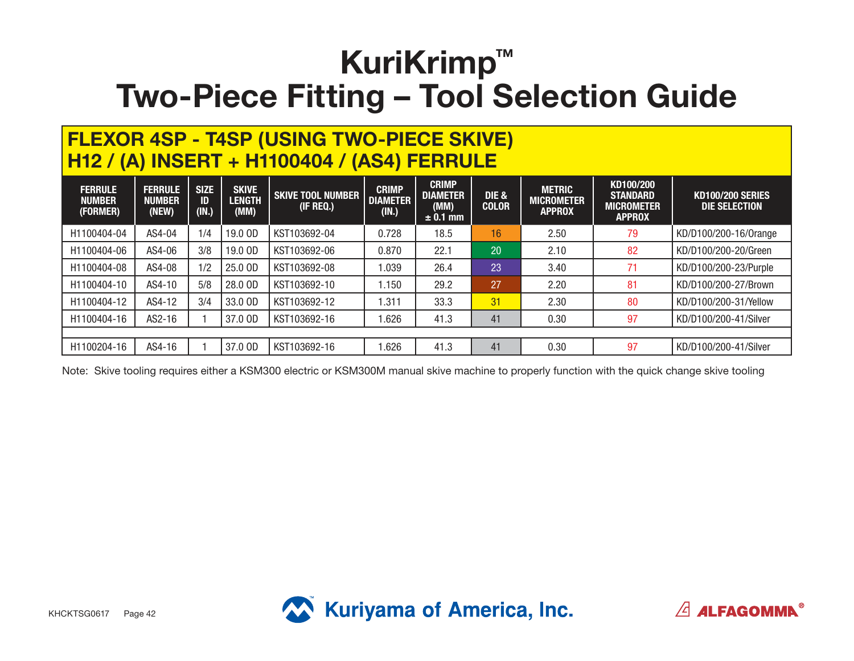#### **FLEXOR 4SP - T4SP (USING TWO-PIECE SKIVE) H12 / (A) INSERT + H1100404 / (AS4) FERRULE**

| <b>FERRULE</b><br><b>NUMBER</b><br>(FORMER) | <b>FERRULE</b><br><b>NUMBER</b><br>(NEW) | <b>SIZE</b><br>ID<br>(IN.) | <b>SKIVE</b><br><b>LENGTH</b><br>(MM) | <b>SKIVE TOOL NUMBER</b><br>(IF REQ.) | <b>CRIMP</b><br><b>DIAMETER</b><br>(IN.) | <b>CRIMP</b><br><b>DIAMETER</b><br>(MM)<br>$\pm$ 0.1 mm | <b>DIE &amp;</b><br><b>COLOR</b> | <b>METRIC</b><br><b>MICROMETER</b><br><b>APPROX</b> | KD100/200<br><b>STANDARD</b><br><b>MICROMETER</b><br><b>APPROX</b> | <b>KD100/200 SERIES</b><br>DIE SELECTION |
|---------------------------------------------|------------------------------------------|----------------------------|---------------------------------------|---------------------------------------|------------------------------------------|---------------------------------------------------------|----------------------------------|-----------------------------------------------------|--------------------------------------------------------------------|------------------------------------------|
| H1100404-04                                 | AS4-04                                   | 1/4                        | 19.0 OD                               | KST103692-04                          | 0.728                                    | 18.5                                                    | 16                               | 2.50                                                | 79                                                                 | KD/D100/200-16/0range                    |
| H1100404-06                                 | AS4-06                                   | 3/8                        | 19.0 OD                               | KST103692-06                          | 0.870                                    | 22.1                                                    | 20                               | 2.10                                                | 82                                                                 | KD/D100/200-20/Green                     |
| H1100404-08                                 | AS4-08                                   | 1/2                        | 25.0 OD                               | KST103692-08                          | .039                                     | 26.4                                                    | 23                               | 3.40                                                | 71                                                                 | KD/D100/200-23/Purple                    |
| H1100404-10                                 | AS4-10                                   | 5/8                        | 28.0 OD                               | KST103692-10                          | 1.150                                    | 29.2                                                    | 27                               | 2.20                                                | 81                                                                 | KD/D100/200-27/Brown                     |
| H1100404-12                                 | AS4-12                                   | 3/4                        | 33.0 OD                               | KST103692-12                          | .311                                     | 33.3                                                    | 31                               | 2.30                                                | 80                                                                 | KD/D100/200-31/Yellow                    |
| H1100404-16                                 | AS2-16                                   |                            | 37.0 OD                               | KST103692-16                          | .626                                     | 41.3                                                    | 41                               | 0.30                                                | 97                                                                 | KD/D100/200-41/Silver                    |
|                                             |                                          |                            |                                       |                                       |                                          |                                                         |                                  |                                                     |                                                                    |                                          |
| H1100204-16                                 | AS4-16                                   |                            | 37.0 OD                               | KST103692-16                          | .626                                     | 41.3                                                    | 41                               | 0.30                                                | 97                                                                 | KD/D100/200-41/Silver                    |

Note: Skive tooling requires either a KSM300 electric or KSM300M manual skive machine to properly function with the quick change skive tooling



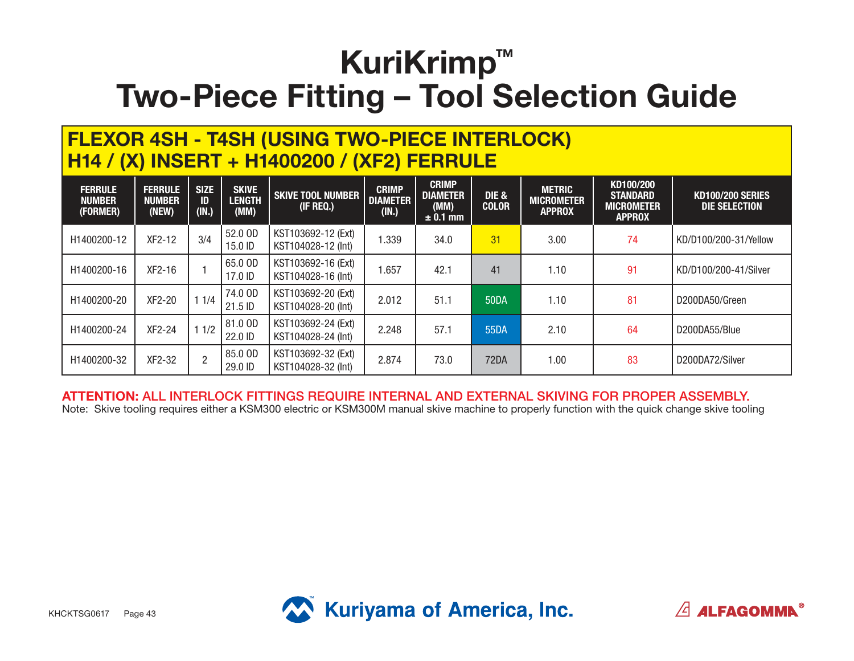#### **FLEXOR 4SH - T4SH (USING TWO-PIECE INTERLOCK) H14 / (X) INSERT + H1400200 / (XF2) FERRULE**

| <b>FERRULE</b><br><b>NUMBER</b><br>(FORMER) | <b>FERRULE</b><br><b>NUMBER</b><br>(NEW) | <b>SIZE</b><br>ID<br>(IN.) | <b>SKIVE</b><br><b>LENGTH</b><br>(MM) | <b>SKIVE TOOL NUMBER</b><br>(IF REQ.)    | <b>CRIMP</b><br><b>DIAMETER</b><br>(IN.) | <b>CRIMP</b><br><b>DIAMETER</b><br>(MM)<br>$\pm$ 0.1 mm | DIE &<br><b>COLOR</b> | <b>METRIC</b><br><b>MICROMETER</b><br><b>APPROX</b> | KD100/200<br><b>STANDARD</b><br><b>MICROMETER</b><br><b>APPROX</b> | <b>KD100/200 SERIES</b><br>DIE SELECTION |
|---------------------------------------------|------------------------------------------|----------------------------|---------------------------------------|------------------------------------------|------------------------------------------|---------------------------------------------------------|-----------------------|-----------------------------------------------------|--------------------------------------------------------------------|------------------------------------------|
| H1400200-12                                 | XF2-12                                   | 3/4                        | 52.0 OD<br>15.0 ID                    | KST103692-12 (Ext)<br>KST104028-12 (Int) | .339                                     | 34.0                                                    | 31                    | 3.00                                                | 74                                                                 | KD/D100/200-31/Yellow                    |
| H1400200-16                                 | XF2-16                                   |                            | 65.0 OD<br>17.0 ID                    | KST103692-16 (Ext)<br>KST104028-16 (Int) | .657                                     | 42.1                                                    | 41                    | 1.10                                                | 91                                                                 | KD/D100/200-41/Silver                    |
| H1400200-20                                 | XF2-20                                   | 11/4                       | 74.0 OD<br>21.5 ID                    | KST103692-20 (Ext)<br>KST104028-20 (Int) | 2.012                                    | 51.1                                                    | 50DA                  | 1.10                                                | 81                                                                 | D200DA50/Green                           |
| H1400200-24                                 | XF2-24                                   | 11/2                       | 81.0 OD<br>22.0 ID                    | KST103692-24 (Ext)<br>KST104028-24 (Int) | 2.248                                    | 57.1                                                    | 55DA                  | 2.10                                                | 64                                                                 | D200DA55/Blue                            |
| H1400200-32                                 | XF2-32                                   | $\overline{2}$             | 85.0 OD<br>29.0 ID                    | KST103692-32 (Ext)<br>KST104028-32 (Int) | 2.874                                    | 73.0                                                    | 72DA                  | 1.00                                                | 83                                                                 | D200DA72/Silver                          |

**ATTENTION:** ALL INTERLOCK FITTINGS REQUIRE INTERNAL AND EXTERNAL SKIVING FOR PROPER ASSEMBLY. Note: Skive tooling requires either a KSM300 electric or KSM300M manual skive machine to properly function with the quick change skive tooling



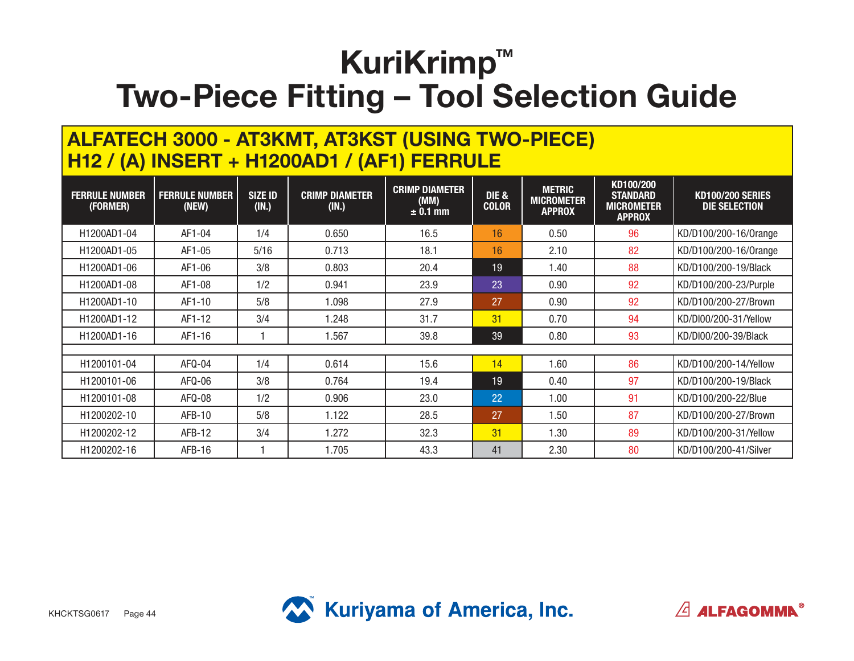#### **ALFATECH 3000 - AT3KMT, AT3KST (USING TWO-PIECE) H12 / (A) INSERT + H1200AD1 / (AF1) FERRULE**

| <b>FERRULE NUMBER</b><br>(FORMER) | <b>FERRULE NUMBER</b><br>(NEW) | <b>SIZE ID</b><br>(IN.) | <b>CRIMP DIAMETER</b><br>(IN.) | <b>CRIMP DIAMETER</b><br>(MM)<br>$± 0.1$ mm | DIE &<br><b>COLOR</b> | <b>METRIC</b><br><b>MICROMETER</b><br><b>APPROX</b> | KD100/200<br><b>STANDARD</b><br><b>MICROMETER</b><br><b>APPROX</b> | <b>KD100/200 SERIES</b><br><b>DIE SELECTION</b> |
|-----------------------------------|--------------------------------|-------------------------|--------------------------------|---------------------------------------------|-----------------------|-----------------------------------------------------|--------------------------------------------------------------------|-------------------------------------------------|
| H1200AD1-04                       | AF1-04                         | 1/4                     | 0.650                          | 16.5                                        | 16                    | 0.50                                                | 96                                                                 | KD/D100/200-16/0range                           |
| H1200AD1-05                       | AF1-05                         | 5/16                    | 0.713                          | 18.1                                        | 16                    | 2.10                                                | 82                                                                 | KD/D100/200-16/0range                           |
| H1200AD1-06                       | AF1-06                         | 3/8                     | 0.803                          | 20.4                                        | 19                    | 1.40                                                | 88                                                                 | KD/D100/200-19/Black                            |
| H1200AD1-08                       | AF1-08                         | 1/2                     | 0.941                          | 23.9                                        | 23                    | 0.90                                                | 92                                                                 | KD/D100/200-23/Purple                           |
| H1200AD1-10                       | AF1-10                         | 5/8                     | 1.098                          | 27.9                                        | 27                    | 0.90                                                | 92                                                                 | KD/D100/200-27/Brown                            |
| H1200AD1-12                       | AF1-12                         | 3/4                     | 1.248                          | 31.7                                        | 31                    | 0.70                                                | 94                                                                 | KD/DI00/200-31/Yellow                           |
| H1200AD1-16                       | AF1-16                         |                         | 1.567                          | 39.8                                        | 39                    | 0.80                                                | 93                                                                 | KD/DI00/200-39/Black                            |
|                                   |                                |                         |                                |                                             |                       |                                                     |                                                                    |                                                 |
| H1200101-04                       | $AFQ-04$                       | 1/4                     | 0.614                          | 15.6                                        | 14                    | 1.60                                                | 86                                                                 | KD/D100/200-14/Yellow                           |
| H1200101-06                       | AFQ-06                         | 3/8                     | 0.764                          | 19.4                                        | 19                    | 0.40                                                | 97                                                                 | KD/D100/200-19/Black                            |
| H <sub>1200101</sub> -08          | AFQ-08                         | 1/2                     | 0.906                          | 23.0                                        | 22                    | 1.00                                                | 91                                                                 | KD/D100/200-22/Blue                             |
| H1200202-10                       | AFB-10                         | 5/8                     | 1.122                          | 28.5                                        | 27                    | 1.50                                                | 87                                                                 | KD/D100/200-27/Brown                            |
| H1200202-12                       | AFB-12                         | 3/4                     | 1.272                          | 32.3                                        | 31                    | 1.30                                                | 89                                                                 | KD/D100/200-31/Yellow                           |
| H1200202-16                       | $AFB-16$                       |                         | 1.705                          | 43.3                                        | 41                    | 2.30                                                | 80                                                                 | KD/D100/200-41/Silver                           |



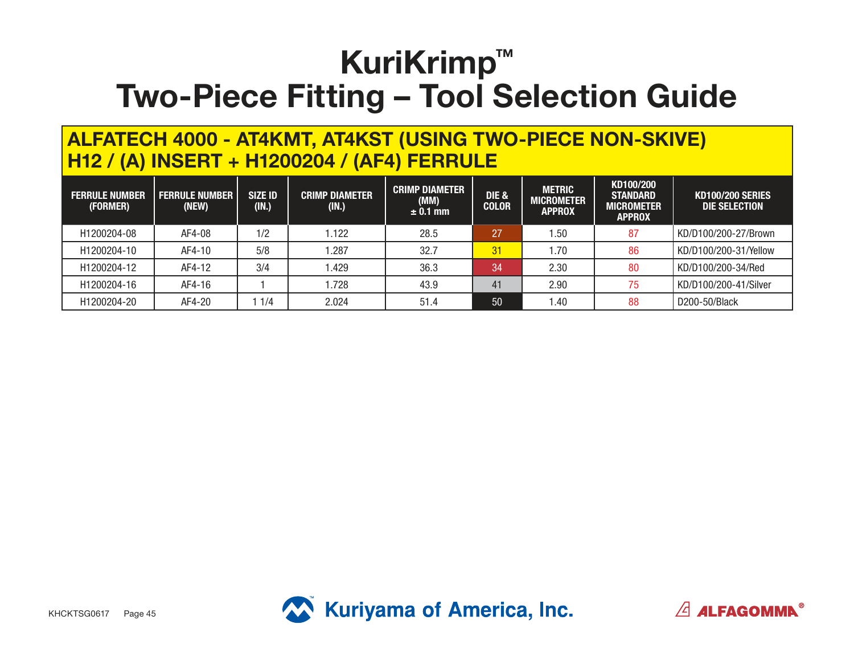#### **ALFATECH 4000 - AT4KMT, AT4KST (USING TWO-PIECE NON-SKIVE) H12 / (A) INSERT + H1200204 / (AF4) FERRULE**

| <b>FERRULE NUMBER</b><br>(FORMER) | <b>FERRULE NUMBER</b><br>(NEW) | <b>SIZE ID</b><br>(IN.) | <b>CRIMP DIAMETER</b><br>(IN.) | <b>CRIMP DIAMETER</b><br>(MM)<br>$± 0.1$ mm | <b>DIE &amp;</b><br><b>COLOR</b> | <b>METRIC</b><br><b>MICROMETER</b><br><b>APPROX</b> | KD100/200<br><b>STANDARD</b><br>MICROMETER<br><b>APPROX</b> | <b>KD100/200 SERIES</b><br>DIE SELECTION |
|-----------------------------------|--------------------------------|-------------------------|--------------------------------|---------------------------------------------|----------------------------------|-----------------------------------------------------|-------------------------------------------------------------|------------------------------------------|
| H1200204-08                       | AF4-08                         | 1/2                     | .122                           | 28.5                                        | 27                               | .50                                                 | 87                                                          | KD/D100/200-27/Brown                     |
| H1200204-10                       | AF4-10                         | 5/8                     | .287                           | 32.7                                        | 31                               | 1.70                                                | 86                                                          | KD/D100/200-31/Yellow                    |
| H1200204-12                       | AF4-12                         | 3/4                     | .429                           | 36.3                                        | 34                               | 2.30                                                | 80                                                          | KD/D100/200-34/Red                       |
| H1200204-16                       | AF4-16                         |                         | .728                           | 43.9                                        | 41                               | 2.90                                                | 75                                                          | KD/D100/200-41/Silver                    |
| H1200204-20                       | AF4-20                         | 1/4                     | 2.024                          | 51.4                                        | 50                               | .40                                                 | 88                                                          | D200-50/Black                            |



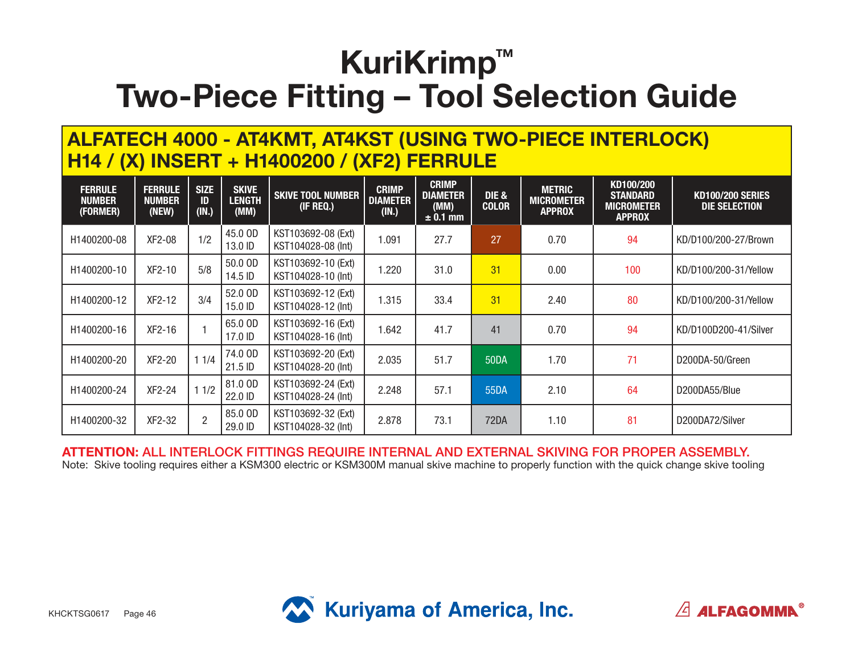#### **ALFATECH 4000 - AT4KMT, AT4KST (USING TWO-PIECE INTERLOCK) H14 / (X) INSERT + H1400200 / (XF2) FERRULE**

| <b>FERRULE</b><br><b>NUMBER</b><br>(FORMER) | <b>FERRULE</b><br><b>NUMBER</b><br>(NEW) | <b>SIZE</b><br>ID<br>(IN.) | <b>SKIVE</b><br><b>LENGTH</b><br>(MM) | <b>SKIVE TOOL NUMBER</b><br>(IF REQ.)    | <b>CRIMP</b><br><b>DIAMETER</b><br>(IN.) | <b>CRIMP</b><br><b>DIAMETER</b><br>(MM)<br>$\pm$ 0.1 mm | DIE &<br><b>COLOR</b> | <b>METRIC</b><br><b>MICROMETER</b><br><b>APPROX</b> | KD100/200<br><b>STANDARD</b><br><b>MICROMETER</b><br><b>APPROX</b> | <b>KD100/200 SERIES</b><br>DIE SELECTION |
|---------------------------------------------|------------------------------------------|----------------------------|---------------------------------------|------------------------------------------|------------------------------------------|---------------------------------------------------------|-----------------------|-----------------------------------------------------|--------------------------------------------------------------------|------------------------------------------|
| H1400200-08                                 | XF2-08                                   | 1/2                        | 45.0 OD<br>13.0 ID                    | KST103692-08 (Ext)<br>KST104028-08 (Int) | 1.091                                    | 27.7                                                    | 27                    | 0.70                                                | 94                                                                 | KD/D100/200-27/Brown                     |
| H1400200-10                                 | XF2-10                                   | 5/8                        | 50.0 OD<br>14.5 ID                    | KST103692-10 (Ext)<br>KST104028-10 (Int) | 1.220                                    | 31.0                                                    | 31                    | 0.00                                                | 100                                                                | KD/D100/200-31/Yellow                    |
| H1400200-12                                 | $XF2-12$                                 | 3/4                        | 52.0 OD<br>15.0 ID                    | KST103692-12 (Ext)<br>KST104028-12 (Int) | 1.315                                    | 33.4                                                    | 31                    | 2.40                                                | 80                                                                 | KD/D100/200-31/Yellow                    |
| H1400200-16                                 | XF2-16                                   |                            | 65.0 OD<br>17.0 ID                    | KST103692-16 (Ext)<br>KST104028-16 (Int) | 1.642                                    | 41.7                                                    | 41                    | 0.70                                                | 94                                                                 | KD/D100D200-41/Silver                    |
| H1400200-20                                 | XF2-20                                   | 11/4                       | 74.0 OD<br>21.5 ID                    | KST103692-20 (Ext)<br>KST104028-20 (Int) | 2.035                                    | 51.7                                                    | <b>50DA</b>           | 1.70                                                | 71                                                                 | D200DA-50/Green                          |
| H1400200-24                                 | XF2-24                                   | 11/2                       | 81.0 OD<br>22.0 ID                    | KST103692-24 (Ext)<br>KST104028-24 (Int) | 2.248                                    | 57.1                                                    | 55DA                  | 2.10                                                | 64                                                                 | D200DA55/Blue                            |
| H1400200-32                                 | XF2-32                                   | $\overline{2}$             | 85.0 OD<br>29.0 ID                    | KST103692-32 (Ext)<br>KST104028-32 (Int) | 2.878                                    | 73.1                                                    | 72DA                  | 1.10                                                | 81                                                                 | D200DA72/Silver                          |

**ATTENTION:** ALL INTERLOCK FITTINGS REQUIRE INTERNAL AND EXTERNAL SKIVING FOR PROPER ASSEMBLY. Note: Skive tooling requires either a KSM300 electric or KSM300M manual skive machine to properly function with the quick change skive tooling





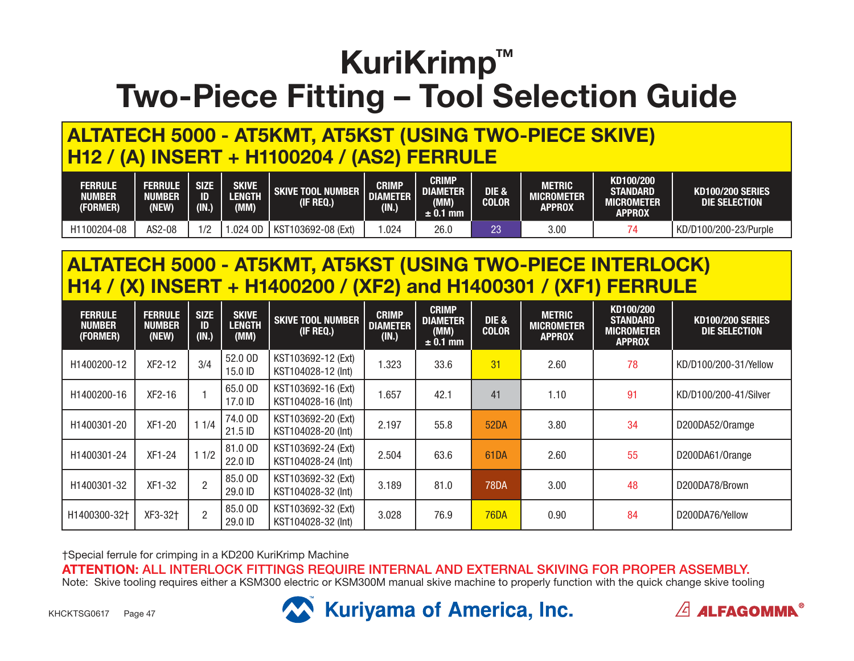### **ALTATECH 5000 - AT5KMT, AT5KST (USING TWO-PIECE SKIVE) H12 / (A) INSERT + H1100204 / (AS2) FERRULE**

| <b>FERRULE</b><br><b>NUMBER</b><br>(FORMER) | <b>FERRULE</b><br>NUMBER<br>(NEW) | <b>SIZE</b><br>ID<br>(IN.) | SKIVE<br>LENGTH<br>(MM) | <b>SKIVE TOOL NUMBER</b><br>$($ IF REQ. $)$ | <b>CRIMP</b><br><b>DIAMETER</b><br>(IN.) | <b>CRIMP</b><br><b>DIAMETER</b><br>(MM)<br>$± 0.1$ mm | DIE &<br><b>COLOR</b> | METRIC<br>MICROMETER<br>APPROX | KD100/200<br><b>STANDARD</b><br><b>MICROMETER</b><br><b>APPROX</b> | <b>KD100/200 SERIES</b><br>DIE SELECTION |
|---------------------------------------------|-----------------------------------|----------------------------|-------------------------|---------------------------------------------|------------------------------------------|-------------------------------------------------------|-----------------------|--------------------------------|--------------------------------------------------------------------|------------------------------------------|
| H1100204-08                                 | AS2-08                            | $\sqrt{2}$                 | $.024$ OD               | KST<br>T103692-08 (Ext)                     | .024                                     | 26.0                                                  | רמ<br>ΔU              | 3.00                           |                                                                    | KD/D100/200-23/Purple                    |

### **ALTATECH 5000 - AT5KMT, AT5KST (USING TWO-PIECE INTERLOCK) H14 / (X) INSERT + H1400200 / (XF2) and H1400301 / (XF1) FERRULE**

| <b>FERRULE</b><br><b>NUMBER</b><br>(FORMER) | <b>FERRULE</b><br><b>NUMBER</b><br>(NEW) | <b>SIZE</b><br>ID<br>(IN.) | <b>SKIVE</b><br><b>LENGTH</b><br>(MM) | <b>SKIVE TOOL NUMBER</b><br>(IF REQ.)    | <b>CRIMP</b><br><b>DIAMETER</b><br>(IN.) | <b>CRIMP</b><br><b>DIAMETER</b><br>(MM)<br>$\pm$ 0.1 mm | DIE &<br><b>COLOR</b> | <b>METRIC</b><br><b>MICROMETER</b><br><b>APPROX</b> | KD100/200<br><b>STANDARD</b><br><b>MICROMETER</b><br><b>APPROX</b> | <b>KD100/200 SERIES</b><br>DIE SELECTION |
|---------------------------------------------|------------------------------------------|----------------------------|---------------------------------------|------------------------------------------|------------------------------------------|---------------------------------------------------------|-----------------------|-----------------------------------------------------|--------------------------------------------------------------------|------------------------------------------|
| H1400200-12                                 | XF2-12                                   | 3/4                        | 52.0 OD<br>15.0 ID                    | KST103692-12 (Ext)<br>KST104028-12 (Int) | 1.323                                    | 33.6                                                    | 31                    | 2.60                                                | 78                                                                 | KD/D100/200-31/Yellow                    |
| H1400200-16                                 | $XF2-16$                                 |                            | 65.0 OD<br>17.0 ID                    | KST103692-16 (Ext)<br>KST104028-16 (Int) | 1.657                                    | 42.1                                                    | 41                    | 1.10                                                | 91                                                                 | KD/D100/200-41/Silver                    |
| H1400301-20                                 | XF1-20                                   | 11/4                       | 74.0 OD<br>21.5 ID                    | KST103692-20 (Ext)<br>KST104028-20 (Int) | 2.197                                    | 55.8                                                    | 52DA                  | 3.80                                                | 34                                                                 | D200DA52/Oramge                          |
| H1400301-24                                 | $XF1-24$                                 | 11/2                       | 81.0 OD<br>22.0 ID                    | KST103692-24 (Ext)<br>KST104028-24 (Int) | 2.504                                    | 63.6                                                    | 61DA                  | 2.60                                                | 55                                                                 | D200DA61/Orange                          |
| H1400301-32                                 | XF1-32                                   | $\overline{2}$             | 85.0 OD<br>29.0 ID                    | KST103692-32 (Ext)<br>KST104028-32 (Int) | 3.189                                    | 81.0                                                    | <b>78DA</b>           | 3.00                                                | 48                                                                 | D200DA78/Brown                           |
| H1400300-32+                                | XF3-32+                                  | $\overline{2}$             | 85.0 OD<br>29.0 ID                    | KST103692-32 (Ext)<br>KST104028-32 (Int) | 3.028                                    | 76.9                                                    | <b>76DA</b>           | 0.90                                                | 84                                                                 | D200DA76/Yellow                          |

†Special ferrule for crimping in a KD200 KuriKrimp Machine

**ATTENTION:** ALL INTERLOCK FITTINGS REQUIRE INTERNAL AND EXTERNAL SKIVING FOR PROPER ASSEMBLY. Note: Skive tooling requires either a KSM300 electric or KSM300M manual skive machine to properly function with the quick change skive tooling



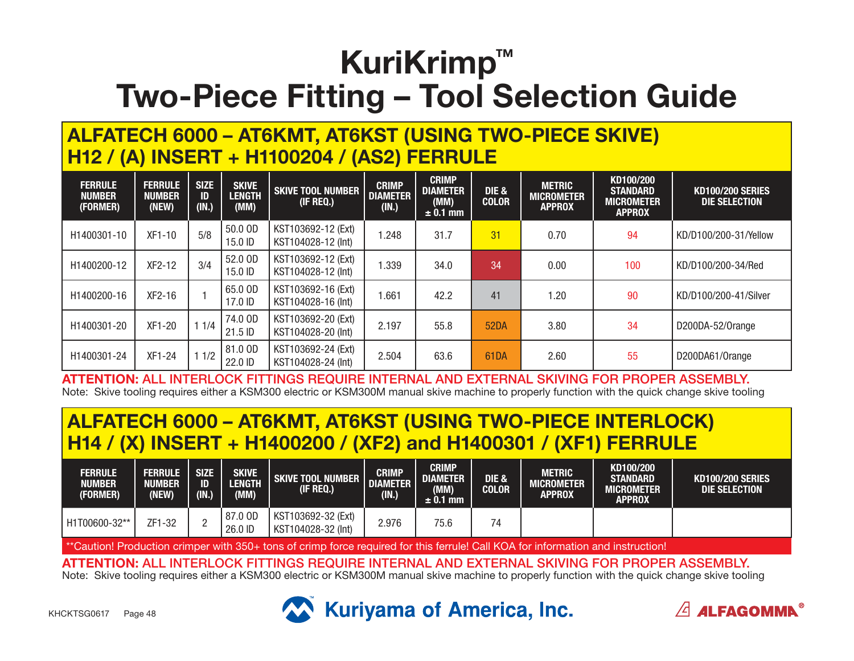#### **ALFATECH 6000 – AT6KMT, AT6KST (USING TWO-PIECE SKIVE) H12 / (A) INSERT + H1100204 / (AS2) FERRULE**

| <b>FERRULE</b><br><b>NUMBER</b><br>(FORMER) | <b>FERRULE</b><br><b>NUMBER</b><br>(NEW) | <b>SIZE</b><br>ID<br>(IN.) | <b>SKIVE</b><br><b>LENGTH</b><br>(MM) | <b>SKIVE TOOL NUMBER</b><br>(IF REQ.)    | <b>CRIMP</b><br><b>DIAMETER</b><br>(IN.) | <b>CRIMP</b><br><b>DIAMETER</b><br>(MM)<br>$\pm$ 0.1 mm | DIE &<br><b>COLOR</b> | <b>METRIC</b><br><b>MICROMETER</b><br><b>APPROX</b> | KD100/200<br><b>STANDARD</b><br><b>MICROMETER</b><br><b>APPROX</b> | <b>KD100/200 SERIES</b><br>DIE SELECTION |
|---------------------------------------------|------------------------------------------|----------------------------|---------------------------------------|------------------------------------------|------------------------------------------|---------------------------------------------------------|-----------------------|-----------------------------------------------------|--------------------------------------------------------------------|------------------------------------------|
| H1400301-10                                 | $XF1-10$                                 | 5/8                        | 50.0 OD<br>15.0 ID                    | KST103692-12 (Ext)<br>KST104028-12 (Int) | .248                                     | 31.7                                                    | 31                    | 0.70                                                | 94                                                                 | KD/D100/200-31/Yellow                    |
| H1400200-12                                 | XF2-12                                   | 3/4                        | 52.0 OD<br>15.0 ID                    | KST103692-12 (Ext)<br>KST104028-12 (Int) | .339                                     | 34.0                                                    | 34                    | 0.00                                                | 100                                                                | KD/D100/200-34/Red                       |
| H1400200-16                                 | XF2-16                                   |                            | 65.0 OD<br>17.0 ID                    | KST103692-16 (Ext)<br>KST104028-16 (Int) | .661                                     | 42.2                                                    | 41                    | 1.20                                                | 90                                                                 | KD/D100/200-41/Silver                    |
| H1400301-20                                 | XF1-20                                   | 11/4                       | 74.0 OD<br>21.5 ID                    | KST103692-20 (Ext)<br>KST104028-20 (Int) | 2.197                                    | 55.8                                                    | <b>52DA</b>           | 3.80                                                | 34                                                                 | D200DA-52/Orange                         |
| H1400301-24                                 | XF1-24                                   | 1/2                        | 81.0 OD<br>22.0 ID                    | KST103692-24 (Ext)<br>KST104028-24 (Int) | 2.504                                    | 63.6                                                    | 61DA                  | 2.60                                                | 55                                                                 | D200DA61/Orange                          |

**ATTENTION:** ALL INTERLOCK FITTINGS REQUIRE INTERNAL AND EXTERNAL SKIVING FOR PROPER ASSEMBLY. Note: Skive tooling requires either a KSM300 electric or KSM300M manual skive machine to properly function with the quick change skive tooling

### **ALFATECH 6000 – AT6KMT, AT6KST (USING TWO-PIECE INTERLOCK) H14 / (X) INSERT + H1400200 / (XF2) and H1400301 / (XF1) FERRULE**

| <b>FERRULE</b><br><b>NUMBER</b><br>(FORMER) | <b>FERRULE</b><br><b>NUMBER</b><br>(NEW) | <b>SIZE</b><br>ID<br>(IN.) | <b>SKIVE</b><br>LENGTH<br>(MM) | SKIVE TOOL NUMBER<br>(if Req.)           | <b>CRIMP</b><br><b>DIAMETER</b><br>(IN.) | <b>CRIMP</b><br><b>DIAMETER</b><br>(MM)<br>$\pm$ 0.1 mm $\pm$ | <b>DIE &amp;</b><br><b>COLOR</b> | METRIC<br><b>MICROMETER</b><br>APPROX' | KD100/200<br><b>STANDARD</b><br>MICROMETER<br><b>APPROX</b> | KD100/200 SERIES<br>DIE SELECTION |
|---------------------------------------------|------------------------------------------|----------------------------|--------------------------------|------------------------------------------|------------------------------------------|---------------------------------------------------------------|----------------------------------|----------------------------------------|-------------------------------------------------------------|-----------------------------------|
| H1T00600-32**                               | ZF1-32                                   |                            | 87.0 OD<br>26.0 ID             | KST103692-32 (Ext)<br>KST104028-32 (Int) | 2.976                                    | 75.6                                                          | 74                               |                                        |                                                             |                                   |

\*\*Caution! Production crimper with 350+ tons of crimp force required for this ferrule! Call KOA for information and instruction!

**ATTENTION:** ALL INTERLOCK FITTINGS REQUIRE INTERNAL AND EXTERNAL SKIVING FOR PROPER ASSEMBLY.

Note: Skive tooling requires either a KSM300 electric or KSM300M manual skive machine to properly function with the quick change skive tooling





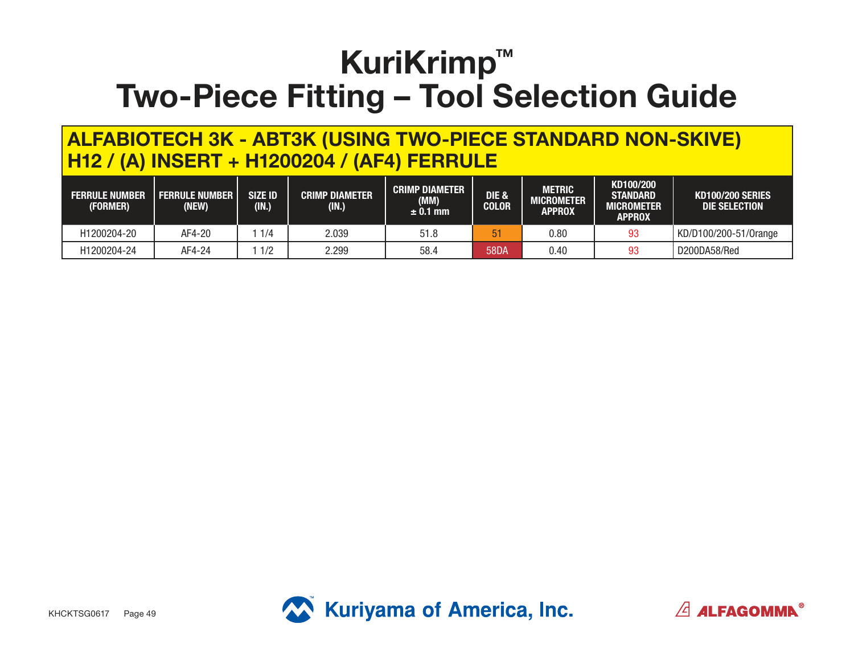#### **ALFABIOTECH 3K - ABT3K (USING TWO-PIECE STANDARD NON-SKIVE) H12 / (A) INSERT + H1200204 / (AF4) FERRULE**

| <b>FERRULE NUMBER</b><br>(FORMER) | <b>FERRULE NUMBER</b><br>NEW) | <b>SIZE ID</b><br>(IN.) | <b>CRIMP DIAMETER</b><br>(IN.) | <b>CRIMP DIAMETER</b><br>(MM)<br>$\pm$ 0.1 mm | DIE &<br><b>COLOR</b> | METRIC<br><b>MICROMETER</b><br><b>APPROX</b> | KD100/200<br><b>STANDARD</b><br>MICROMETER<br><b>APPROX</b> | <b>KD100/200 SERIES</b><br>DIE SELECTION |
|-----------------------------------|-------------------------------|-------------------------|--------------------------------|-----------------------------------------------|-----------------------|----------------------------------------------|-------------------------------------------------------------|------------------------------------------|
| H1200204-20                       | AF4-20                        | 1/4                     | 2.039                          | 51.8                                          | 51                    | $0.80\,$                                     | 93                                                          | KD/D100/200-51/Orange                    |
| H1200204-24                       | AF4-24                        | 1/2                     | 2.299                          | 58.4                                          | 58DA                  | 0.40                                         | 93                                                          | D200DA58/Red                             |



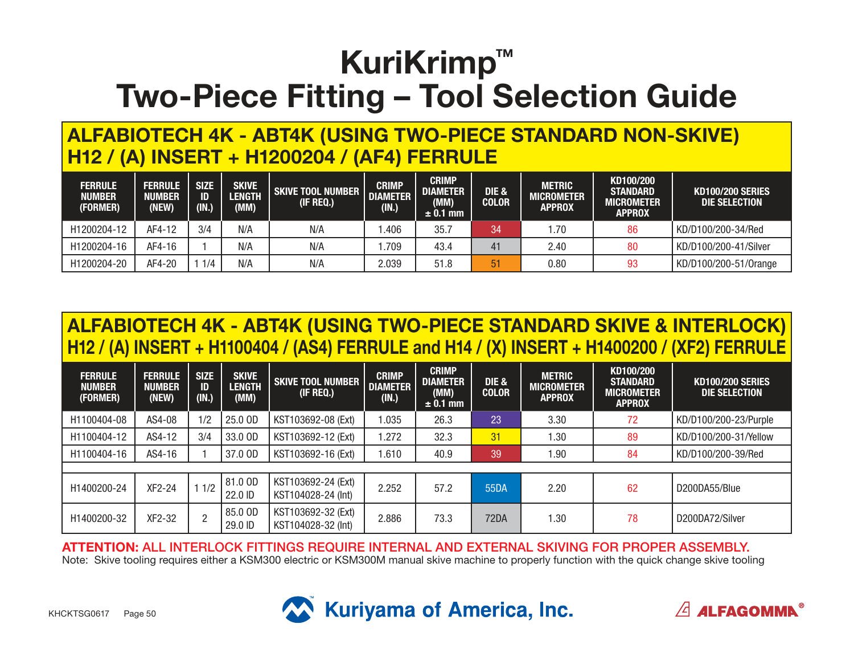#### **ALFABIOTECH 4K - ABT4K (USING TWO-PIECE STANDARD NON-SKIVE) H12 / (A) INSERT + H1200204 / (AF4) FERRULE**

| <b>FERRULE</b><br><b>NUMBER</b><br>(FORMER) | <b>FERRULE</b><br>NUMBER<br>(NEW) | <b>SIZE</b><br>ID<br>(IN.) | <b>SKIVE</b><br>LENGTH<br>(MM) | <b>SKIVE TOOL NUMBER</b><br>(IF REQ.) | <b>CRIMP</b><br><b>DIAMETER</b><br>(IN.) | <b>CRIMP</b><br><b>DIAMETER</b><br>(MM)<br>$\pm$ 0.1 mm | <b>DIE &amp;</b><br><b>COLOR</b> | <b>METRIC</b><br><b>MICROMETER</b><br><b>APPROX</b> | KD100/200<br><b>STANDARD</b><br><b>MICROMETER</b><br><b>APPROX</b> | <b>KD100/200 SERIES</b><br>DIE SELECTION |
|---------------------------------------------|-----------------------------------|----------------------------|--------------------------------|---------------------------------------|------------------------------------------|---------------------------------------------------------|----------------------------------|-----------------------------------------------------|--------------------------------------------------------------------|------------------------------------------|
| H1200204-12                                 | AF4-12                            | 3/4                        | N/A                            | N/A                                   | .406                                     | 35.                                                     | 34                               | 1.70                                                | 86                                                                 | KD/D100/200-34/Red                       |
| H1200204-16                                 | AF4-16                            |                            | N/A                            | N/A                                   | .709                                     | 43.4                                                    | 41                               | 2.40                                                | 80                                                                 | KD/D100/200-41/Silver                    |
| H1200204-20                                 | AF4-20                            | 1/4                        | N/A                            | N/A                                   | 2.039                                    | 51.8                                                    | 51                               | 0.80                                                | 93                                                                 | KD/D100/200-51/0range                    |

### **ALFABIOTECH 4K - ABT4K (USING TWO-PIECE STANDARD SKIVE & INTERLOCK) H12 / (A) INSERT + H1100404 / (AS4) FERRULE and H14 / (X) INSERT + H1400200 / (XF2) FERRULE**

| <b>FERRULE</b><br><b>NUMBER</b><br>(FORMER) | <b>FERRULE</b><br><b>NUMBER</b><br>(NEW) | <b>SIZE</b><br>ID<br>(IN.) | <b>SKIVE</b><br><b>LENGTH</b><br>(MM) | <b>SKIVE TOOL NUMBER</b><br>(IF REQ.)    | <b>CRIMP</b><br><b>DIAMETER</b><br>(IN.) | <b>CRIMP</b><br><b>DIAMETER</b><br>(MM)<br>$\pm$ 0.1 mm | DIE &<br><b>COLOR</b> | <b>METRIC</b><br><b>MICROMETER</b><br><b>APPROX</b> | KD100/200<br><b>STANDARD</b><br><b>MICROMETER</b><br><b>APPROX</b> | <b>KD100/200 SERIES</b><br>DIE SELECTION |
|---------------------------------------------|------------------------------------------|----------------------------|---------------------------------------|------------------------------------------|------------------------------------------|---------------------------------------------------------|-----------------------|-----------------------------------------------------|--------------------------------------------------------------------|------------------------------------------|
| H1100404-08                                 | AS4-08                                   | 1/2                        | 25.0 OD                               | KST103692-08 (Ext)                       | .035                                     | 26.3                                                    | 23                    | 3.30                                                | 72                                                                 | KD/D100/200-23/Purple                    |
| H1100404-12                                 | AS4-12                                   | 3/4                        | 33.0 OD                               | KST103692-12 (Ext)                       | .272                                     | 32.3                                                    | 31                    | .30                                                 | 89                                                                 | KD/D100/200-31/Yellow                    |
| H1100404-16                                 | AS4-16                                   |                            | 37.0 OD                               | KST103692-16 (Ext)                       | .610                                     | 40.9                                                    | 39                    | 1.90                                                | 84                                                                 | KD/D100/200-39/Red                       |
|                                             |                                          |                            |                                       |                                          |                                          |                                                         |                       |                                                     |                                                                    |                                          |
| H1400200-24                                 | XF2-24                                   | 1/2                        | 81.0 OD<br>22.0 ID                    | KST103692-24 (Ext)<br>KST104028-24 (Int) | 2.252                                    | 57.2                                                    | 55DA                  | 2.20                                                | 62                                                                 | D200DA55/Blue                            |
| H1400200-32                                 | XF2-32                                   | $\overline{2}$             | 85.0 OD<br>29.0 ID                    | KST103692-32 (Ext)<br>KST104028-32 (Int) | 2.886                                    | 73.3                                                    | 72DA                  | 1.30                                                | 78                                                                 | D200DA72/Silver                          |

**ATTENTION:** ALL INTERLOCK FITTINGS REQUIRE INTERNAL AND EXTERNAL SKIVING FOR PROPER ASSEMBLY. Note: Skive tooling requires either a KSM300 electric or KSM300M manual skive machine to properly function with the quick change skive tooling



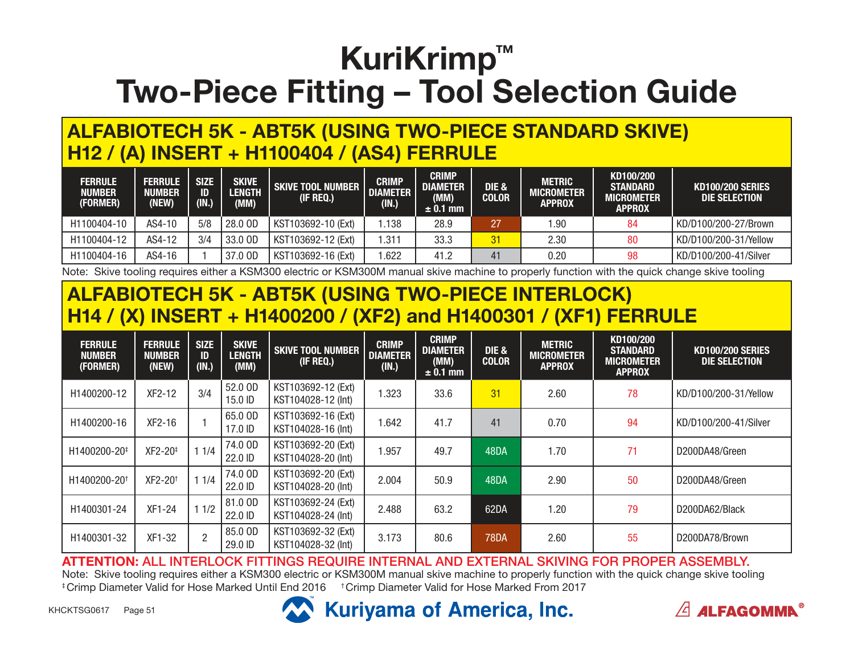### **ALFABIOTECH 5K - ABT5K (USING TWO-PIECE STANDARD SKIVE) H12 / (A) INSERT + H1100404 / (AS4) FERRULE**

| <b>FERRULE</b><br><b>NUMBER</b><br>(FORMER) | <b>FERRULE</b><br>NUMBER<br>(NEW) | <b>SIZE</b><br>ID<br>(IN.) | <b>SKIVE</b><br><b>LENGTH</b><br>(MM) | <b>SKIVE TOOL NUMBER  </b><br>(IF REQ.) | <b>CRIMP</b><br><b>DIAMETER</b><br>(IN.) | <b>CRIMP</b><br><b>DIAMETER</b><br>(MM)<br>$\pm$ 0.1 mm | DIE &<br><b>COLOR</b> | <b>METRIC</b><br><b>MICROMETER</b><br><b>APPROX</b> | KD100/200<br><b>STANDARD</b><br><b>MICROMETER</b><br><b>APPROX</b> | <b>KD100/200 SERIES</b><br>DIE SELECTION |
|---------------------------------------------|-----------------------------------|----------------------------|---------------------------------------|-----------------------------------------|------------------------------------------|---------------------------------------------------------|-----------------------|-----------------------------------------------------|--------------------------------------------------------------------|------------------------------------------|
| H1100404-10                                 | AS4-10                            | 5/8                        | 28.0 OD                               | KST103692-10 (Ext)                      | .138                                     | 28.9                                                    | 27                    | 90. ا                                               | -84                                                                | KD/D100/200-27/Brown                     |
| H1100404-12                                 | AS4-12                            | 3/4                        | 33.0 OD                               | KST103692-12 (Ext)                      | .311                                     | 33.3                                                    | 31                    | 2.30                                                | 80                                                                 | KD/D100/200-31/Yellow                    |
| H1100404-16                                 | AS4-16                            |                            | 37.0 OD                               | KST103692-16 (Ext)                      | .622                                     | 41.2                                                    | 41                    | 0.20                                                | 98                                                                 | KD/D100/200-41/Silver                    |

Note: Skive tooling requires either a KSM300 electric or KSM300M manual skive machine to properly function with the quick change skive tooling

#### **ALFABIOTECH 5K - ABT5K (USING TWO-PIECE INTERLOCK) H14 / (X) INSERT + H1400200 / (XF2) and H1400301 / (XF1) FERRULE**

| <b>FERRULE</b><br><b>NUMBER</b><br>(FORMER) | <b>FERRULE</b><br><b>NUMBER</b><br>(NEW) | <b>SIZE</b><br>ID<br>(IN.) | <b>SKIVE</b><br><b>LENGTH</b><br>(MM) | <b>SKIVE TOOL NUMBER</b><br>(IF REQ.)    | <b>CRIMP</b><br><b>DIAMETER</b><br>(IN.) | <b>CRIMP</b><br><b>DIAMETER</b><br>(MM)<br>$\pm$ 0.1 mm | DIE &<br><b>COLOR</b> | <b>METRIC</b><br><b>MICROMETER</b><br><b>APPROX</b> | KD100/200<br><b>STANDARD</b><br><b>MICROMETER</b><br><b>APPROX</b> | <b>KD100/200 SERIES</b><br>DIE SELECTION |
|---------------------------------------------|------------------------------------------|----------------------------|---------------------------------------|------------------------------------------|------------------------------------------|---------------------------------------------------------|-----------------------|-----------------------------------------------------|--------------------------------------------------------------------|------------------------------------------|
| H1400200-12                                 | XF2-12                                   | 3/4                        | 52.0 OD<br>15.0 ID                    | KST103692-12 (Ext)<br>KST104028-12 (Int) | 1.323                                    | 33.6                                                    | 31                    | 2.60                                                | 78                                                                 | KD/D100/200-31/Yellow                    |
| H1400200-16                                 | XF2-16                                   |                            | 65.0 OD<br>17.0 ID                    | KST103692-16 (Ext)<br>KST104028-16 (Int) | 1.642                                    | 41.7                                                    | 41                    | 0.70                                                | 94                                                                 | KD/D100/200-41/Silver                    |
| H1400200-20 <sup>‡</sup>                    | XF2-20 <sup>‡</sup>                      | 11/4                       | 74.0 OD<br>22.0 ID                    | KST103692-20 (Ext)<br>KST104028-20 (Int) | 1.957                                    | 49.7                                                    | 48DA                  | 1.70                                                | 71                                                                 | D200DA48/Green                           |
| H1400200-20 <sup>+</sup>                    | XF2-20 <sup>+</sup>                      | 11/4                       | 74.0 OD<br>22.0 ID                    | KST103692-20 (Ext)<br>KST104028-20 (Int) | 2.004                                    | 50.9                                                    | 48DA                  | 2.90                                                | 50                                                                 | D200DA48/Green                           |
| H1400301-24                                 | XF1-24                                   | 11/2                       | 81.0 OD<br>22.0 ID                    | KST103692-24 (Ext)<br>KST104028-24 (Int) | 2.488                                    | 63.2                                                    | 62DA                  | 1.20                                                | 79                                                                 | D200DA62/Black                           |
| H1400301-32                                 | XF1-32                                   | $\overline{2}$             | 85.0 OD<br>29.0 ID                    | KST103692-32 (Ext)<br>KST104028-32 (Int) | 3.173                                    | 80.6                                                    | <b>78DA</b>           | 2.60                                                | 55                                                                 | D200DA78/Brown                           |

**ATTENTION:** ALL INTERLOCK FITTINGS REQUIRE INTERNAL AND EXTERNAL SKIVING FOR PROPER ASSEMBLY. Note: Skive tooling requires either a KSM300 electric or KSM300M manual skive machine to properly function with the quick change skive tooling ‡ Crimp Diameter Valid for Hose Marked Until End 2016 † Crimp Diameter Valid for Hose Marked From 2017



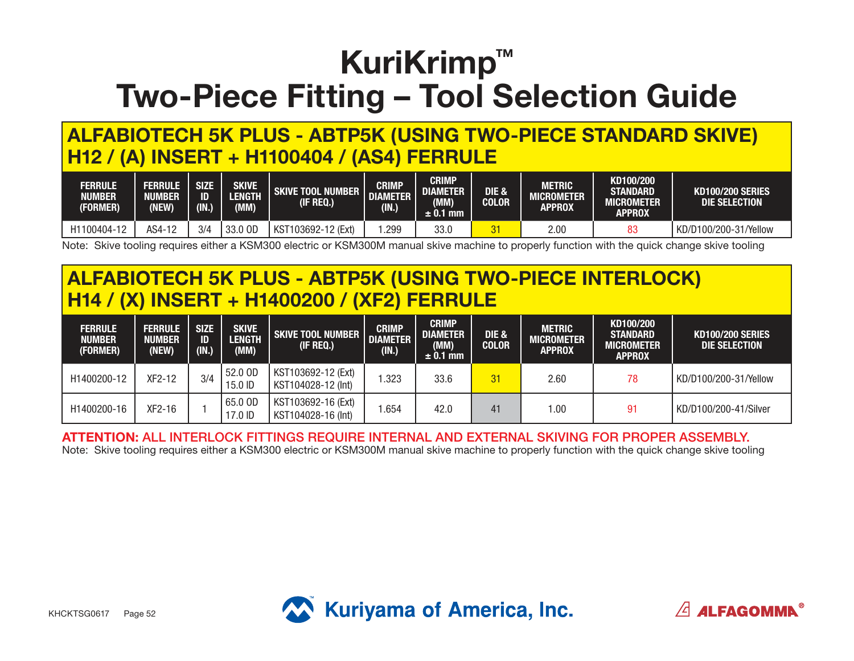**ALFABIOTECH 5K PLUS - ABTP5K (USING TWO-PIECE STANDARD SKIVE) H12 / (A) INSERT + H1100404 / (AS4) FERRULE**

| <b>FERRULE</b><br><b>NUMBER</b><br>(FORMER) | <b>FERRULE</b><br><b>NUMBER</b><br><b>NEW)</b> | <b>SIZE</b><br>ID<br>(IN.) | SKIVE<br><b>LENGTH</b><br>(MM) | <b>SKIVE TOOL NUMBER</b><br>(IF REQ.) | <b>CRIMP</b><br><b>DIAMETER</b><br>(IN.) | <b>CRIMP</b><br><b>DIAMETER</b><br>(MM)<br>$\pm$ 0.1 mm | DIE &<br><b>COLOR</b> | <b>METRIC</b><br>MICROMETER<br>APPROX | KD100/200<br><b>STANDARD</b><br>MICROMETER<br><b>APPROX</b> | <b>KD100/200 SERIES</b><br>DIE SELECTION |
|---------------------------------------------|------------------------------------------------|----------------------------|--------------------------------|---------------------------------------|------------------------------------------|---------------------------------------------------------|-----------------------|---------------------------------------|-------------------------------------------------------------|------------------------------------------|
| H1100404-12                                 | AS4-12                                         | 3/4                        | 33.0 OD                        | , KST<br>T103692-12 (Ext)             | .299                                     | 33.0                                                    | <u>v</u>              | 2.00                                  |                                                             | KD/D100/200-31/Yellow                    |

Note: Skive tooling requires either a KSM300 electric or KSM300M manual skive machine to properly function with the quick change skive tooling

#### **ALFABIOTECH 5K PLUS - ABTP5K (USING TWO-PIECE INTERLOCK) H14 / (X) INSERT + H1400200 / (XF2) FERRULE**

| <b>FERRULE</b><br><b>NUMBER</b><br>(FORMER) | <b>FERRULE</b><br><b>NUMBER</b><br>(NEW) | <b>SIZE</b><br><b>ID</b><br>(IN.) | <b>SKIVE</b><br><b>LENGTH</b><br>(MM) | <b>SKIVE TOOL NUMBER</b><br>(IF REQ.)    | <b>CRIMP</b><br><b>DIAMETER</b><br>(IN.) | <b>CRIMP</b><br><b>DIAMETER</b><br>(MM)<br>$\pm$ 0.1 mm | <b>DIE &amp;</b><br><b>COLOR</b> | <b>METRIC</b><br><b>MICROMETER</b><br><b>APPROX</b> | KD100/200<br><b>STANDARD</b><br>MICROMETER<br><b>APPROX</b> | <b>KD100/200 SERIES</b><br>DIE SELECTION |
|---------------------------------------------|------------------------------------------|-----------------------------------|---------------------------------------|------------------------------------------|------------------------------------------|---------------------------------------------------------|----------------------------------|-----------------------------------------------------|-------------------------------------------------------------|------------------------------------------|
| H1400200-12                                 | XF2-12                                   | 3/4                               | 52.0 OD<br>15.0 ID                    | KST103692-12 (Ext)<br>KST104028-12 (Int) | .323                                     | 33.6                                                    | 31                               | 2.60                                                | 78                                                          | KD/D100/200-31/Yellow                    |
| H1400200-16                                 | $XF2-16$                                 |                                   | 65.0 OD<br>17.0 ID                    | KST103692-16 (Ext)<br>KST104028-16 (Int) | .654                                     | 42.0                                                    | 41                               | 00. ا                                               | 91                                                          | KD/D100/200-41/Silver                    |

#### **ATTENTION:** ALL INTERLOCK FITTINGS REQUIRE INTERNAL AND EXTERNAL SKIVING FOR PROPER ASSEMBLY.

Note: Skive tooling requires either a KSM300 electric or KSM300M manual skive machine to properly function with the quick change skive tooling



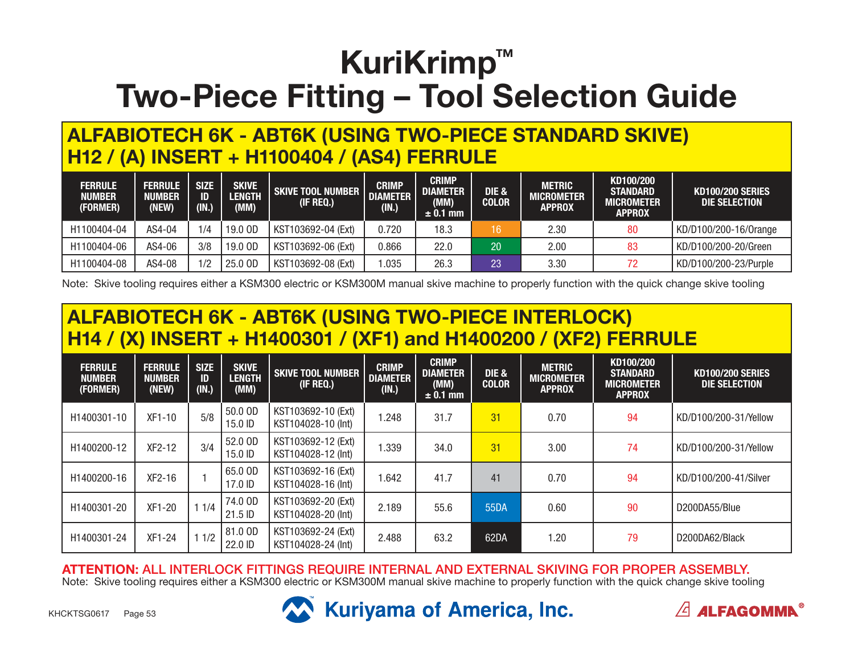#### **ALFABIOTECH 6K - ABT6K (USING TWO-PIECE STANDARD SKIVE) H12 / (A) INSERT + H1100404 / (AS4) FERRULE**

| <b>FERRULE</b><br><b>NUMBER</b><br>(FORMER) | <b>FERRULE</b><br><b>NUMBER</b><br>(NEW) | <b>SIZE</b><br>ID.<br>(IN.) | <b>SKIVE</b><br><b>LENGTH</b><br>(MM) | SKIVE TOOL NUMBER<br>(IF REQ.) | <b>CRIMP</b><br><b>DIAMETER</b><br>(IN.) | <b>CRIMP</b><br><b>DIAMETER</b><br>(MM)<br>$\pm$ 0.1 mm | DIE &<br><b>COLOR</b> | METRIC<br><b>MICROMETER</b><br><b>APPROX</b> | KD100/200<br><b>STANDARD</b><br><b>MICROMETER</b><br><b>APPROX</b> | <b>KD100/200 SERIES</b><br>DIE SELECTION |
|---------------------------------------------|------------------------------------------|-----------------------------|---------------------------------------|--------------------------------|------------------------------------------|---------------------------------------------------------|-----------------------|----------------------------------------------|--------------------------------------------------------------------|------------------------------------------|
| H1100404-04                                 | AS4-04                                   | 1/4                         | 19.0 OD                               | KST103692-04 (Ext)             | 0.720                                    | 18.3                                                    | 16                    | 2.30                                         | 80                                                                 | KD/D100/200-16/0range                    |
| H1100404-06                                 | AS4-06                                   | 3/8                         | 19.0 OD                               | KST103692-06 (Ext)             | 0.866                                    | 22.0                                                    | 20                    | 2.00                                         | 83                                                                 | KD/D100/200-20/Green                     |
| H1100404-08                                 | AS4-08                                   | 1/2                         | 25.0 OD                               | KST103692-08 (Ext)             | .035                                     | 26.3                                                    | 23                    | 3.30                                         | 72                                                                 | KD/D100/200-23/Purple                    |

Note: Skive tooling requires either a KSM300 electric or KSM300M manual skive machine to properly function with the quick change skive tooling

### **ALFABIOTECH 6K - ABT6K (USING TWO-PIECE INTERLOCK) H14 / (X) INSERT + H1400301 / (XF1) and H1400200 / (XF2) FERRULE**

| <b>FERRULE</b><br><b>NUMBER</b><br>(FORMER) | <b>FERRULE</b><br><b>NUMBER</b><br>(NEW) | <b>SIZE</b><br>ID<br>(IN.) | <b>SKIVE</b><br><b>LENGTH</b><br>(MM) | <b>SKIVE TOOL NUMBER</b><br>(IF REQ.)    | <b>CRIMP</b><br><b>DIAMETER</b><br>(IN.) | <b>CRIMP</b><br><b>DIAMETER</b><br>(MM)<br>$\pm$ 0.1 mm | DIE &<br><b>COLOR</b> | <b>METRIC</b><br><b>MICROMETER</b><br><b>APPROX</b> | KD100/200<br><b>STANDARD</b><br><b>MICROMETER</b><br><b>APPROX</b> | <b>KD100/200 SERIES</b><br><b>DIE SELECTION</b> |
|---------------------------------------------|------------------------------------------|----------------------------|---------------------------------------|------------------------------------------|------------------------------------------|---------------------------------------------------------|-----------------------|-----------------------------------------------------|--------------------------------------------------------------------|-------------------------------------------------|
| H1400301-10                                 | XF1-10                                   | 5/8                        | 50.0 OD<br>15.0 ID                    | KST103692-10 (Ext)<br>KST104028-10 (Int) | .248                                     | 31.7                                                    | 31                    | 0.70                                                | 94                                                                 | KD/D100/200-31/Yellow                           |
| H1400200-12                                 | $XF2-12$                                 | 3/4                        | 52.0 OD<br>15.0 ID                    | KST103692-12 (Ext)<br>KST104028-12 (Int) | 1.339                                    | 34.0                                                    | 31                    | 3.00                                                | 74                                                                 | KD/D100/200-31/Yellow                           |
| H1400200-16                                 | $XF2-16$                                 |                            | 65.0 OD<br>17.0 ID                    | KST103692-16 (Ext)<br>KST104028-16 (Int) | .642                                     | 41.7                                                    | 41                    | 0.70                                                | 94                                                                 | KD/D100/200-41/Silver                           |
| H1400301-20                                 | XF1-20                                   | 11/4                       | 74.0 OD<br>21.5 ID                    | KST103692-20 (Ext)<br>KST104028-20 (Int) | 2.189                                    | 55.6                                                    | 55DA                  | 0.60                                                | 90                                                                 | D200DA55/Blue                                   |
| H1400301-24                                 | XF1-24                                   | 11/2                       | 81.0 OD<br>22.0 ID                    | KST103692-24 (Ext)<br>KST104028-24 (Int) | 2.488                                    | 63.2                                                    | 62DA                  | 1.20                                                | 79                                                                 | D200DA62/Black                                  |

**ATTENTION:** ALL INTERLOCK FITTINGS REQUIRE INTERNAL AND EXTERNAL SKIVING FOR PROPER ASSEMBLY.

Note: Skive tooling requires either a KSM300 electric or KSM300M manual skive machine to properly function with the quick change skive tooling



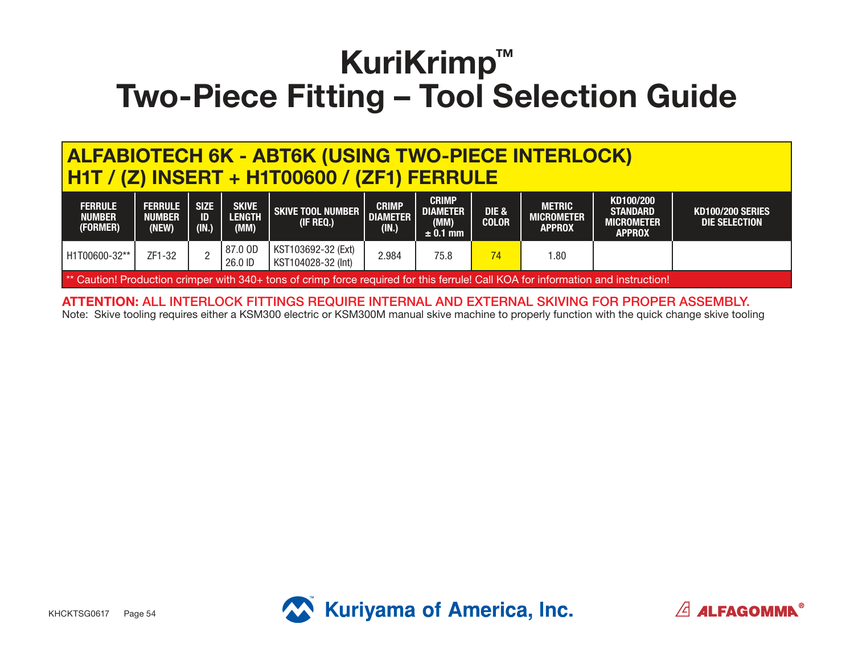#### **ALFABIOTECH 6K - ABT6K (USING TWO-PIECE INTERLOCK) H1T / (Z) INSERT + H1T00600 / (ZF1) FERRULE**

| <b>FERRULE</b><br><b>NUMBER</b><br>(FORMER)                                                                                       | <b>FERRULE</b><br>NUMBER<br>(NEW) | <b>SIZE</b><br>ID<br>(IN.) | <b>SKIVE</b><br><b>LENGTH</b><br>(MM) | <b>SKIVE TOOL NUMBER  </b><br>(IF REQ.)    | <b>CRIMP</b><br><b>DIAMETER</b><br>(IN.) | <b>CRIMP</b><br><b>DIAMETER</b><br>(MM)<br>$\pm$ 0.1 mm | <b>DIE &amp;</b><br><b>COLOR</b> | METRIC<br><b>MICROMETER</b><br><b>APPROX</b> | KD100/200<br><b>STANDARD</b><br><b>MICROMETER</b><br><b>APPROX</b> | <b>KD100/200 SERIES</b><br>DIE SELECTION |  |
|-----------------------------------------------------------------------------------------------------------------------------------|-----------------------------------|----------------------------|---------------------------------------|--------------------------------------------|------------------------------------------|---------------------------------------------------------|----------------------------------|----------------------------------------------|--------------------------------------------------------------------|------------------------------------------|--|
| H1T00600-32**                                                                                                                     | ZF1-32                            |                            | 87.0 OD<br>26.0 ID                    | KST103692-32 (Ext)<br>  KST104028-32 (Int) | 2.984                                    | 75.8                                                    | 74                               | 1.80                                         |                                                                    |                                          |  |
| ** Caution! Production crimper with 340+ tons of crimp force required for this ferrule! Call KOA for information and instruction! |                                   |                            |                                       |                                            |                                          |                                                         |                                  |                                              |                                                                    |                                          |  |

**ATTENTION:** ALL INTERLOCK FITTINGS REQUIRE INTERNAL AND EXTERNAL SKIVING FOR PROPER ASSEMBLY. Note: Skive tooling requires either a KSM300 electric or KSM300M manual skive machine to properly function with the quick change skive tooling



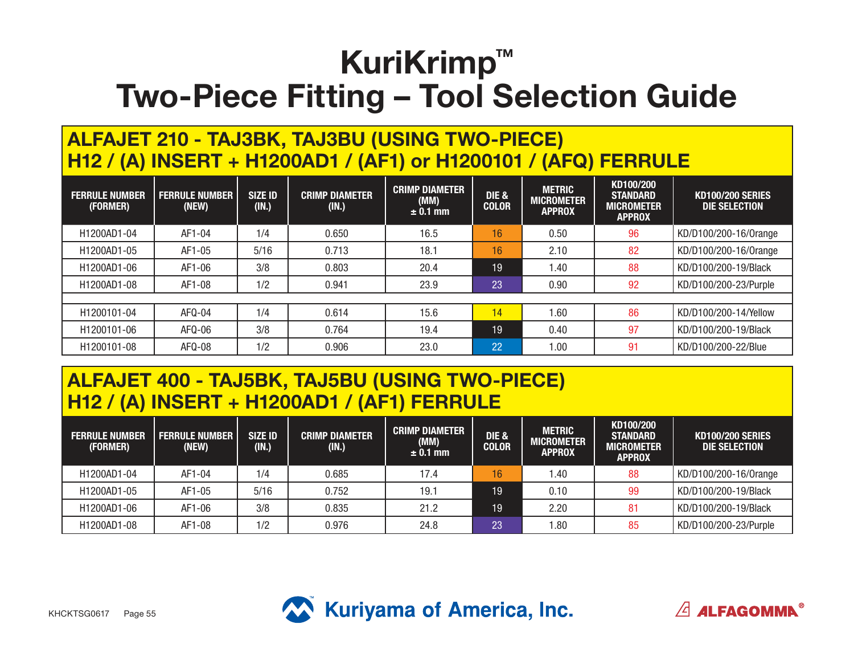#### **ALFAJET 210 - TAJ3BK, TAJ3BU (USING TWO-PIECE) H12 / (A) INSERT + H1200AD1 / (AF1) or H1200101 / (AFQ) FERRULE**

| <b>FERRULE NUMBER</b><br>(FORMER) | <b>FERRULE NUMBER</b><br>(NEW) | <b>SIZE ID</b><br>(IN.) | <b>CRIMP DIAMETER</b><br>(IN.) | <b>CRIMP DIAMETER</b><br>(MM)<br>$\pm$ 0.1 mm | <b>DIE &amp;</b><br><b>COLOR</b> | <b>METRIC</b><br><b>MICROMETER</b><br><b>APPROX</b> | KD100/200<br><b>STANDARD</b><br><b>MICROMETER</b><br><b>APPROX</b> | <b>KD100/200 SERIES</b><br>DIE SELECTION |
|-----------------------------------|--------------------------------|-------------------------|--------------------------------|-----------------------------------------------|----------------------------------|-----------------------------------------------------|--------------------------------------------------------------------|------------------------------------------|
| H1200AD1-04                       | AF1-04                         | 1/4                     | 0.650                          | 16.5                                          | 16                               | 0.50                                                | 96                                                                 | KD/D100/200-16/0range                    |
| H1200AD1-05                       | AF1-05                         | 5/16                    | 0.713                          | 18.1                                          | 16                               | 2.10                                                | 82                                                                 | KD/D100/200-16/0range                    |
| H1200AD1-06                       | AF1-06                         | 3/8                     | 0.803                          | 20.4                                          | 19                               | 1.40                                                | 88                                                                 | KD/D100/200-19/Black                     |
| H1200AD1-08                       | AF1-08                         | 1/2                     | 0.941                          | 23.9                                          | 23                               | 0.90                                                | 92                                                                 | KD/D100/200-23/Purple                    |
|                                   |                                |                         |                                |                                               |                                  |                                                     |                                                                    |                                          |
| H1200101-04                       | AFQ-04                         | 1/4                     | 0.614                          | 15.6                                          | 14                               | 1.60                                                | 86                                                                 | KD/D100/200-14/Yellow                    |
| H1200101-06                       | AFQ-06                         | 3/8                     | 0.764                          | 19.4                                          | 19                               | 0.40                                                | 97                                                                 | KD/D100/200-19/Black                     |
| H1200101-08                       | AFQ-08                         | 1/2                     | 0.906                          | 23.0                                          | 22                               | 1.00                                                | 91                                                                 | KD/D100/200-22/Blue                      |

### **ALFAJET 400 - TAJ5BK, TAJ5BU (USING TWO-PIECE) H12 / (A) INSERT + H1200AD1 / (AF1) FERRULE**

| <b>FERRULE NUMBER</b><br>(FORMER) | <b>FERRULE NUMBER</b><br>(NEW) | <b>SIZE ID</b><br>(IN.) | <b>CRIMP DIAMETER</b><br>(IN.) | <b>CRIMP DIAMETER</b><br>(MM)<br>$\pm$ 0.1 mm | <b>DIE &amp;</b><br><b>COLOR</b> | <b>METRIC</b><br><b>MICROMETER</b><br><b>APPROX</b> | KD100/200<br><b>STANDARD</b><br><b>MICROMETER</b><br><b>APPROX</b> | <b>KD100/200 SERIES</b><br>DIE SELECTION |
|-----------------------------------|--------------------------------|-------------------------|--------------------------------|-----------------------------------------------|----------------------------------|-----------------------------------------------------|--------------------------------------------------------------------|------------------------------------------|
| H1200AD1-04                       | AF1-04                         | 1/4                     | 0.685                          | 17.4                                          | 16                               | 40. ا                                               | 88                                                                 | KD/D100/200-16/0range                    |
| H1200AD1-05                       | AF1-05                         | 5/16                    | 0.752                          | 19.7                                          | 19                               | 0.10                                                | 99                                                                 | l KD/D100/200-19/Black                   |
| H1200AD1-06                       | AF1-06                         | 3/8                     | 0.835                          | 21.2                                          | 19                               | 2.20                                                | 81                                                                 | KD/D100/200-19/Black                     |
| H1200AD1-08                       | AF1-08                         | 1/2                     | 0.976                          | 24.8                                          | 23                               | l.80                                                | 85                                                                 | KD/D100/200-23/Purple                    |



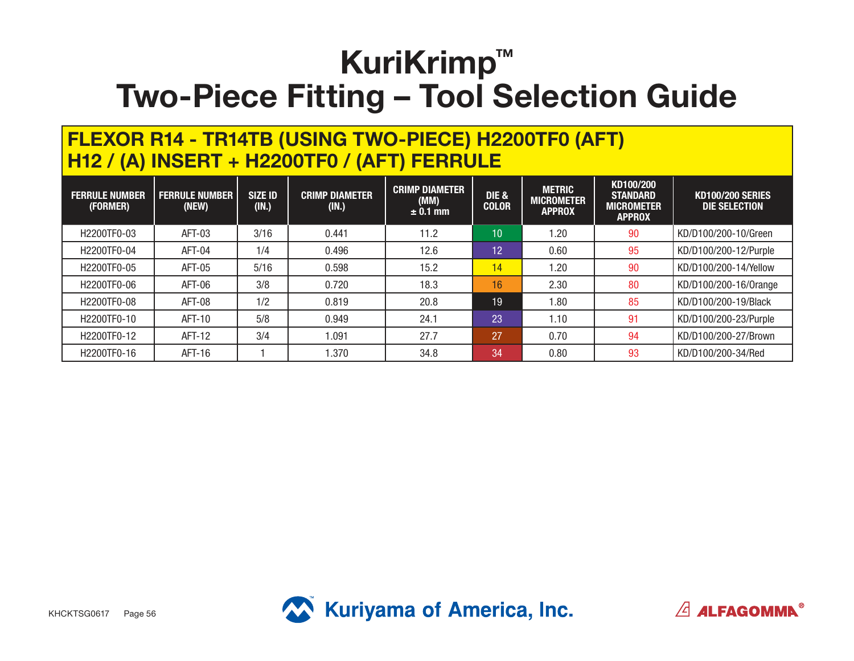#### **FLEXOR R14 - TR14TB (USING TWO-PIECE) H2200TF0 (AFT) H12 / (A) INSERT + H2200TF0 / (AFT) FERRULE**

| <b>FERRULE NUMBER</b><br>(FORMER) | <b>FERRULE NUMBER</b><br>(NEW) | <b>SIZE ID</b><br>(IN.) | <b>CRIMP DIAMETER</b><br>(IN.) | <b>CRIMP DIAMETER</b><br>(MM)<br>$\pm$ 0.1 mm | DIE &<br><b>COLOR</b> | <b>METRIC</b><br><b>MICROMETER</b><br><b>APPROX</b> | KD100/200<br><b>STANDARD</b><br><b>MICROMETER</b><br><b>APPROX</b> | <b>KD100/200 SERIES</b><br>DIE SELECTION |
|-----------------------------------|--------------------------------|-------------------------|--------------------------------|-----------------------------------------------|-----------------------|-----------------------------------------------------|--------------------------------------------------------------------|------------------------------------------|
| H2200TF0-03                       | AFT-03                         | 3/16                    | 0.441                          | 11.2                                          | 10                    | 1.20                                                | 90                                                                 | KD/D100/200-10/Green                     |
| H2200TF0-04                       | AFT-04                         | 1/4                     | 0.496                          | 12.6                                          | $\overline{1}2$       | 0.60                                                | 95                                                                 | KD/D100/200-12/Purple                    |
| H2200TF0-05                       | AFT-05                         | 5/16                    | 0.598                          | 15.2                                          | 14                    | 1.20                                                | 90                                                                 | KD/D100/200-14/Yellow                    |
| H2200TF0-06                       | AFT-06                         | 3/8                     | 0.720                          | 18.3                                          | 16                    | 2.30                                                | 80                                                                 | KD/D100/200-16/0range                    |
| H2200TF0-08                       | <b>AFT-08</b>                  | 1/2                     | 0.819                          | 20.8                                          | 19                    | 1.80                                                | 85                                                                 | KD/D100/200-19/Black                     |
| H2200TF0-10                       | AFT-10                         | 5/8                     | 0.949                          | 24.1                                          | $\overline{23}$       | 1.10                                                | 91                                                                 | KD/D100/200-23/Purple                    |
| H2200TF0-12                       | AFT-12                         | 3/4                     | 1.091                          | 27.7                                          | 27                    | 0.70                                                | 94                                                                 | KD/D100/200-27/Brown                     |
| H2200TF0-16                       | AFT-16                         |                         | 1.370                          | 34.8                                          | 34                    | 0.80                                                | 93                                                                 | KD/D100/200-34/Red                       |



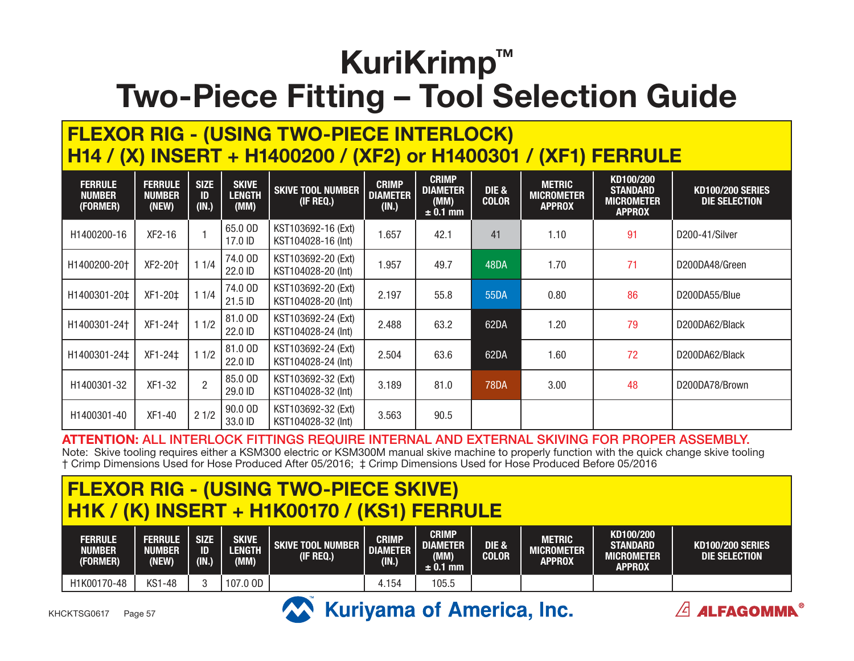#### **FLEXOR RIG - (USING TWO-PIECE INTERLOCK) H14 / (X) INSERT + H1400200 / (XF2) or H1400301 / (XF1) FERRULE**

| <b>FERRULE</b><br><b>NUMBER</b><br>(FORMER) | <b>FERRULE</b><br><b>NUMBER</b><br>(NEW) | <b>SIZE</b><br>ID<br>(IN.) | <b>SKIVE</b><br><b>LENGTH</b><br>(MM) | <b>SKIVE TOOL NUMBER</b><br>(IF REQ.)    | <b>CRIMP</b><br><b>DIAMETER</b><br>(IN.) | <b>CRIMP</b><br><b>DIAMETER</b><br>(MM)<br>$\pm$ 0.1 mm | DIE &<br><b>COLOR</b> | <b>METRIC</b><br><b>MICROMETER</b><br><b>APPROX</b> | KD100/200<br><b>STANDARD</b><br><b>MICROMETER</b><br><b>APPROX</b> | <b>KD100/200 SERIES</b><br><b>DIE SELECTION</b> |
|---------------------------------------------|------------------------------------------|----------------------------|---------------------------------------|------------------------------------------|------------------------------------------|---------------------------------------------------------|-----------------------|-----------------------------------------------------|--------------------------------------------------------------------|-------------------------------------------------|
| H1400200-16                                 | $XF2-16$                                 |                            | 65.0 OD<br>17.0 ID                    | KST103692-16 (Ext)<br>KST104028-16 (Int) | 1.657                                    | 42.1                                                    | 41                    | 1.10                                                | 91                                                                 | D200-41/Silver                                  |
| H1400200-20†                                | XF2-20+                                  | 11/4                       | 74.0 OD<br>22.0 ID                    | KST103692-20 (Ext)<br>KST104028-20 (Int) | 1.957                                    | 49.7                                                    | 48DA                  | 1.70                                                | 71                                                                 | D200DA48/Green                                  |
| H1400301-20‡                                | XF1-20‡                                  | 11/4                       | 74.0 OD<br>21.5 ID                    | KST103692-20 (Ext)<br>KST104028-20 (Int) | 2.197                                    | 55.8                                                    | 55DA                  | 0.80                                                | 86                                                                 | D200DA55/Blue                                   |
| H1400301-24+                                | XF1-24+                                  | 11/2                       | 81.0 OD<br>22.0 ID                    | KST103692-24 (Ext)<br>KST104028-24 (Int) | 2.488                                    | 63.2                                                    | 62DA                  | 1.20                                                | 79                                                                 | D200DA62/Black                                  |
| H1400301-24‡                                | XF1-24‡                                  | 11/2                       | 81.0 OD<br>22.0 ID                    | KST103692-24 (Ext)<br>KST104028-24 (Int) | 2.504                                    | 63.6                                                    | 62DA                  | 1.60                                                | 72                                                                 | D200DA62/Black                                  |
| H1400301-32                                 | XF1-32                                   | $\overline{2}$             | 85.0 OD<br>29.0 ID                    | KST103692-32 (Ext)<br>KST104028-32 (Int) | 3.189                                    | 81.0                                                    | <b>78DA</b>           | 3.00                                                | 48                                                                 | D200DA78/Brown                                  |
| H1400301-40                                 | XF1-40                                   | 21/2                       | 90.0 OD<br>33.0 ID                    | KST103692-32 (Ext)<br>KST104028-32 (Int) | 3.563                                    | 90.5                                                    |                       |                                                     |                                                                    |                                                 |

**ATTENTION:** ALL INTERLOCK FITTINGS REQUIRE INTERNAL AND EXTERNAL SKIVING FOR PROPER ASSEMBLY.

Note: Skive tooling requires either a KSM300 electric or KSM300M manual skive machine to properly function with the quick change skive tooling † Crimp Dimensions Used for Hose Produced After 05/2016; ‡ Crimp Dimensions Used for Hose Produced Before 05/2016

### **FLEXOR RIG - (USING TWO-PIECE SKIVE) H1K / (K) INSERT + H1K00170 / (KS1) FERRULE**

| <b>FERRULE</b><br><b>NUMBER</b><br>(FORMER) | Ferrule<br><b>NUMBER</b><br>(NEW) | <b>SIZE</b><br>ID<br>(IN.) | <b>SKIVE</b><br>LENGTH<br>(MM) | <b>SKIVE TOOL NUMBER</b><br>(IF REQ.) | <b>CRIMP</b><br><b>DIAMETER</b><br>(IN.) | <b>CRIMP</b><br>DIAMETER <sup>'</sup><br>(MM)<br>$\pm$ 0.1 mm | DIE &<br><b>COLOR</b> | <b>METRIC</b><br>MICROMETER<br>APPROX | KD100/200<br><b>STANDARD</b><br>MICROMETER<br><b>APPROX</b> | <b>KD100/200 SERIES</b><br>DIE SELECTION |
|---------------------------------------------|-----------------------------------|----------------------------|--------------------------------|---------------------------------------|------------------------------------------|---------------------------------------------------------------|-----------------------|---------------------------------------|-------------------------------------------------------------|------------------------------------------|
| H1K00170-48                                 | <b>KS1-48</b>                     |                            | 107.0 OD                       |                                       | 4.154                                    | 105.5                                                         |                       |                                       |                                                             |                                          |

 $\angle$  4LFAGOMMN